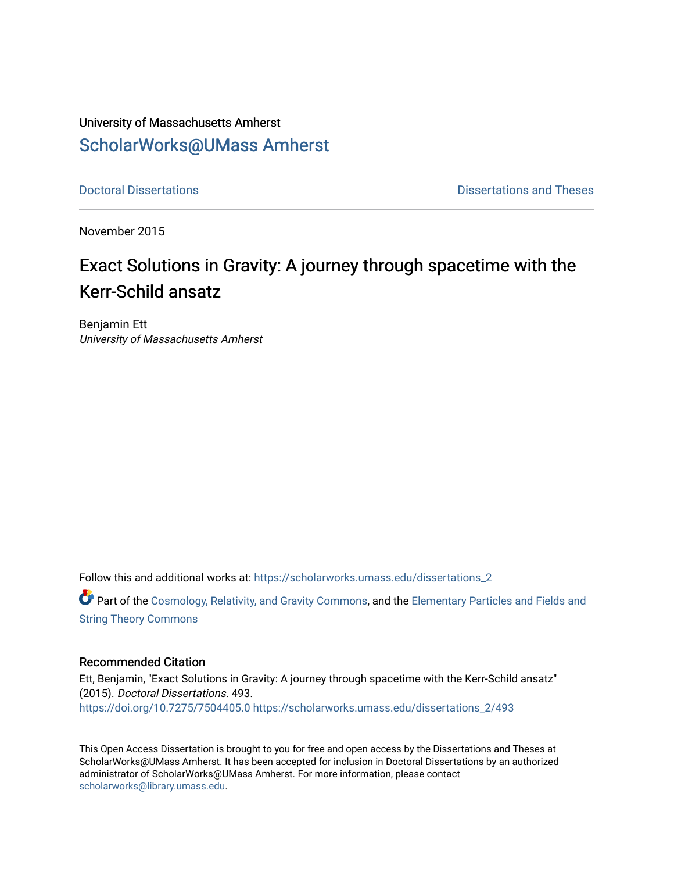# University of Massachusetts Amherst [ScholarWorks@UMass Amherst](https://scholarworks.umass.edu/)

**[Doctoral Dissertations](https://scholarworks.umass.edu/dissertations_2) Contract Contract Contract Contract Contract Contract Contract Contract Contract Contract Contract Contract Contract Contract Contract Contract Contract Contract Contract Contract Contract Contract** 

November 2015

# Exact Solutions in Gravity: A journey through spacetime with the Kerr-Schild ansatz

Benjamin Ett University of Massachusetts Amherst

Follow this and additional works at: [https://scholarworks.umass.edu/dissertations\\_2](https://scholarworks.umass.edu/dissertations_2?utm_source=scholarworks.umass.edu%2Fdissertations_2%2F493&utm_medium=PDF&utm_campaign=PDFCoverPages)

**C** Part of the [Cosmology, Relativity, and Gravity Commons,](http://network.bepress.com/hgg/discipline/129?utm_source=scholarworks.umass.edu%2Fdissertations_2%2F493&utm_medium=PDF&utm_campaign=PDFCoverPages) and the Elementary Particles and Fields and [String Theory Commons](http://network.bepress.com/hgg/discipline/199?utm_source=scholarworks.umass.edu%2Fdissertations_2%2F493&utm_medium=PDF&utm_campaign=PDFCoverPages) 

#### Recommended Citation

Ett, Benjamin, "Exact Solutions in Gravity: A journey through spacetime with the Kerr-Schild ansatz" (2015). Doctoral Dissertations. 493. <https://doi.org/10.7275/7504405.0> [https://scholarworks.umass.edu/dissertations\\_2/493](https://scholarworks.umass.edu/dissertations_2/493?utm_source=scholarworks.umass.edu%2Fdissertations_2%2F493&utm_medium=PDF&utm_campaign=PDFCoverPages)

This Open Access Dissertation is brought to you for free and open access by the Dissertations and Theses at ScholarWorks@UMass Amherst. It has been accepted for inclusion in Doctoral Dissertations by an authorized administrator of ScholarWorks@UMass Amherst. For more information, please contact [scholarworks@library.umass.edu.](mailto:scholarworks@library.umass.edu)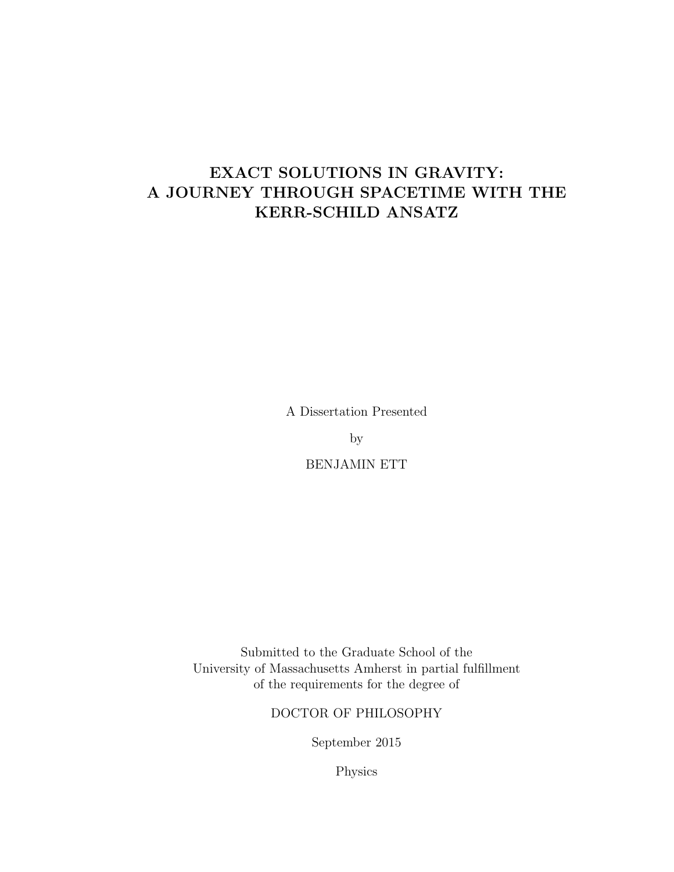# EXACT SOLUTIONS IN GRAVITY: A JOURNEY THROUGH SPACETIME WITH THE KERR-SCHILD ANSATZ

A Dissertation Presented

by

BENJAMIN ETT

Submitted to the Graduate School of the University of Massachusetts Amherst in partial fulfillment of the requirements for the degree of

DOCTOR OF PHILOSOPHY

September 2015

Physics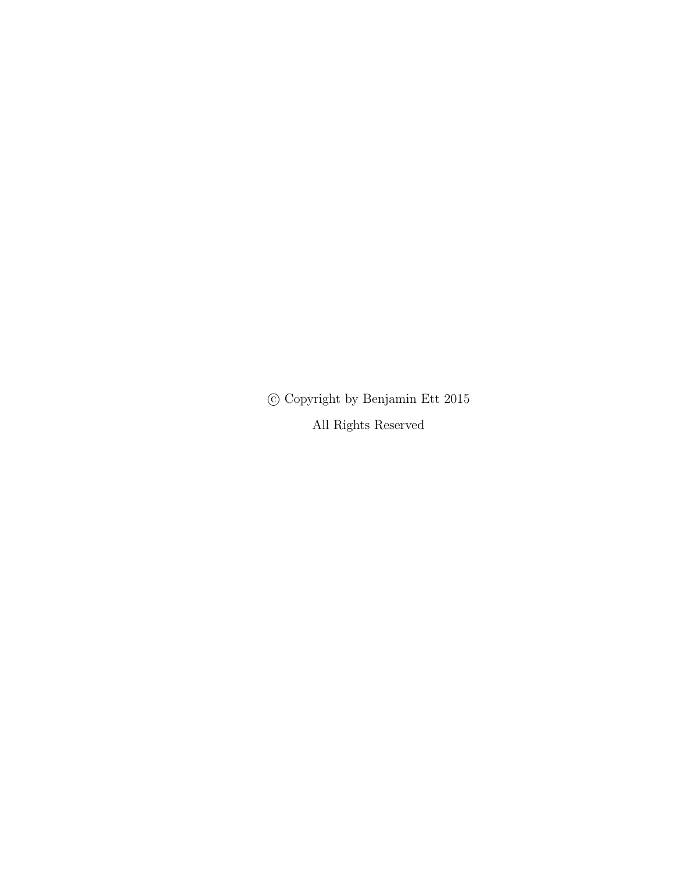$\copyright$  Copyright by Benjamin Ett 2015

All Rights Reserved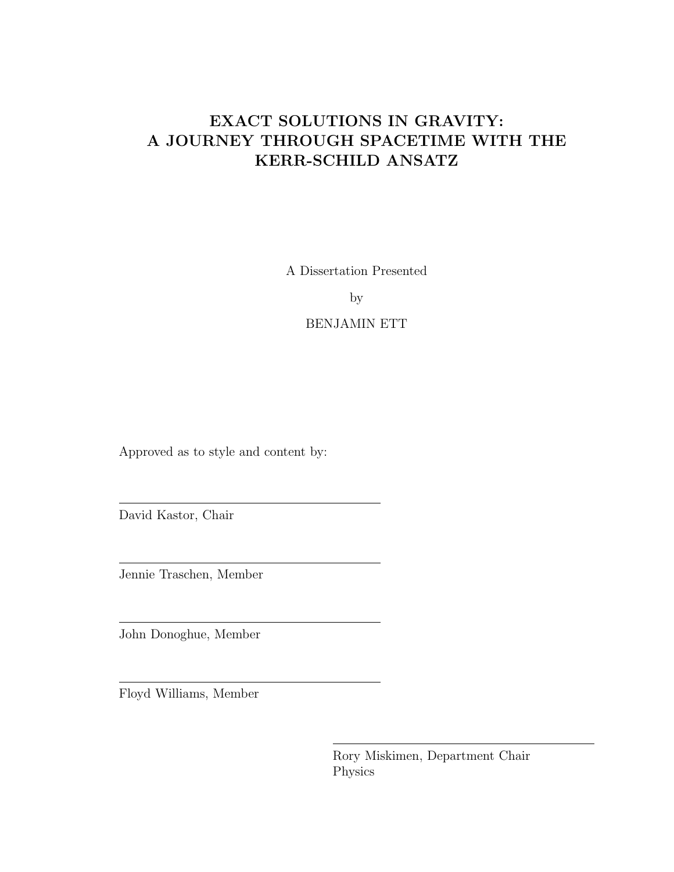# EXACT SOLUTIONS IN GRAVITY: A JOURNEY THROUGH SPACETIME WITH THE KERR-SCHILD ANSATZ

A Dissertation Presented

by

BENJAMIN ETT

Approved as to style and content by:

David Kastor, Chair

Jennie Traschen, Member

John Donoghue, Member

Floyd Williams, Member

Rory Miskimen, Department Chair Physics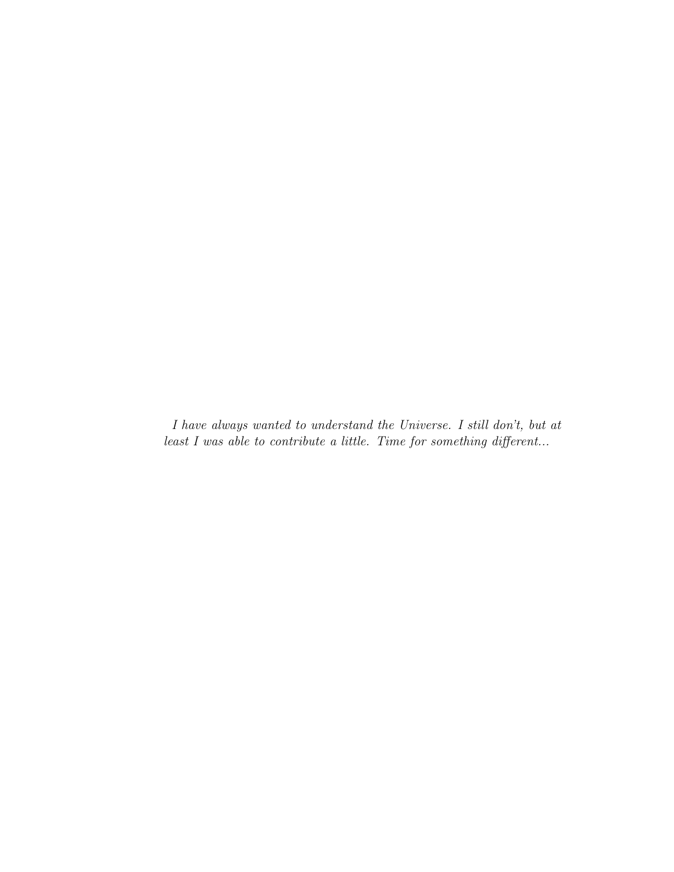I have always wanted to understand the Universe. I still don't, but at least I was able to contribute a little. Time for something different...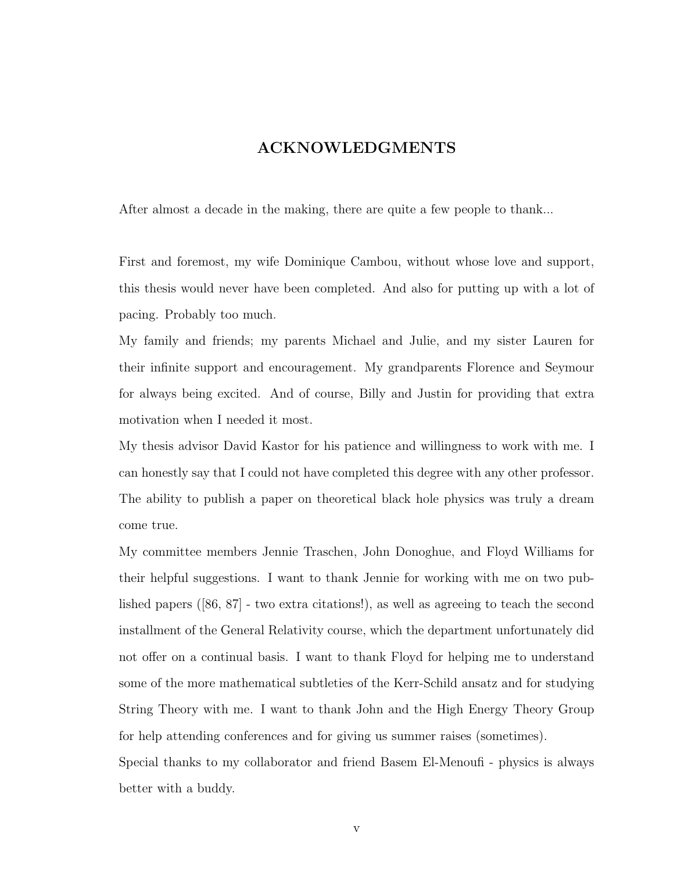## ACKNOWLEDGMENTS

After almost a decade in the making, there are quite a few people to thank...

First and foremost, my wife Dominique Cambou, without whose love and support, this thesis would never have been completed. And also for putting up with a lot of pacing. Probably too much.

My family and friends; my parents Michael and Julie, and my sister Lauren for their infinite support and encouragement. My grandparents Florence and Seymour for always being excited. And of course, Billy and Justin for providing that extra motivation when I needed it most.

My thesis advisor David Kastor for his patience and willingness to work with me. I can honestly say that I could not have completed this degree with any other professor. The ability to publish a paper on theoretical black hole physics was truly a dream come true.

My committee members Jennie Traschen, John Donoghue, and Floyd Williams for their helpful suggestions. I want to thank Jennie for working with me on two published papers ([86, 87] - two extra citations!), as well as agreeing to teach the second installment of the General Relativity course, which the department unfortunately did not offer on a continual basis. I want to thank Floyd for helping me to understand some of the more mathematical subtleties of the Kerr-Schild ansatz and for studying String Theory with me. I want to thank John and the High Energy Theory Group for help attending conferences and for giving us summer raises (sometimes).

Special thanks to my collaborator and friend Basem El-Menoufi - physics is always better with a buddy.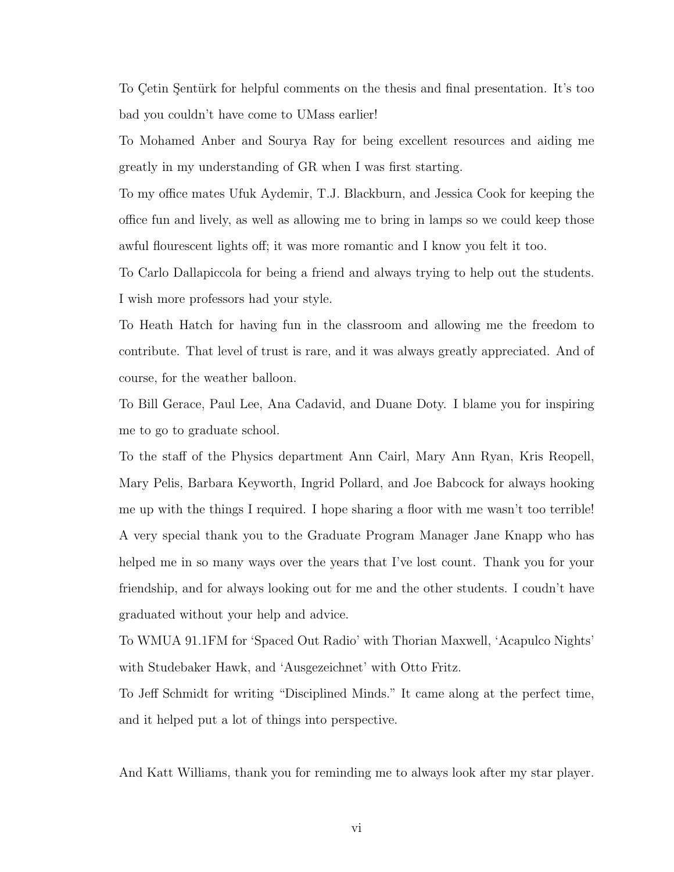To Cetin Sentürk for helpful comments on the thesis and final presentation. It's too bad you couldn't have come to UMass earlier!

To Mohamed Anber and Sourya Ray for being excellent resources and aiding me greatly in my understanding of GR when I was first starting.

To my office mates Ufuk Aydemir, T.J. Blackburn, and Jessica Cook for keeping the office fun and lively, as well as allowing me to bring in lamps so we could keep those awful flourescent lights off; it was more romantic and I know you felt it too.

To Carlo Dallapiccola for being a friend and always trying to help out the students. I wish more professors had your style.

To Heath Hatch for having fun in the classroom and allowing me the freedom to contribute. That level of trust is rare, and it was always greatly appreciated. And of course, for the weather balloon.

To Bill Gerace, Paul Lee, Ana Cadavid, and Duane Doty. I blame you for inspiring me to go to graduate school.

To the staff of the Physics department Ann Cairl, Mary Ann Ryan, Kris Reopell, Mary Pelis, Barbara Keyworth, Ingrid Pollard, and Joe Babcock for always hooking me up with the things I required. I hope sharing a floor with me wasn't too terrible! A very special thank you to the Graduate Program Manager Jane Knapp who has helped me in so many ways over the years that I've lost count. Thank you for your friendship, and for always looking out for me and the other students. I coudn't have graduated without your help and advice.

To WMUA 91.1FM for 'Spaced Out Radio' with Thorian Maxwell, 'Acapulco Nights' with Studebaker Hawk, and 'Ausgezeichnet' with Otto Fritz.

To Jeff Schmidt for writing "Disciplined Minds." It came along at the perfect time, and it helped put a lot of things into perspective.

And Katt Williams, thank you for reminding me to always look after my star player.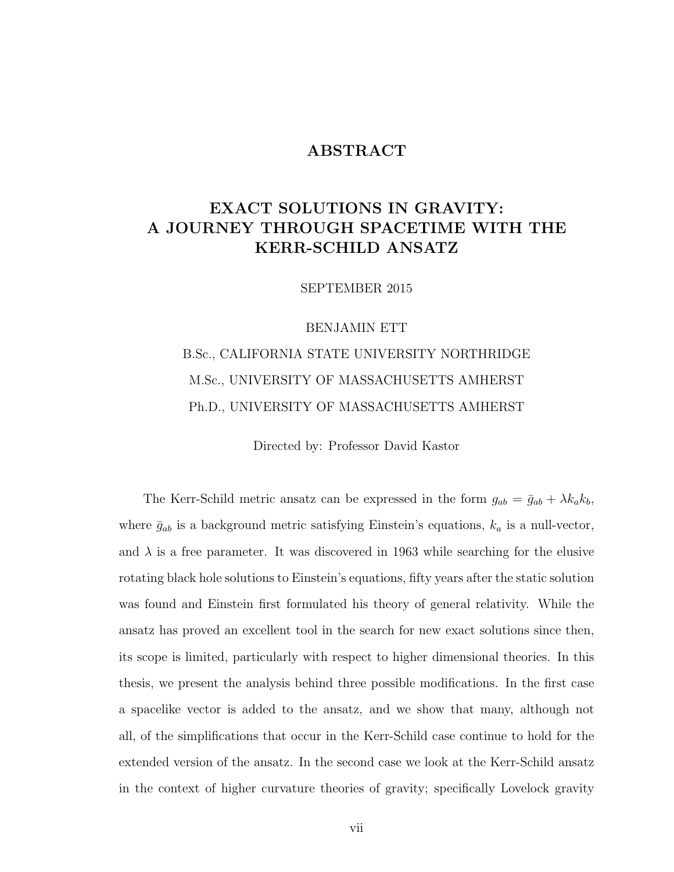## ABSTRACT

# EXACT SOLUTIONS IN GRAVITY: A JOURNEY THROUGH SPACETIME WITH THE KERR-SCHILD ANSATZ

SEPTEMBER 2015

#### BENJAMIN ETT

# B.Sc., CALIFORNIA STATE UNIVERSITY NORTHRIDGE M.Sc., UNIVERSITY OF MASSACHUSETTS AMHERST Ph.D., UNIVERSITY OF MASSACHUSETTS AMHERST

Directed by: Professor David Kastor

The Kerr-Schild metric ansatz can be expressed in the form  $g_{ab} = \bar{g}_{ab} + \lambda k_a k_b$ , where  $\bar{g}_{ab}$  is a background metric satisfying Einstein's equations,  $k_a$  is a null-vector, and  $\lambda$  is a free parameter. It was discovered in 1963 while searching for the elusive rotating black hole solutions to Einstein's equations, fifty years after the static solution was found and Einstein first formulated his theory of general relativity. While the ansatz has proved an excellent tool in the search for new exact solutions since then, its scope is limited, particularly with respect to higher dimensional theories. In this thesis, we present the analysis behind three possible modifications. In the first case a spacelike vector is added to the ansatz, and we show that many, although not all, of the simplifications that occur in the Kerr-Schild case continue to hold for the extended version of the ansatz. In the second case we look at the Kerr-Schild ansatz in the context of higher curvature theories of gravity; specifically Lovelock gravity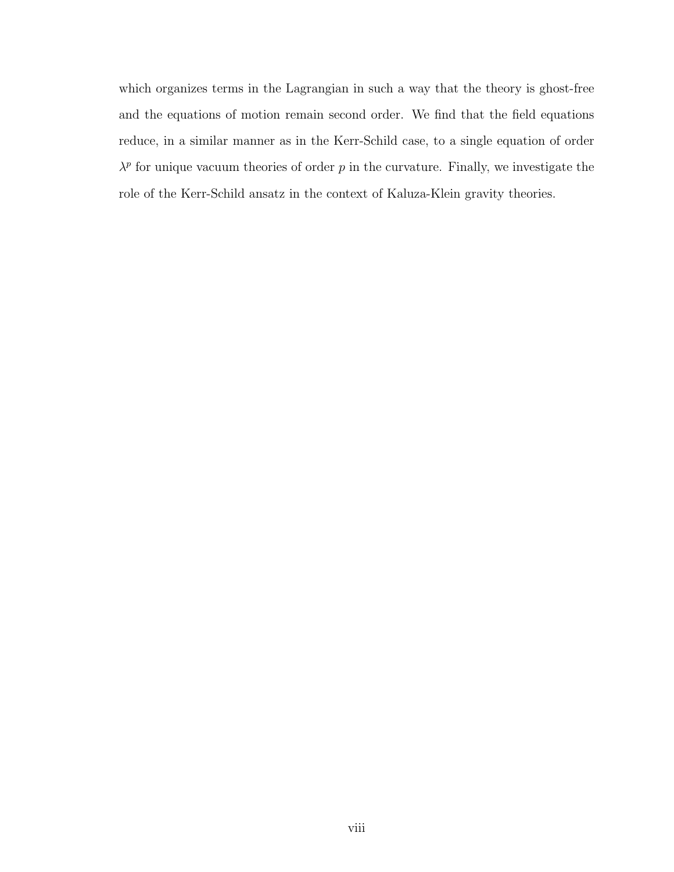which organizes terms in the Lagrangian in such a way that the theory is ghost-free and the equations of motion remain second order. We find that the field equations reduce, in a similar manner as in the Kerr-Schild case, to a single equation of order  $\lambda^p$  for unique vacuum theories of order p in the curvature. Finally, we investigate the role of the Kerr-Schild ansatz in the context of Kaluza-Klein gravity theories.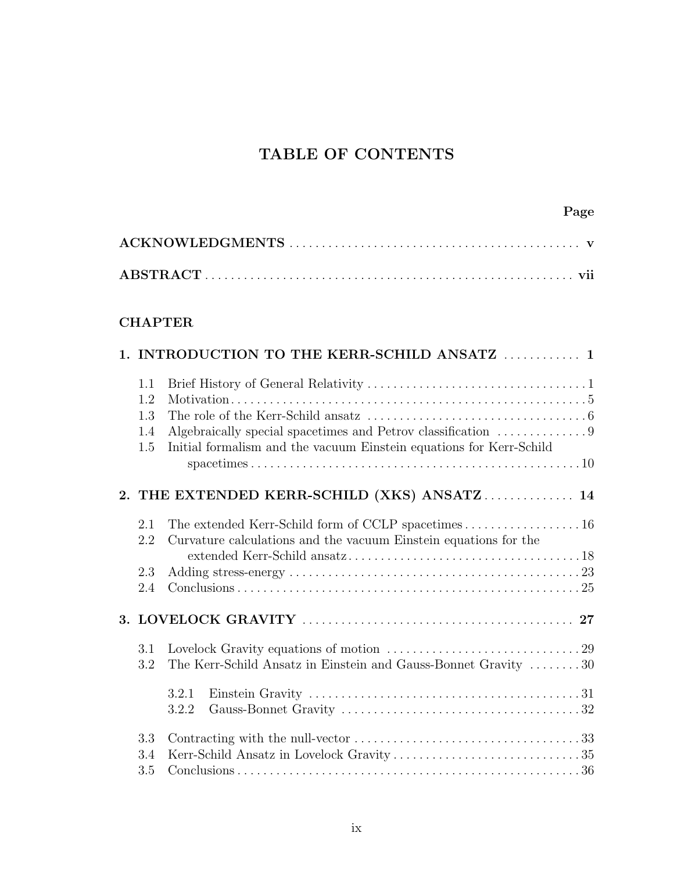# TABLE OF CONTENTS

## CHAPTER

|                   | 1. INTRODUCTION TO THE KERR-SCHILD ANSATZ  1                                                                                                              |
|-------------------|-----------------------------------------------------------------------------------------------------------------------------------------------------------|
| 1.1<br>1.2<br>1.3 |                                                                                                                                                           |
| 1.4<br>1.5        | Algebraically special spacetimes and Petrov classification $\dots\dots\dots\dots9$<br>Initial formalism and the vacuum Einstein equations for Kerr-Schild |
|                   | 2. THE EXTENDED KERR-SCHILD (XKS) ANSATZ 14                                                                                                               |
| 2.1<br>2.2        | The extended Kerr-Schild form of CCLP spacetimes 16<br>Curvature calculations and the vacuum Einstein equations for the                                   |
| 2.3<br>2.4        |                                                                                                                                                           |
|                   |                                                                                                                                                           |
| 3.1<br>3.2        | The Kerr-Schild Ansatz in Einstein and Gauss-Bonnet Gravity 30                                                                                            |
|                   | 3.2.1<br>3.2.2                                                                                                                                            |
| 3.3<br>3.4<br>3.5 |                                                                                                                                                           |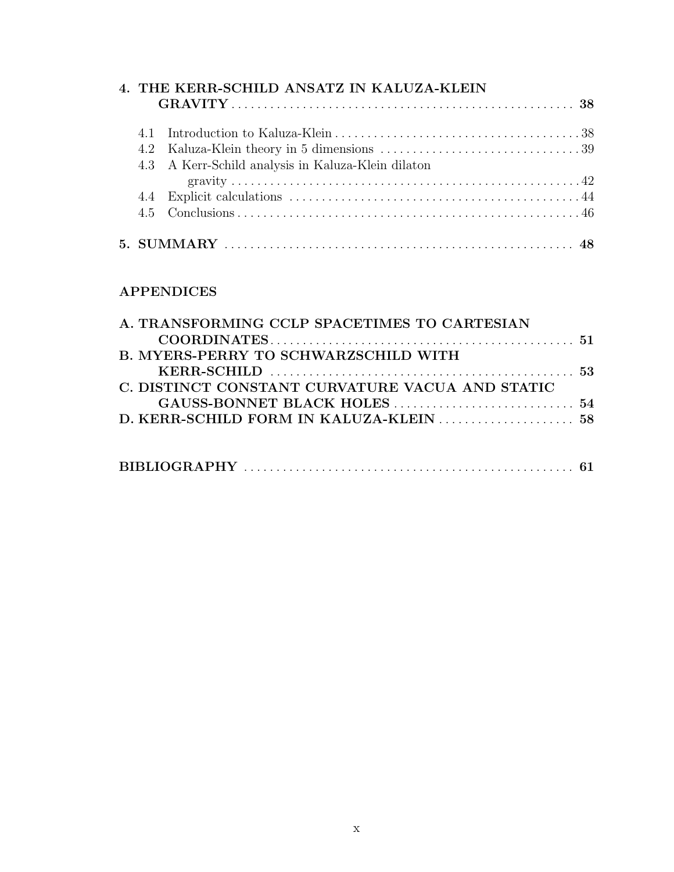| 4. THE KERR-SCHILD ANSATZ IN KALUZA-KLEIN |                                                    |  |  |
|-------------------------------------------|----------------------------------------------------|--|--|
|                                           |                                                    |  |  |
|                                           |                                                    |  |  |
|                                           |                                                    |  |  |
|                                           | 4.3 A Kerr-Schild analysis in Kaluza-Klein dilaton |  |  |
|                                           |                                                    |  |  |
|                                           |                                                    |  |  |
|                                           |                                                    |  |  |

## APPENDICES

| A. TRANSFORMING CCLP SPACETIMES TO CARTESIAN    |  |
|-------------------------------------------------|--|
|                                                 |  |
| <b>B. MYERS-PERRY TO SCHWARZSCHILD WITH</b>     |  |
|                                                 |  |
| C. DISTINCT CONSTANT CURVATURE VACUA AND STATIC |  |
|                                                 |  |
|                                                 |  |
|                                                 |  |
|                                                 |  |
|                                                 |  |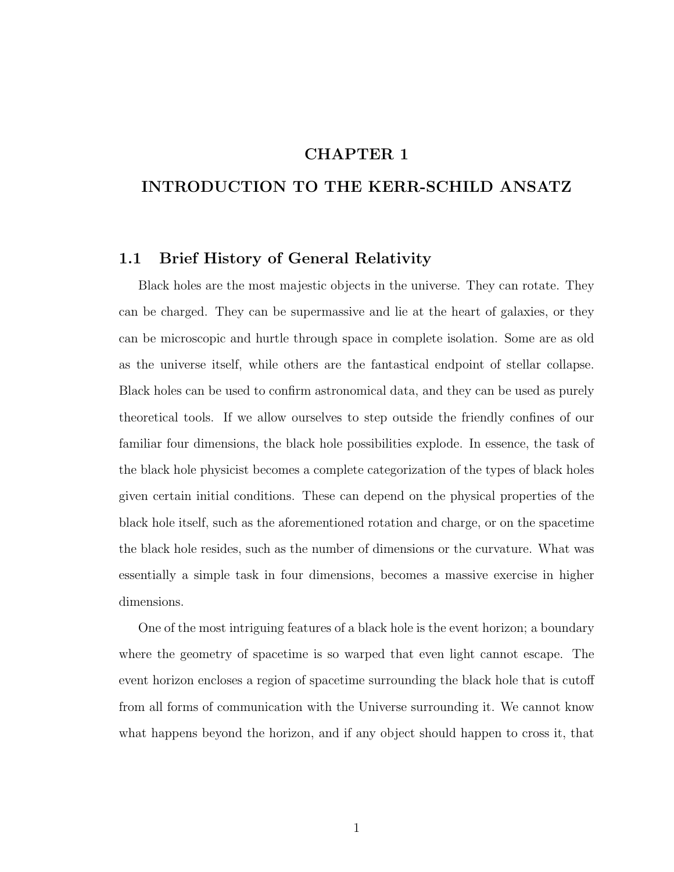## CHAPTER 1

## INTRODUCTION TO THE KERR-SCHILD ANSATZ

#### 1.1 Brief History of General Relativity

Black holes are the most majestic objects in the universe. They can rotate. They can be charged. They can be supermassive and lie at the heart of galaxies, or they can be microscopic and hurtle through space in complete isolation. Some are as old as the universe itself, while others are the fantastical endpoint of stellar collapse. Black holes can be used to confirm astronomical data, and they can be used as purely theoretical tools. If we allow ourselves to step outside the friendly confines of our familiar four dimensions, the black hole possibilities explode. In essence, the task of the black hole physicist becomes a complete categorization of the types of black holes given certain initial conditions. These can depend on the physical properties of the black hole itself, such as the aforementioned rotation and charge, or on the spacetime the black hole resides, such as the number of dimensions or the curvature. What was essentially a simple task in four dimensions, becomes a massive exercise in higher dimensions.

One of the most intriguing features of a black hole is the event horizon; a boundary where the geometry of spacetime is so warped that even light cannot escape. The event horizon encloses a region of spacetime surrounding the black hole that is cutoff from all forms of communication with the Universe surrounding it. We cannot know what happens beyond the horizon, and if any object should happen to cross it, that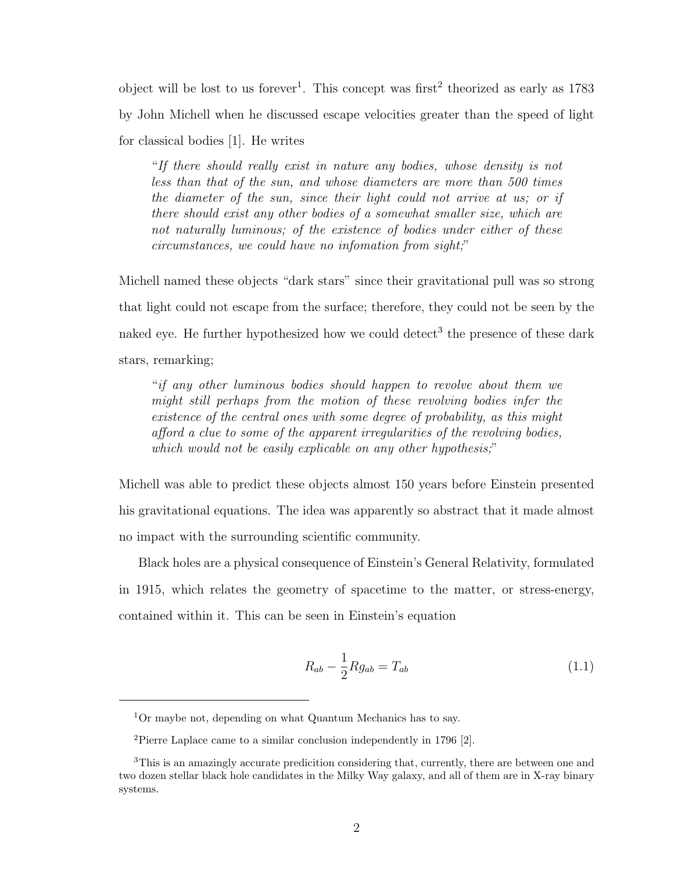object will be lost to us forever<sup>1</sup>. This concept was first<sup>2</sup> theorized as early as  $1783$ by John Michell when he discussed escape velocities greater than the speed of light for classical bodies [1]. He writes

"If there should really exist in nature any bodies, whose density is not less than that of the sun, and whose diameters are more than 500 times the diameter of the sun, since their light could not arrive at us; or if there should exist any other bodies of a somewhat smaller size, which are not naturally luminous; of the existence of bodies under either of these circumstances, we could have no infomation from sight;"

Michell named these objects "dark stars" since their gravitational pull was so strong that light could not escape from the surface; therefore, they could not be seen by the naked eye. He further hypothesized how we could detect<sup>3</sup> the presence of these dark stars, remarking;

"if any other luminous bodies should happen to revolve about them we might still perhaps from the motion of these revolving bodies infer the existence of the central ones with some degree of probability, as this might afford a clue to some of the apparent irregularities of the revolving bodies, which would not be easily explicable on any other hypothesis;"

Michell was able to predict these objects almost 150 years before Einstein presented his gravitational equations. The idea was apparently so abstract that it made almost no impact with the surrounding scientific community.

Black holes are a physical consequence of Einstein's General Relativity, formulated in 1915, which relates the geometry of spacetime to the matter, or stress-energy, contained within it. This can be seen in Einstein's equation

$$
R_{ab} - \frac{1}{2} R g_{ab} = T_{ab} \tag{1.1}
$$

<sup>1</sup>Or maybe not, depending on what Quantum Mechanics has to say.

<sup>2</sup>Pierre Laplace came to a similar conclusion independently in 1796 [2].

<sup>3</sup>This is an amazingly accurate predicition considering that, currently, there are between one and two dozen stellar black hole candidates in the Milky Way galaxy, and all of them are in X-ray binary systems.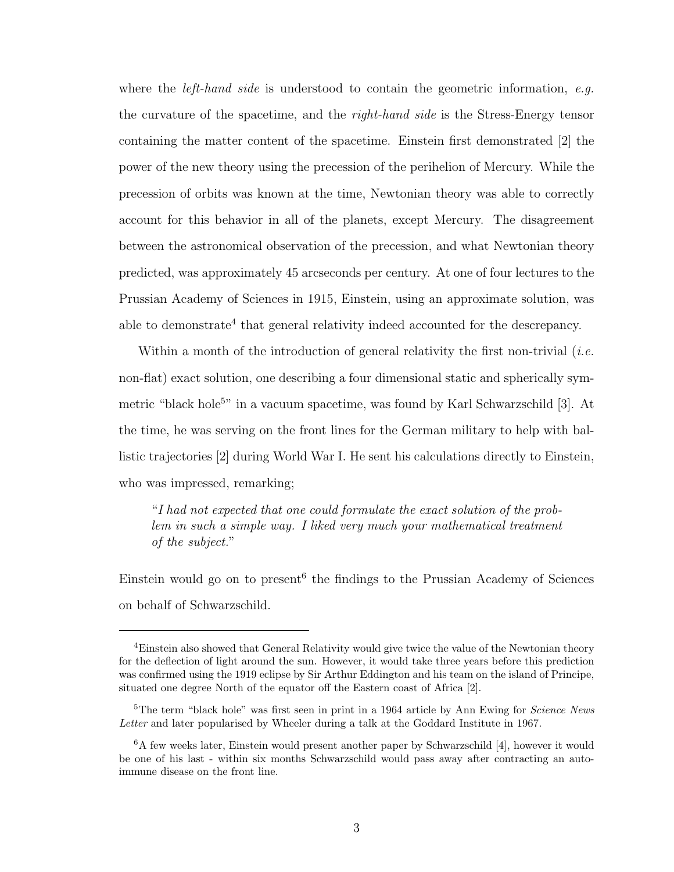where the *left-hand side* is understood to contain the geometric information, e.g. the curvature of the spacetime, and the right-hand side is the Stress-Energy tensor containing the matter content of the spacetime. Einstein first demonstrated [2] the power of the new theory using the precession of the perihelion of Mercury. While the precession of orbits was known at the time, Newtonian theory was able to correctly account for this behavior in all of the planets, except Mercury. The disagreement between the astronomical observation of the precession, and what Newtonian theory predicted, was approximately 45 arcseconds per century. At one of four lectures to the Prussian Academy of Sciences in 1915, Einstein, using an approximate solution, was able to demonstrate<sup>4</sup> that general relativity indeed accounted for the descrepancy.

Within a month of the introduction of general relativity the first non-trivial (*i.e.* non-flat) exact solution, one describing a four dimensional static and spherically symmetric "black hole<sup>5</sup>" in a vacuum spacetime, was found by Karl Schwarzschild [3]. At the time, he was serving on the front lines for the German military to help with ballistic trajectories [2] during World War I. He sent his calculations directly to Einstein, who was impressed, remarking;

"I had not expected that one could formulate the exact solution of the problem in such a simple way. I liked very much your mathematical treatment of the subject."

Einstein would go on to present<sup>6</sup> the findings to the Prussian Academy of Sciences on behalf of Schwarzschild.

<sup>4</sup>Einstein also showed that General Relativity would give twice the value of the Newtonian theory for the deflection of light around the sun. However, it would take three years before this prediction was confirmed using the 1919 eclipse by Sir Arthur Eddington and his team on the island of Principe, situated one degree North of the equator off the Eastern coast of Africa [2].

<sup>&</sup>lt;sup>5</sup>The term "black hole" was first seen in print in a 1964 article by Ann Ewing for *Science News* Letter and later popularised by Wheeler during a talk at the Goddard Institute in 1967.

<sup>&</sup>lt;sup>6</sup>A few weeks later, Einstein would present another paper by Schwarzschild [4], however it would be one of his last - within six months Schwarzschild would pass away after contracting an autoimmune disease on the front line.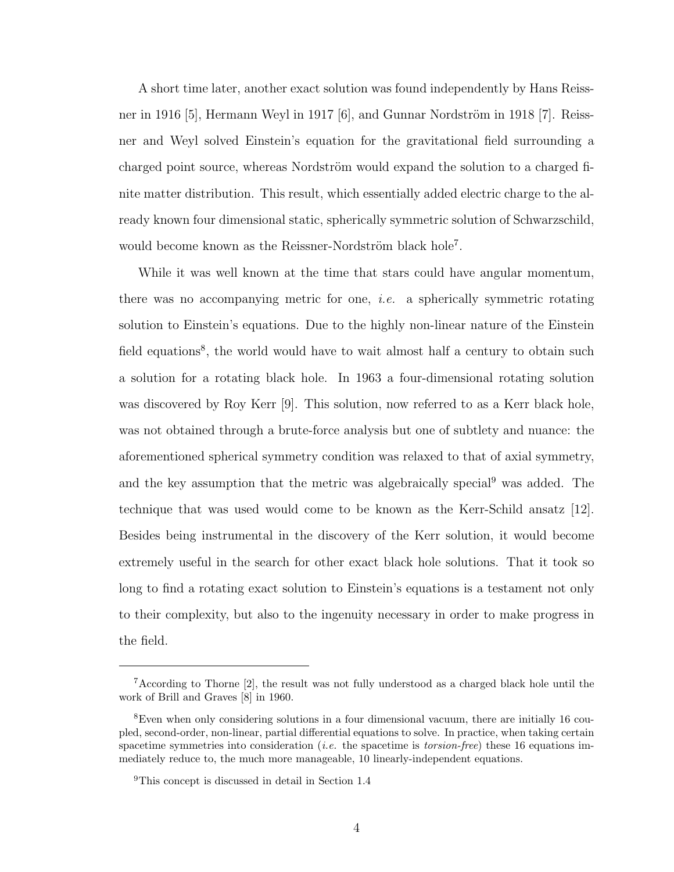A short time later, another exact solution was found independently by Hans Reissner in 1916 [5], Hermann Weyl in 1917 [6], and Gunnar Nordström in 1918 [7]. Reissner and Weyl solved Einstein's equation for the gravitational field surrounding a charged point source, whereas Nordström would expand the solution to a charged finite matter distribution. This result, which essentially added electric charge to the already known four dimensional static, spherically symmetric solution of Schwarzschild, would become known as the Reissner-Nordström black hole<sup>7</sup>.

While it was well known at the time that stars could have angular momentum, there was no accompanying metric for one, i.e. a spherically symmetric rotating solution to Einstein's equations. Due to the highly non-linear nature of the Einstein field equations<sup>8</sup>, the world would have to wait almost half a century to obtain such a solution for a rotating black hole. In 1963 a four-dimensional rotating solution was discovered by Roy Kerr [9]. This solution, now referred to as a Kerr black hole, was not obtained through a brute-force analysis but one of subtlety and nuance: the aforementioned spherical symmetry condition was relaxed to that of axial symmetry, and the key assumption that the metric was algebraically special<sup>9</sup> was added. The technique that was used would come to be known as the Kerr-Schild ansatz [12]. Besides being instrumental in the discovery of the Kerr solution, it would become extremely useful in the search for other exact black hole solutions. That it took so long to find a rotating exact solution to Einstein's equations is a testament not only to their complexity, but also to the ingenuity necessary in order to make progress in the field.

<sup>&</sup>lt;sup>7</sup>According to Thorne  $[2]$ , the result was not fully understood as a charged black hole until the work of Brill and Graves [8] in 1960.

<sup>8</sup>Even when only considering solutions in a four dimensional vacuum, there are initially 16 coupled, second-order, non-linear, partial differential equations to solve. In practice, when taking certain spacetime symmetries into consideration (*i.e.* the spacetime is *torsion-free*) these 16 equations immediately reduce to, the much more manageable, 10 linearly-independent equations.

<sup>9</sup>This concept is discussed in detail in Section 1.4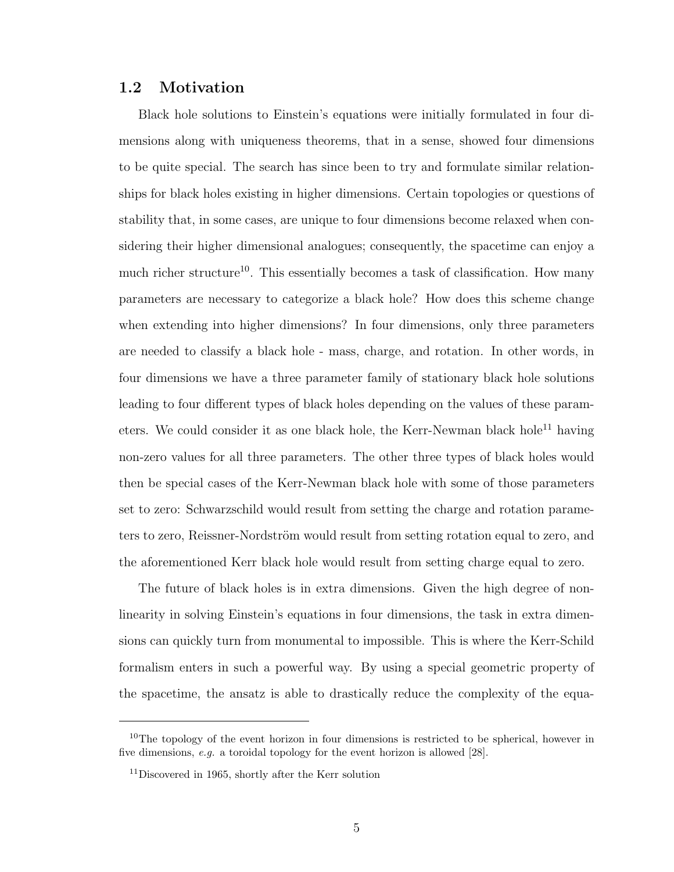### 1.2 Motivation

Black hole solutions to Einstein's equations were initially formulated in four dimensions along with uniqueness theorems, that in a sense, showed four dimensions to be quite special. The search has since been to try and formulate similar relationships for black holes existing in higher dimensions. Certain topologies or questions of stability that, in some cases, are unique to four dimensions become relaxed when considering their higher dimensional analogues; consequently, the spacetime can enjoy a much richer structure<sup>10</sup>. This essentially becomes a task of classification. How many parameters are necessary to categorize a black hole? How does this scheme change when extending into higher dimensions? In four dimensions, only three parameters are needed to classify a black hole - mass, charge, and rotation. In other words, in four dimensions we have a three parameter family of stationary black hole solutions leading to four different types of black holes depending on the values of these parameters. We could consider it as one black hole, the Kerr-Newman black hole<sup>11</sup> having non-zero values for all three parameters. The other three types of black holes would then be special cases of the Kerr-Newman black hole with some of those parameters set to zero: Schwarzschild would result from setting the charge and rotation parameters to zero, Reissner-Nordström would result from setting rotation equal to zero, and the aforementioned Kerr black hole would result from setting charge equal to zero.

The future of black holes is in extra dimensions. Given the high degree of nonlinearity in solving Einstein's equations in four dimensions, the task in extra dimensions can quickly turn from monumental to impossible. This is where the Kerr-Schild formalism enters in such a powerful way. By using a special geometric property of the spacetime, the ansatz is able to drastically reduce the complexity of the equa-

 $10$ The topology of the event horizon in four dimensions is restricted to be spherical, however in five dimensions, e.g. a toroidal topology for the event horizon is allowed [28].

<sup>11</sup>Discovered in 1965, shortly after the Kerr solution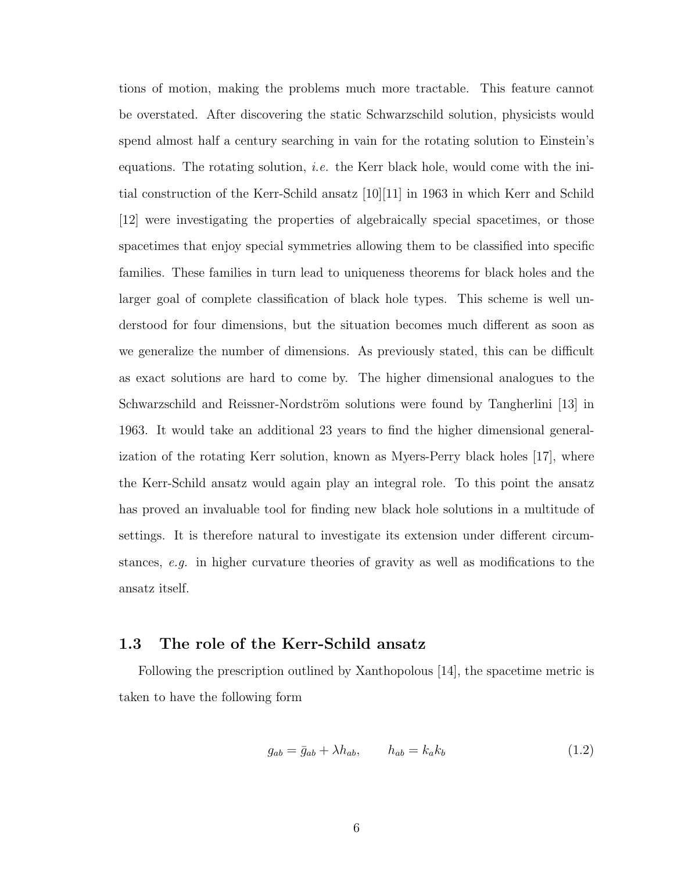tions of motion, making the problems much more tractable. This feature cannot be overstated. After discovering the static Schwarzschild solution, physicists would spend almost half a century searching in vain for the rotating solution to Einstein's equations. The rotating solution, *i.e.* the Kerr black hole, would come with the initial construction of the Kerr-Schild ansatz [10][11] in 1963 in which Kerr and Schild [12] were investigating the properties of algebraically special spacetimes, or those spacetimes that enjoy special symmetries allowing them to be classified into specific families. These families in turn lead to uniqueness theorems for black holes and the larger goal of complete classification of black hole types. This scheme is well understood for four dimensions, but the situation becomes much different as soon as we generalize the number of dimensions. As previously stated, this can be difficult as exact solutions are hard to come by. The higher dimensional analogues to the Schwarzschild and Reissner-Nordström solutions were found by Tangherlini [13] in 1963. It would take an additional 23 years to find the higher dimensional generalization of the rotating Kerr solution, known as Myers-Perry black holes [17], where the Kerr-Schild ansatz would again play an integral role. To this point the ansatz has proved an invaluable tool for finding new black hole solutions in a multitude of settings. It is therefore natural to investigate its extension under different circumstances, e.g. in higher curvature theories of gravity as well as modifications to the ansatz itself.

#### 1.3 The role of the Kerr-Schild ansatz

Following the prescription outlined by Xanthopolous [14], the spacetime metric is taken to have the following form

$$
g_{ab} = \bar{g}_{ab} + \lambda h_{ab}, \qquad h_{ab} = k_a k_b \tag{1.2}
$$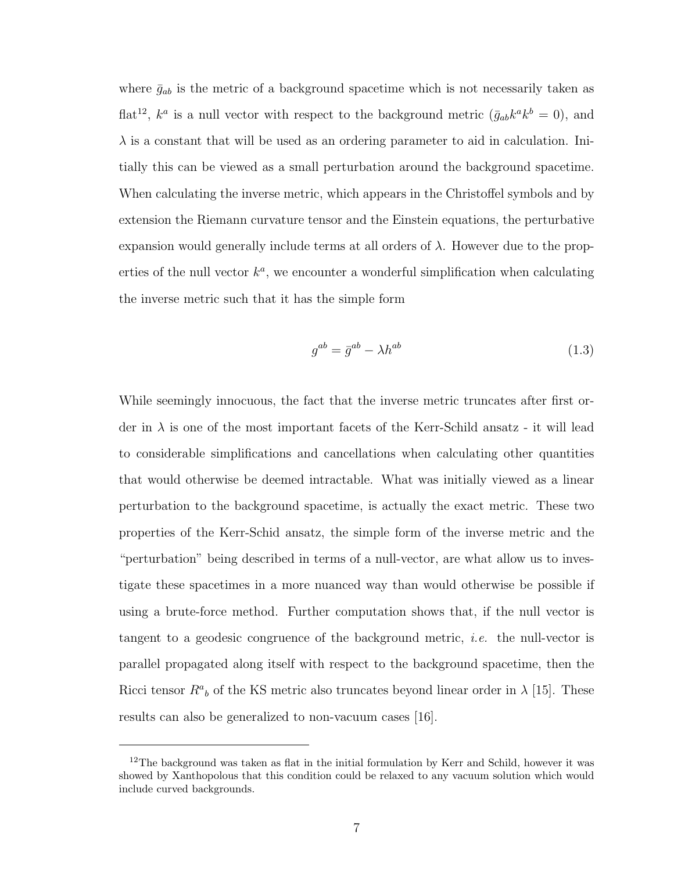where  $\bar{g}_{ab}$  is the metric of a background spacetime which is not necessarily taken as flat<sup>12</sup>,  $k^a$  is a null vector with respect to the background metric  $(\bar{g}_{ab}k^a k^b = 0)$ , and  $\lambda$  is a constant that will be used as an ordering parameter to aid in calculation. Initially this can be viewed as a small perturbation around the background spacetime. When calculating the inverse metric, which appears in the Christoffel symbols and by extension the Riemann curvature tensor and the Einstein equations, the perturbative expansion would generally include terms at all orders of  $\lambda$ . However due to the properties of the null vector  $k^a$ , we encounter a wonderful simplification when calculating the inverse metric such that it has the simple form

$$
g^{ab} = \bar{g}^{ab} - \lambda h^{ab} \tag{1.3}
$$

While seemingly innocuous, the fact that the inverse metric truncates after first order in  $\lambda$  is one of the most important facets of the Kerr-Schild ansatz - it will lead to considerable simplifications and cancellations when calculating other quantities that would otherwise be deemed intractable. What was initially viewed as a linear perturbation to the background spacetime, is actually the exact metric. These two properties of the Kerr-Schid ansatz, the simple form of the inverse metric and the "perturbation" being described in terms of a null-vector, are what allow us to investigate these spacetimes in a more nuanced way than would otherwise be possible if using a brute-force method. Further computation shows that, if the null vector is tangent to a geodesic congruence of the background metric, *i.e.* the null-vector is parallel propagated along itself with respect to the background spacetime, then the Ricci tensor  $R^a{}_b$  of the KS metric also truncates beyond linear order in  $\lambda$  [15]. These results can also be generalized to non-vacuum cases [16].

<sup>&</sup>lt;sup>12</sup>The background was taken as flat in the initial formulation by Kerr and Schild, however it was showed by Xanthopolous that this condition could be relaxed to any vacuum solution which would include curved backgrounds.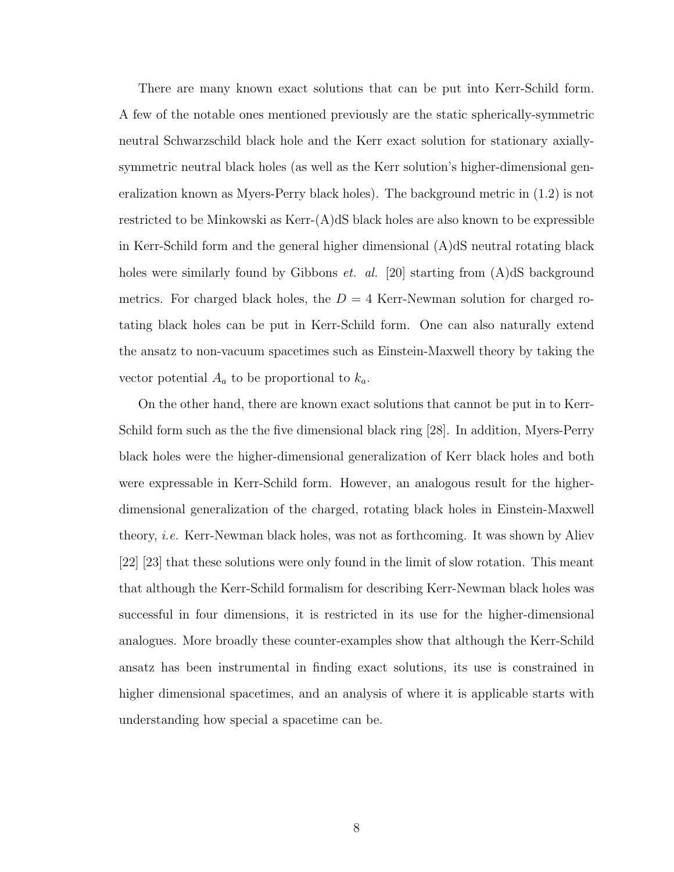There are many known exact solutions that can be put into Kerr-Schild form. A few of the notable ones mentioned previously are the static spherically-symmetric neutral Schwarzschild black hole and the Kerr exact solution for stationary axiallysymmetric neutral black holes (as well as the Kerr solution's higher-dimensional generalization known as Myers-Perry black holes). The background metric in (1.2) is not restricted to be Minkowski as Kerr-(A)dS black holes are also known to be expressible in Kerr-Schild form and the general higher dimensional (A)dS neutral rotating black holes were similarly found by Gibbons *et. al.* [20] starting from  $(A)dS$  background metrics. For charged black holes, the  $D = 4$  Kerr-Newman solution for charged rotating black holes can be put in Kerr-Schild form. One can also naturally extend the ansatz to non-vacuum spacetimes such as Einstein-Maxwell theory by taking the vector potential  $A_a$  to be proportional to  $k_a$ .

On the other hand, there are known exact solutions that cannot be put in to Kerr-Schild form such as the the five dimensional black ring [28]. In addition, Myers-Perry black holes were the higher-dimensional generalization of Kerr black holes and both were expressable in Kerr-Schild form. However, an analogous result for the higherdimensional generalization of the charged, rotating black holes in Einstein-Maxwell theory, i.e. Kerr-Newman black holes, was not as forthcoming. It was shown by Aliev [22] [23] that these solutions were only found in the limit of slow rotation. This meant that although the Kerr-Schild formalism for describing Kerr-Newman black holes was successful in four dimensions, it is restricted in its use for the higher-dimensional analogues. More broadly these counter-examples show that although the Kerr-Schild ansatz has been instrumental in finding exact solutions, its use is constrained in higher dimensional spacetimes, and an analysis of where it is applicable starts with understanding how special a spacetime can be.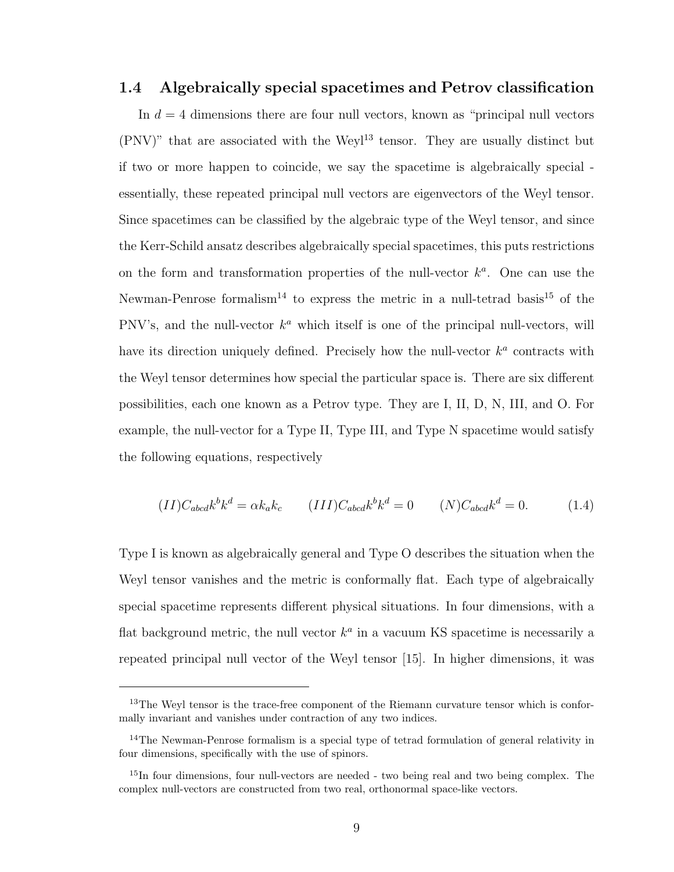#### 1.4 Algebraically special spacetimes and Petrov classification

In  $d = 4$  dimensions there are four null vectors, known as "principal null vectors"  $(PNV)$ " that are associated with the Weyl<sup>13</sup> tensor. They are usually distinct but if two or more happen to coincide, we say the spacetime is algebraically special essentially, these repeated principal null vectors are eigenvectors of the Weyl tensor. Since spacetimes can be classified by the algebraic type of the Weyl tensor, and since the Kerr-Schild ansatz describes algebraically special spacetimes, this puts restrictions on the form and transformation properties of the null-vector  $k^a$ . One can use the Newman-Penrose formalism<sup>14</sup> to express the metric in a null-tetrad basis<sup>15</sup> of the PNV's, and the null-vector  $k^a$  which itself is one of the principal null-vectors, will have its direction uniquely defined. Precisely how the null-vector  $k^a$  contracts with the Weyl tensor determines how special the particular space is. There are six different possibilities, each one known as a Petrov type. They are I, II, D, N, III, and O. For example, the null-vector for a Type II, Type III, and Type N spacetime would satisfy the following equations, respectively

$$
(II)C_{abcd}k^b k^d = \alpha k_a k_c \qquad (III)C_{abcd}k^b k^d = 0 \qquad (N)C_{abcd}k^d = 0. \tag{1.4}
$$

Type I is known as algebraically general and Type O describes the situation when the Weyl tensor vanishes and the metric is conformally flat. Each type of algebraically special spacetime represents different physical situations. In four dimensions, with a flat background metric, the null vector  $k^a$  in a vacuum KS spacetime is necessarily a repeated principal null vector of the Weyl tensor [15]. In higher dimensions, it was

<sup>&</sup>lt;sup>13</sup>The Weyl tensor is the trace-free component of the Riemann curvature tensor which is conformally invariant and vanishes under contraction of any two indices.

<sup>&</sup>lt;sup>14</sup>The Newman-Penrose formalism is a special type of tetrad formulation of general relativity in four dimensions, specifically with the use of spinors.

<sup>&</sup>lt;sup>15</sup>In four dimensions, four null-vectors are needed - two being real and two being complex. The complex null-vectors are constructed from two real, orthonormal space-like vectors.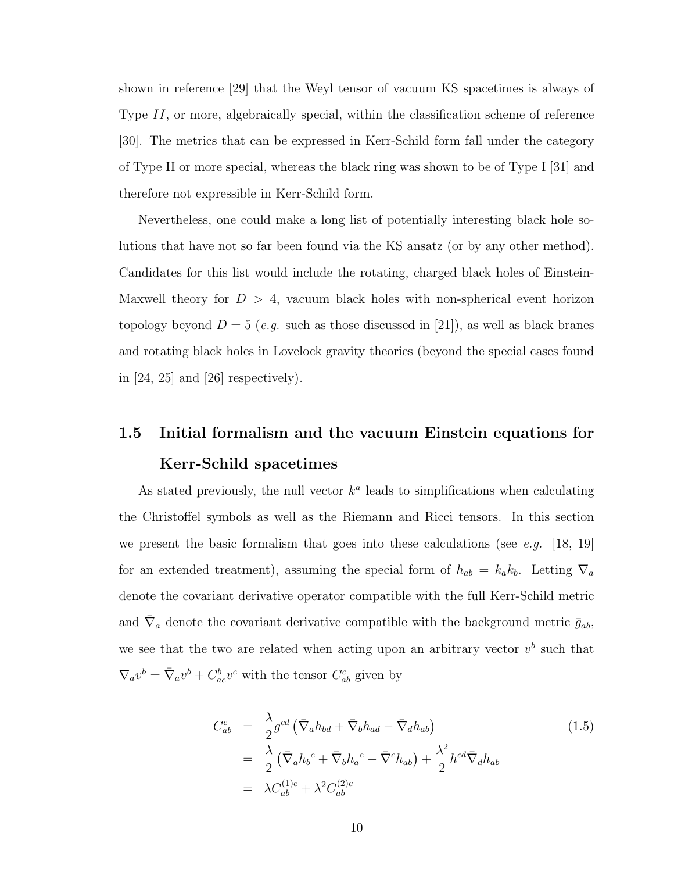shown in reference [29] that the Weyl tensor of vacuum KS spacetimes is always of Type II, or more, algebraically special, within the classification scheme of reference [30]. The metrics that can be expressed in Kerr-Schild form fall under the category of Type II or more special, whereas the black ring was shown to be of Type I [31] and therefore not expressible in Kerr-Schild form.

Nevertheless, one could make a long list of potentially interesting black hole solutions that have not so far been found via the KS ansatz (or by any other method). Candidates for this list would include the rotating, charged black holes of Einstein-Maxwell theory for  $D > 4$ , vacuum black holes with non-spherical event horizon topology beyond  $D = 5$  (e.g. such as those discussed in [21]), as well as black branes and rotating black holes in Lovelock gravity theories (beyond the special cases found in  $[24, 25]$  and  $[26]$  respectively).

# 1.5 Initial formalism and the vacuum Einstein equations for Kerr-Schild spacetimes

As stated previously, the null vector  $k^a$  leads to simplifications when calculating the Christoffel symbols as well as the Riemann and Ricci tensors. In this section we present the basic formalism that goes into these calculations (see e.g. [18, 19] for an extended treatment), assuming the special form of  $h_{ab} = k_a k_b$ . Letting  $\nabla_a$ denote the covariant derivative operator compatible with the full Kerr-Schild metric and  $\bar{\nabla}_a$  denote the covariant derivative compatible with the background metric  $\bar{g}_{ab}$ , we see that the two are related when acting upon an arbitrary vector  $v^b$  such that  $\nabla_a v^b = \overline{\nabla}_a v^b + C^b_{ac} v^c$  with the tensor  $C^c_{ab}$  given by

$$
C_{ab}^{c} = \frac{\lambda}{2} g^{cd} \left( \bar{\nabla}_{a} h_{bd} + \bar{\nabla}_{b} h_{ad} - \bar{\nabla}_{d} h_{ab} \right)
$$
  
\n
$$
= \frac{\lambda}{2} \left( \bar{\nabla}_{a} h_{b}^{c} + \bar{\nabla}_{b} h_{a}^{c} - \bar{\nabla}^{c} h_{ab} \right) + \frac{\lambda^{2}}{2} h^{cd} \bar{\nabla}_{d} h_{ab}
$$
  
\n
$$
= \lambda C_{ab}^{(1)c} + \lambda^{2} C_{ab}^{(2)c}
$$
\n(1.5)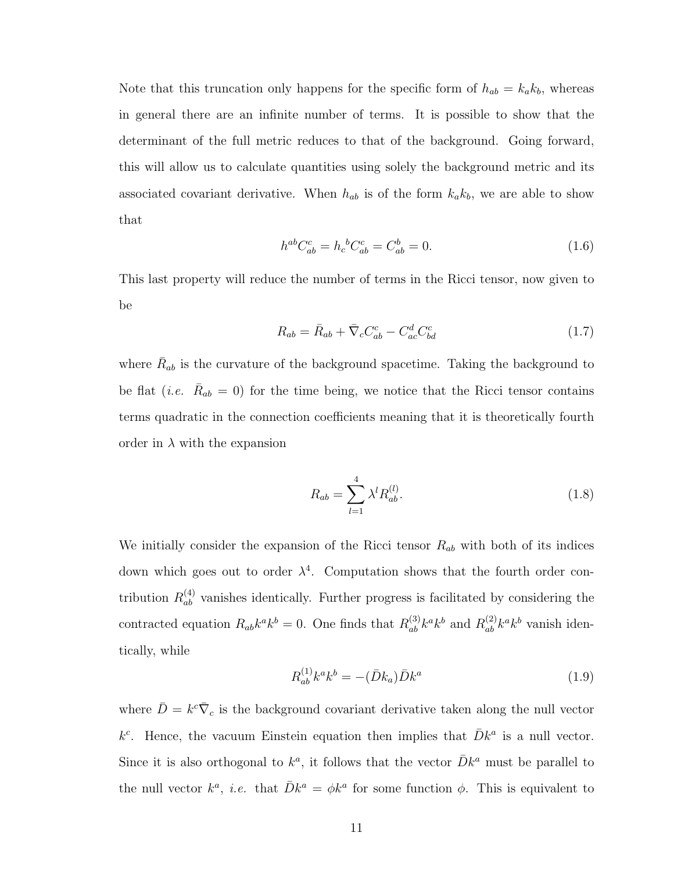Note that this truncation only happens for the specific form of  $h_{ab} = k_a k_b$ , whereas in general there are an infinite number of terms. It is possible to show that the determinant of the full metric reduces to that of the background. Going forward, this will allow us to calculate quantities using solely the background metric and its associated covariant derivative. When  $h_{ab}$  is of the form  $k_a k_b$ , we are able to show that

$$
h^{ab}C_{ab}^c = h_c{}^b C_{ab}^c = C_{ab}^b = 0.
$$
\n(1.6)

This last property will reduce the number of terms in the Ricci tensor, now given to be

$$
R_{ab} = \bar{R}_{ab} + \bar{\nabla}_c C_{ab}^c - C_{ac}^d C_{bd}^c \tag{1.7}
$$

where  $\bar{R}_{ab}$  is the curvature of the background spacetime. Taking the background to be flat (*i.e.*  $\bar{R}_{ab} = 0$ ) for the time being, we notice that the Ricci tensor contains terms quadratic in the connection coefficients meaning that it is theoretically fourth order in  $\lambda$  with the expansion

$$
R_{ab} = \sum_{l=1}^{4} \lambda^l R_{ab}^{(l)}.
$$
 (1.8)

We initially consider the expansion of the Ricci tensor  $R_{ab}$  with both of its indices down which goes out to order  $\lambda^4$ . Computation shows that the fourth order contribution  $R_{ab}^{(4)}$  vanishes identically. Further progress is facilitated by considering the contracted equation  $R_{ab}k^a k^b = 0$ . One finds that  $R_{ab}^{(3)}k^a k^b$  and  $R_{ab}^{(2)}k^a k^b$  vanish identically, while

$$
R_{ab}^{(1)}k^a k^b = -(\bar{D}k_a)\bar{D}k^a \tag{1.9}
$$

where  $\bar{D} = k^c \bar{\nabla}_c$  is the background covariant derivative taken along the null vector  $k^c$ . Hence, the vacuum Einstein equation then implies that  $\bar{D}k^a$  is a null vector. Since it is also orthogonal to  $k^a$ , it follows that the vector  $\bar{D}k^a$  must be parallel to the null vector  $k^a$ , *i.e.* that  $\bar{D}k^a = \phi k^a$  for some function  $\phi$ . This is equivalent to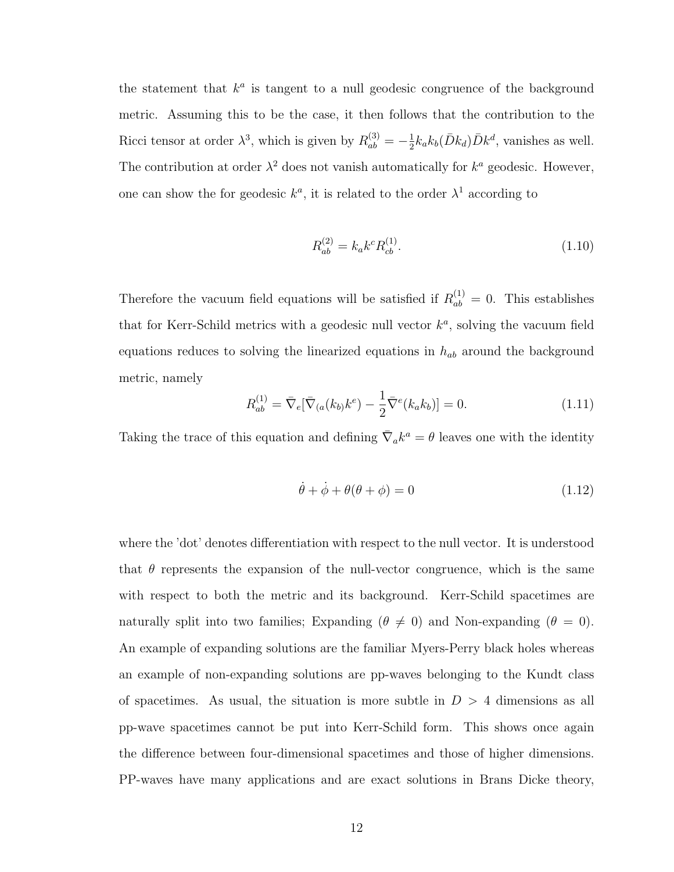the statement that  $k^a$  is tangent to a null geodesic congruence of the background metric. Assuming this to be the case, it then follows that the contribution to the Ricci tensor at order  $\lambda^3$ , which is given by  $R_{ab}^{(3)} = -\frac{1}{2}$  $\frac{1}{2}k_{a}k_{b}(\bar{D}k_{d})\bar{D}k^{d}$ , vanishes as well. The contribution at order  $\lambda^2$  does not vanish automatically for  $k^a$  geodesic. However, one can show the for geodesic  $k^a$ , it is related to the order  $\lambda^1$  according to

$$
R_{ab}^{(2)} = k_a k^c R_{cb}^{(1)}.
$$
\n(1.10)

Therefore the vacuum field equations will be satisfied if  $R_{ab}^{(1)} = 0$ . This establishes that for Kerr-Schild metrics with a geodesic null vector  $k^a$ , solving the vacuum field equations reduces to solving the linearized equations in  $h_{ab}$  around the background metric, namely

$$
R_{ab}^{(1)} = \bar{\nabla}_e [\bar{\nabla}_a(k_b)k^e) - \frac{1}{2}\bar{\nabla}^e(k_a k_b)] = 0.
$$
 (1.11)

Taking the trace of this equation and defining  $\bar{\nabla}_a k^a = \theta$  leaves one with the identity

$$
\dot{\theta} + \dot{\phi} + \theta(\theta + \phi) = 0 \tag{1.12}
$$

where the 'dot' denotes differentiation with respect to the null vector. It is understood that  $\theta$  represents the expansion of the null-vector congruence, which is the same with respect to both the metric and its background. Kerr-Schild spacetimes are naturally split into two families; Expanding ( $\theta \neq 0$ ) and Non-expanding ( $\theta = 0$ ). An example of expanding solutions are the familiar Myers-Perry black holes whereas an example of non-expanding solutions are pp-waves belonging to the Kundt class of spacetimes. As usual, the situation is more subtle in  $D > 4$  dimensions as all pp-wave spacetimes cannot be put into Kerr-Schild form. This shows once again the difference between four-dimensional spacetimes and those of higher dimensions. PP-waves have many applications and are exact solutions in Brans Dicke theory,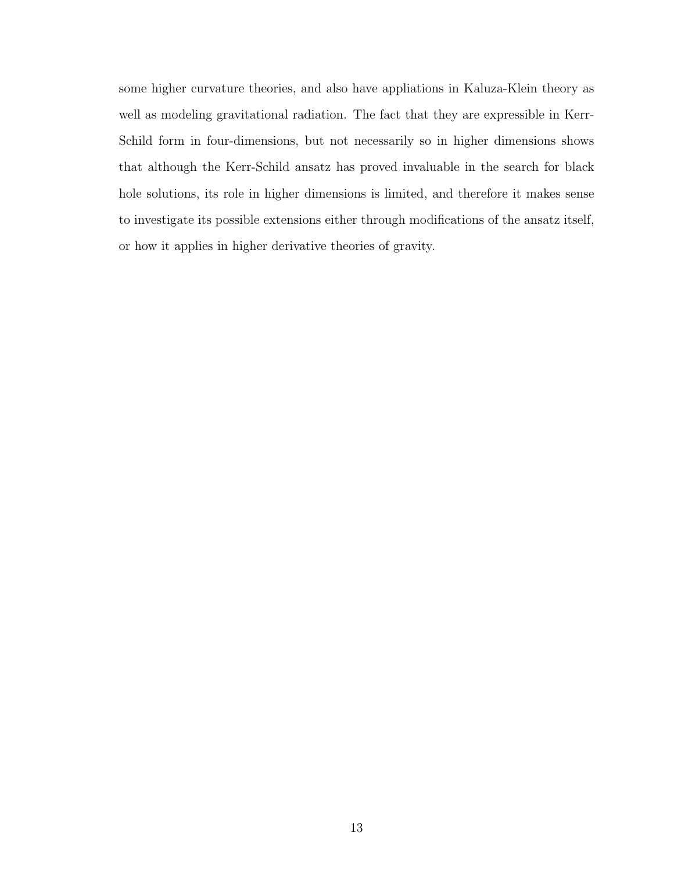some higher curvature theories, and also have appliations in Kaluza-Klein theory as well as modeling gravitational radiation. The fact that they are expressible in Kerr-Schild form in four-dimensions, but not necessarily so in higher dimensions shows that although the Kerr-Schild ansatz has proved invaluable in the search for black hole solutions, its role in higher dimensions is limited, and therefore it makes sense to investigate its possible extensions either through modifications of the ansatz itself, or how it applies in higher derivative theories of gravity.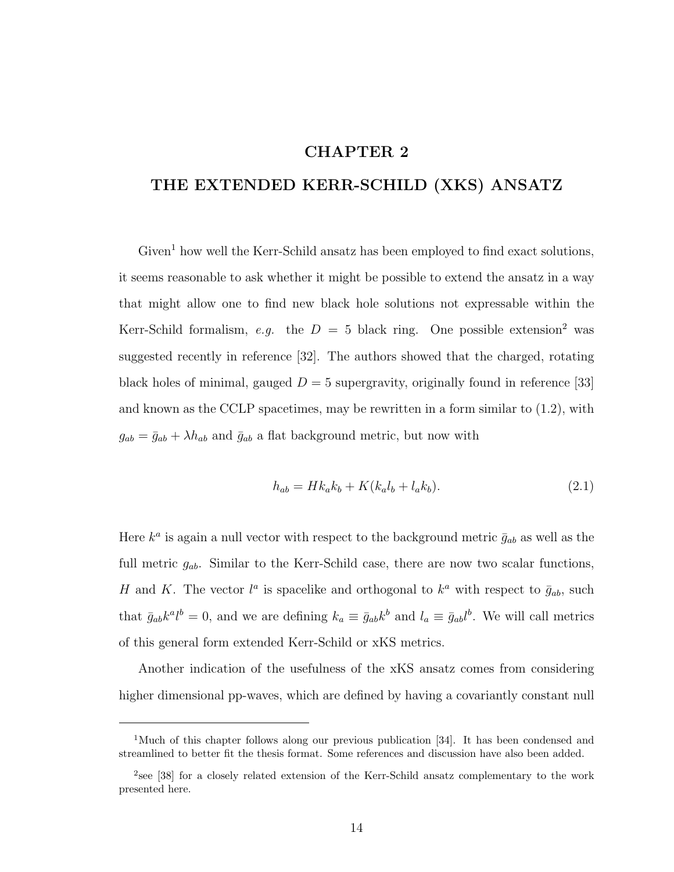## CHAPTER 2

## THE EXTENDED KERR-SCHILD (XKS) ANSATZ

Given<sup>1</sup> how well the Kerr-Schild ansatz has been employed to find exact solutions, it seems reasonable to ask whether it might be possible to extend the ansatz in a way that might allow one to find new black hole solutions not expressable within the Kerr-Schild formalism, e.g. the  $D = 5$  black ring. One possible extension<sup>2</sup> was suggested recently in reference [32]. The authors showed that the charged, rotating black holes of minimal, gauged  $D = 5$  supergravity, originally found in reference [33] and known as the CCLP spacetimes, may be rewritten in a form similar to (1.2), with  $g_{ab} = \bar{g}_{ab} + \lambda h_{ab}$  and  $\bar{g}_{ab}$  a flat background metric, but now with

$$
h_{ab} = Hk_a k_b + K(k_a l_b + l_a k_b).
$$
 (2.1)

Here  $k^a$  is again a null vector with respect to the background metric  $\bar{g}_{ab}$  as well as the full metric  $g_{ab}$ . Similar to the Kerr-Schild case, there are now two scalar functions, H and K. The vector  $l^a$  is spacelike and orthogonal to  $k^a$  with respect to  $\bar{g}_{ab}$ , such that  $\bar{g}_{ab}k^a l^b = 0$ , and we are defining  $k_a \equiv \bar{g}_{ab}k^b$  and  $l_a \equiv \bar{g}_{ab}l^b$ . We will call metrics of this general form extended Kerr-Schild or xKS metrics.

Another indication of the usefulness of the xKS ansatz comes from considering higher dimensional pp-waves, which are defined by having a covariantly constant null

<sup>&</sup>lt;sup>1</sup>Much of this chapter follows along our previous publication [34]. It has been condensed and streamlined to better fit the thesis format. Some references and discussion have also been added.

<sup>&</sup>lt;sup>2</sup>see [38] for a closely related extension of the Kerr-Schild ansatz complementary to the work presented here.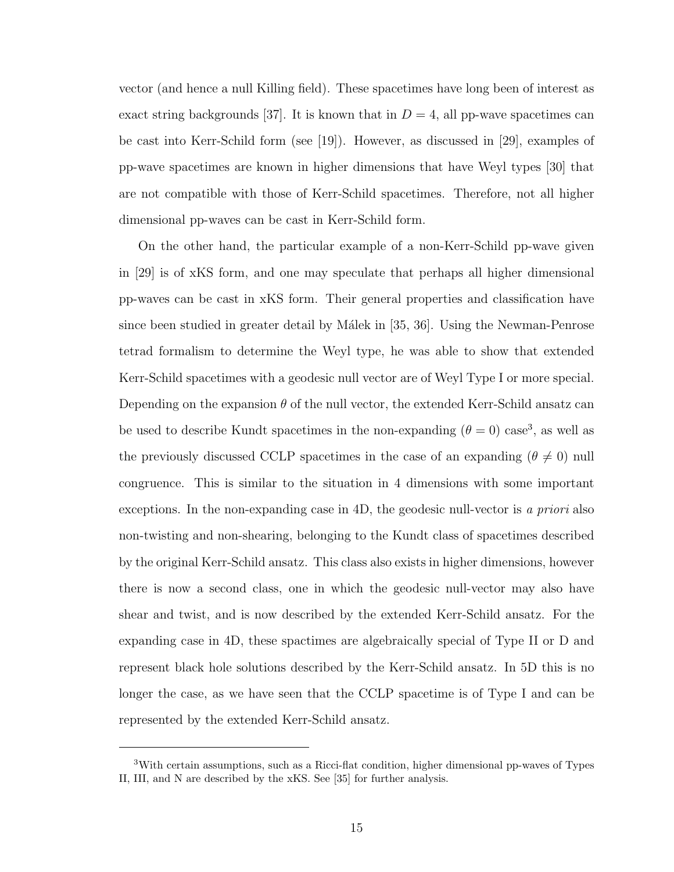vector (and hence a null Killing field). These spacetimes have long been of interest as exact string backgrounds [37]. It is known that in  $D = 4$ , all pp-wave spacetimes can be cast into Kerr-Schild form (see [19]). However, as discussed in [29], examples of pp-wave spacetimes are known in higher dimensions that have Weyl types [30] that are not compatible with those of Kerr-Schild spacetimes. Therefore, not all higher dimensional pp-waves can be cast in Kerr-Schild form.

On the other hand, the particular example of a non-Kerr-Schild pp-wave given in [29] is of xKS form, and one may speculate that perhaps all higher dimensional pp-waves can be cast in xKS form. Their general properties and classification have since been studied in greater detail by Málek in [35, 36]. Using the Newman-Penrose tetrad formalism to determine the Weyl type, he was able to show that extended Kerr-Schild spacetimes with a geodesic null vector are of Weyl Type I or more special. Depending on the expansion  $\theta$  of the null vector, the extended Kerr-Schild ansatz can be used to describe Kundt spacetimes in the non-expanding  $(\theta = 0)$  case<sup>3</sup>, as well as the previously discussed CCLP spacetimes in the case of an expanding  $(\theta \neq 0)$  null congruence. This is similar to the situation in 4 dimensions with some important exceptions. In the non-expanding case in 4D, the geodesic null-vector is a priori also non-twisting and non-shearing, belonging to the Kundt class of spacetimes described by the original Kerr-Schild ansatz. This class also exists in higher dimensions, however there is now a second class, one in which the geodesic null-vector may also have shear and twist, and is now described by the extended Kerr-Schild ansatz. For the expanding case in 4D, these spactimes are algebraically special of Type II or D and represent black hole solutions described by the Kerr-Schild ansatz. In 5D this is no longer the case, as we have seen that the CCLP spacetime is of Type I and can be represented by the extended Kerr-Schild ansatz.

<sup>3</sup>With certain assumptions, such as a Ricci-flat condition, higher dimensional pp-waves of Types II, III, and N are described by the xKS. See [35] for further analysis.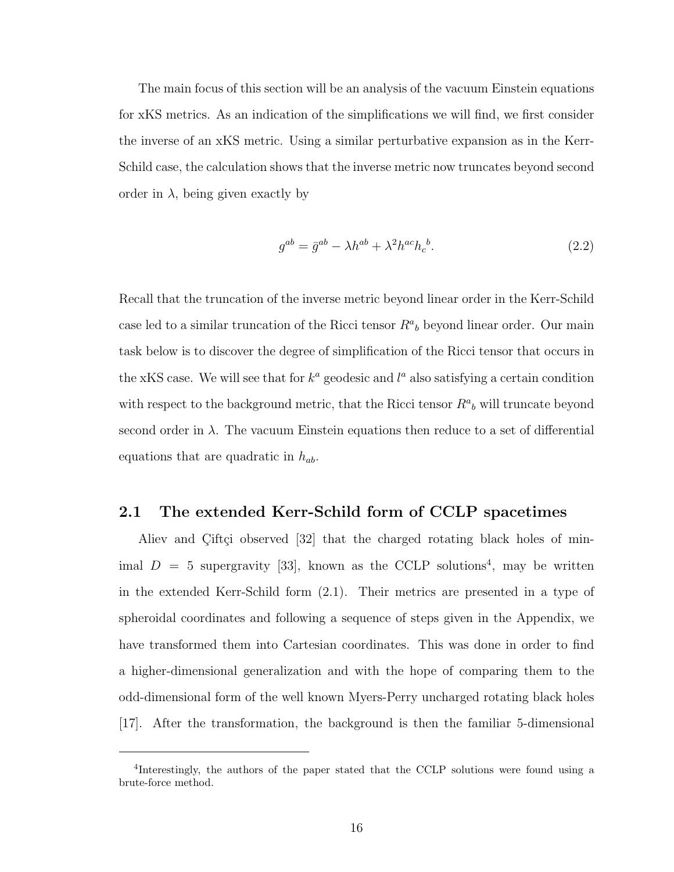The main focus of this section will be an analysis of the vacuum Einstein equations for xKS metrics. As an indication of the simplifications we will find, we first consider the inverse of an xKS metric. Using a similar perturbative expansion as in the Kerr-Schild case, the calculation shows that the inverse metric now truncates beyond second order in  $\lambda$ , being given exactly by

$$
g^{ab} = \bar{g}^{ab} - \lambda h^{ab} + \lambda^2 h^{ac} h_c^b. \tag{2.2}
$$

Recall that the truncation of the inverse metric beyond linear order in the Kerr-Schild case led to a similar truncation of the Ricci tensor  $R^a{}_b$  beyond linear order. Our main task below is to discover the degree of simplification of the Ricci tensor that occurs in the xKS case. We will see that for  $k^a$  geodesic and  $l^a$  also satisfying a certain condition with respect to the background metric, that the Ricci tensor  $R^a{}_b$  will truncate beyond second order in  $\lambda$ . The vacuum Einstein equations then reduce to a set of differential equations that are quadratic in  $h_{ab}$ .

#### 2.1 The extended Kerr-Schild form of CCLP spacetimes

Aliev and Ciftçi observed  $[32]$  that the charged rotating black holes of minimal  $D = 5$  supergravity [33], known as the CCLP solutions<sup>4</sup>, may be written in the extended Kerr-Schild form (2.1). Their metrics are presented in a type of spheroidal coordinates and following a sequence of steps given in the Appendix, we have transformed them into Cartesian coordinates. This was done in order to find a higher-dimensional generalization and with the hope of comparing them to the odd-dimensional form of the well known Myers-Perry uncharged rotating black holes [17]. After the transformation, the background is then the familiar 5-dimensional

<sup>&</sup>lt;sup>4</sup>Interestingly, the authors of the paper stated that the CCLP solutions were found using a brute-force method.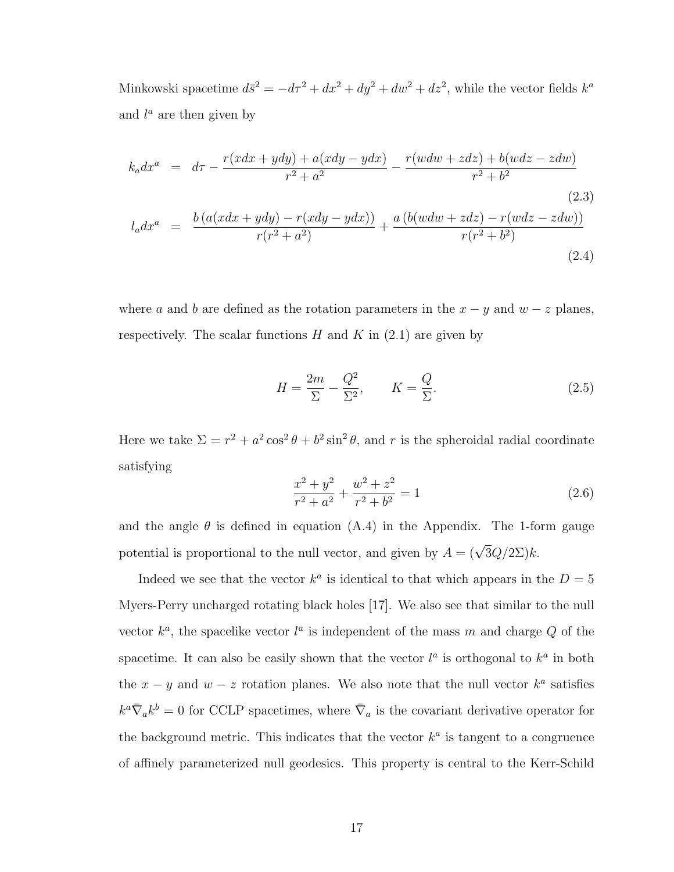Minkowski spacetime  $d\bar{s}^2 = -d\tau^2 + dx^2 + dy^2 + dw^2 + dz^2$ , while the vector fields  $k^a$ and  $l^a$  are then given by

$$
k_a dx^a = d\tau - \frac{r(xdx + ydy) + a(xdy - ydx)}{r^2 + a^2} - \frac{r(wdw + zdz) + b(wdz - zdw)}{r^2 + b^2}
$$
\n(2.3)\n
$$
l_a dx^a = \frac{b(a(xdx + ydy) - r(xdy - ydx))}{r(r^2 + a^2)} + \frac{a(b(wdw + zdz) - r(wdz - zdw))}{r(r^2 + b^2)}
$$
\n(2.4)

where a and b are defined as the rotation parameters in the  $x - y$  and  $w - z$  planes, respectively. The scalar functions  $H$  and  $K$  in  $(2.1)$  are given by

$$
H = \frac{2m}{\Sigma} - \frac{Q^2}{\Sigma^2}, \qquad K = \frac{Q}{\Sigma}.
$$
\n(2.5)

Here we take  $\Sigma = r^2 + a^2 \cos^2 \theta + b^2 \sin^2 \theta$ , and r is the spheroidal radial coordinate satisfying

$$
\frac{x^2 + y^2}{r^2 + a^2} + \frac{w^2 + z^2}{r^2 + b^2} = 1
$$
\n(2.6)

and the angle  $\theta$  is defined in equation (A.4) in the Appendix. The 1-form gauge potential is proportional to the null vector, and given by  $A = (\sqrt{3}Q/2\Sigma)k$ .

Indeed we see that the vector  $k^a$  is identical to that which appears in the  $D=5$ Myers-Perry uncharged rotating black holes [17]. We also see that similar to the null vector  $k^a$ , the spacelike vector  $l^a$  is independent of the mass m and charge Q of the spacetime. It can also be easily shown that the vector  $l^a$  is orthogonal to  $k^a$  in both the  $x - y$  and  $w - z$  rotation planes. We also note that the null vector  $k<sup>a</sup>$  satisfies  $k^a \bar{\nabla}_a k^b = 0$  for CCLP spacetimes, where  $\bar{\nabla}_a$  is the covariant derivative operator for the background metric. This indicates that the vector  $k^a$  is tangent to a congruence of affinely parameterized null geodesics. This property is central to the Kerr-Schild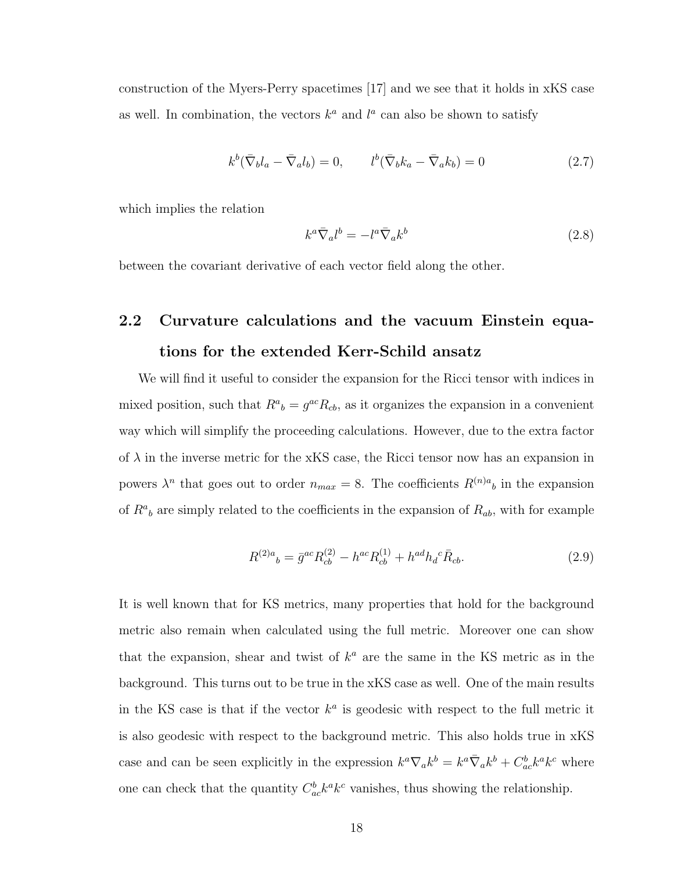construction of the Myers-Perry spacetimes [17] and we see that it holds in xKS case as well. In combination, the vectors  $k^a$  and  $l^a$  can also be shown to satisfy

$$
k^b(\bar{\nabla}_b l_a - \bar{\nabla}_a l_b) = 0, \qquad l^b(\bar{\nabla}_b k_a - \bar{\nabla}_a k_b) = 0 \tag{2.7}
$$

which implies the relation

$$
k^a \bar{\nabla}_a l^b = -l^a \bar{\nabla}_a k^b \tag{2.8}
$$

between the covariant derivative of each vector field along the other.

# 2.2 Curvature calculations and the vacuum Einstein equations for the extended Kerr-Schild ansatz

We will find it useful to consider the expansion for the Ricci tensor with indices in mixed position, such that  $R^a{}_b = g^{ac}R_{cb}$ , as it organizes the expansion in a convenient way which will simplify the proceeding calculations. However, due to the extra factor of  $\lambda$  in the inverse metric for the xKS case, the Ricci tensor now has an expansion in powers  $\lambda^n$  that goes out to order  $n_{max} = 8$ . The coefficients  $R^{(n)a}{}_{b}$  in the expansion of  $R^a{}_b$  are simply related to the coefficients in the expansion of  $R_{ab}$ , with for example

$$
R^{(2)a}{}_{b} = \bar{g}^{ac} R^{(2)}_{cb} - h^{ac} R^{(1)}_{cb} + h^{ad} h_{d}{}^{c} \bar{R}_{cb}.
$$
\n(2.9)

It is well known that for KS metrics, many properties that hold for the background metric also remain when calculated using the full metric. Moreover one can show that the expansion, shear and twist of  $k^a$  are the same in the KS metric as in the background. This turns out to be true in the xKS case as well. One of the main results in the KS case is that if the vector  $k^a$  is geodesic with respect to the full metric it is also geodesic with respect to the background metric. This also holds true in xKS case and can be seen explicitly in the expression  $k^a \nabla_a k^b = k^a \bar{\nabla}_a k^b + C^b_{ac} k^a k^c$  where one can check that the quantity  $C_{ac}^b k^a k^c$  vanishes, thus showing the relationship.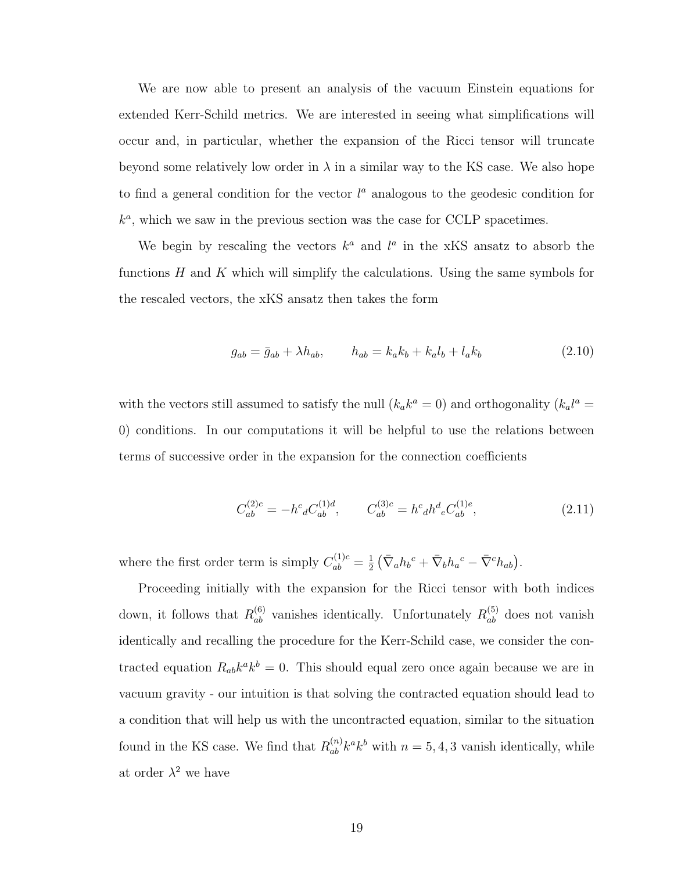We are now able to present an analysis of the vacuum Einstein equations for extended Kerr-Schild metrics. We are interested in seeing what simplifications will occur and, in particular, whether the expansion of the Ricci tensor will truncate beyond some relatively low order in  $\lambda$  in a similar way to the KS case. We also hope to find a general condition for the vector  $l^a$  analogous to the geodesic condition for  $k^a$ , which we saw in the previous section was the case for CCLP spacetimes.

We begin by rescaling the vectors  $k^a$  and  $l^a$  in the xKS ansatz to absorb the functions  $H$  and  $K$  which will simplify the calculations. Using the same symbols for the rescaled vectors, the xKS ansatz then takes the form

$$
g_{ab} = \bar{g}_{ab} + \lambda h_{ab}, \qquad h_{ab} = k_a k_b + k_a l_b + l_a k_b \tag{2.10}
$$

with the vectors still assumed to satisfy the null  $(k_a k^a = 0)$  and orthogonality  $(k_a l^a = 0)$ 0) conditions. In our computations it will be helpful to use the relations between terms of successive order in the expansion for the connection coefficients

$$
C_{ab}^{(2)c} = -h^c{}_d C_{ab}^{(1)d}, \qquad C_{ab}^{(3)c} = h^c{}_d h^d{}_e C_{ab}^{(1)e}, \tag{2.11}
$$

where the first order term is simply  $C_{ab}^{(1)c} = \frac{1}{2}$  $\frac{1}{2} \left( \bar{\nabla}_a h_b{}^c + \bar{\nabla}_b h_a{}^c - \bar{\nabla}^c h_{ab} \right).$ 

Proceeding initially with the expansion for the Ricci tensor with both indices down, it follows that  $R_{ab}^{(6)}$  vanishes identically. Unfortunately  $R_{ab}^{(5)}$  does not vanish identically and recalling the procedure for the Kerr-Schild case, we consider the contracted equation  $R_{ab}k^a k^b = 0$ . This should equal zero once again because we are in vacuum gravity - our intuition is that solving the contracted equation should lead to a condition that will help us with the uncontracted equation, similar to the situation found in the KS case. We find that  $R_{ab}^{(n)}k^ak^b$  with  $n = 5, 4, 3$  vanish identically, while at order  $\lambda^2$  we have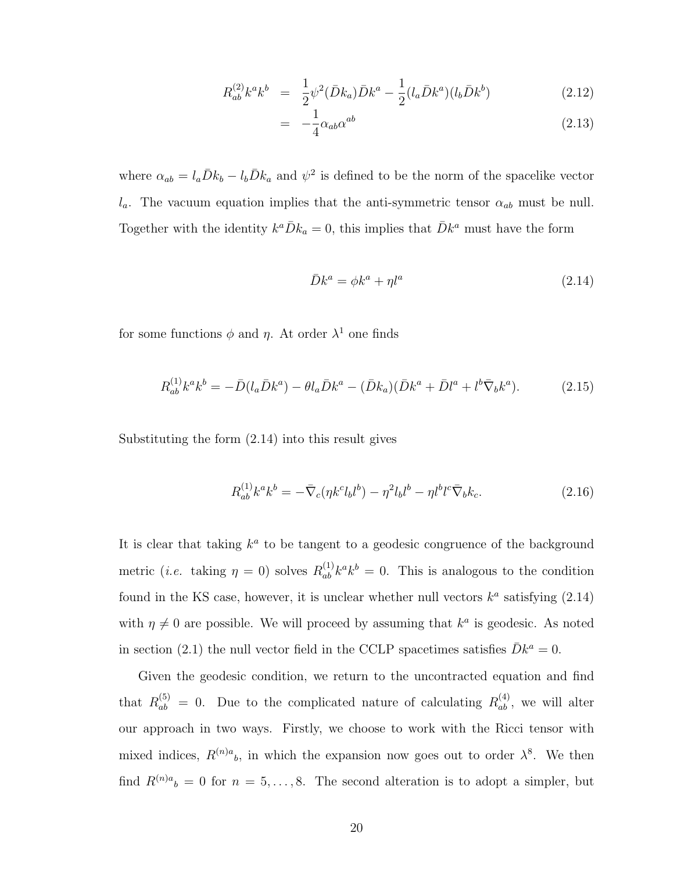$$
R_{ab}^{(2)}k^a k^b = \frac{1}{2}\psi^2(\bar{D}k_a)\bar{D}k^a - \frac{1}{2}(l_a\bar{D}k^a)(l_b\bar{D}k^b)
$$
 (2.12)

$$
= -\frac{1}{4} \alpha_{ab} \alpha^{ab} \tag{2.13}
$$

where  $\alpha_{ab} = l_a \bar{D}k_b - l_b \bar{D}k_a$  and  $\psi^2$  is defined to be the norm of the spacelike vector  $l_a$ . The vacuum equation implies that the anti-symmetric tensor  $\alpha_{ab}$  must be null. Together with the identity  $k^a \overline{D} k_a = 0$ , this implies that  $\overline{D} k^a$  must have the form

$$
\bar{D}k^a = \phi k^a + \eta l^a \tag{2.14}
$$

for some functions  $\phi$  and  $\eta$ . At order  $\lambda^1$  one finds

$$
R_{ab}^{(1)}k^{a}k^{b} = -\bar{D}(l_{a}\bar{D}k^{a}) - \theta l_{a}\bar{D}k^{a} - (\bar{D}k_{a})(\bar{D}k^{a} + \bar{D}l^{a} + l^{b}\bar{\nabla}_{b}k^{a}).
$$
 (2.15)

Substituting the form (2.14) into this result gives

$$
R_{ab}^{(1)}k^{a}k^{b} = -\bar{\nabla}_{c}(\eta k^{c}l_{b}l^{b}) - \eta^{2}l_{b}l^{b} - \eta l^{b}l^{c}\bar{\nabla}_{b}k_{c}.
$$
 (2.16)

It is clear that taking  $k^a$  to be tangent to a geodesic congruence of the background metric (*i.e.* taking  $\eta = 0$ ) solves  $R_{ab}^{(1)} k^a k^b = 0$ . This is analogous to the condition found in the KS case, however, it is unclear whether null vectors  $k^a$  satisfying  $(2.14)$ with  $\eta \neq 0$  are possible. We will proceed by assuming that  $k^a$  is geodesic. As noted in section (2.1) the null vector field in the CCLP spacetimes satisfies  $\bar{D}k^a = 0$ .

Given the geodesic condition, we return to the uncontracted equation and find that  $R_{ab}^{(5)} = 0$ . Due to the complicated nature of calculating  $R_{ab}^{(4)}$ , we will alter our approach in two ways. Firstly, we choose to work with the Ricci tensor with mixed indices,  $R^{(n)a}$ <sub>b</sub>, in which the expansion now goes out to order  $\lambda^8$ . We then find  $R^{(n)a}{}_{b} = 0$  for  $n = 5, \ldots, 8$ . The second alteration is to adopt a simpler, but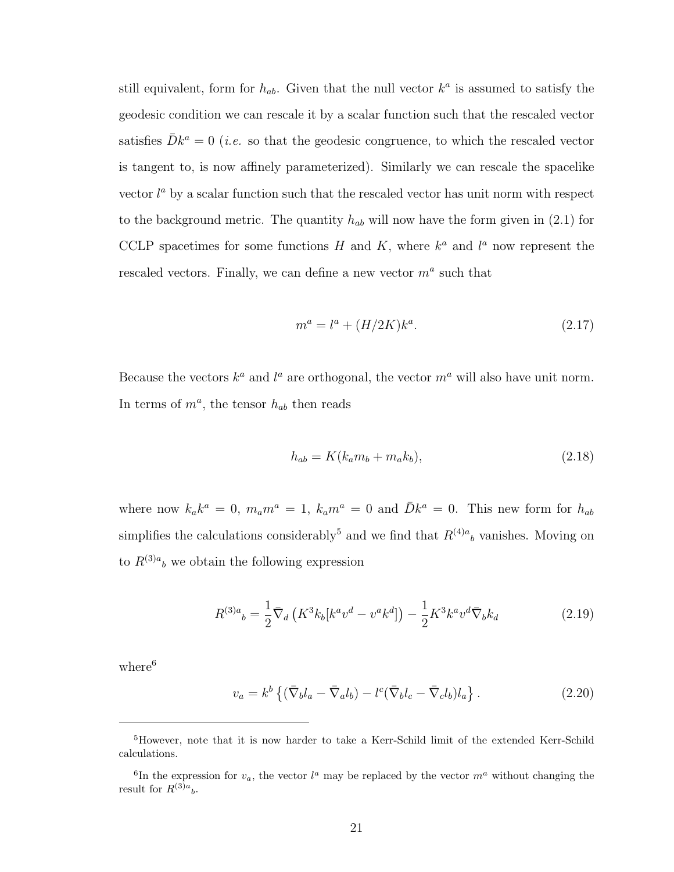still equivalent, form for  $h_{ab}$ . Given that the null vector  $k^a$  is assumed to satisfy the geodesic condition we can rescale it by a scalar function such that the rescaled vector satisfies  $\bar{D}k^a = 0$  (*i.e.* so that the geodesic congruence, to which the rescaled vector is tangent to, is now affinely parameterized). Similarly we can rescale the spacelike vector  $l^a$  by a scalar function such that the rescaled vector has unit norm with respect to the background metric. The quantity  $h_{ab}$  will now have the form given in (2.1) for CCLP spacetimes for some functions H and K, where  $k^a$  and  $l^a$  now represent the rescaled vectors. Finally, we can define a new vector  $m^a$  such that

$$
m^a = l^a + (H/2K)k^a.
$$
\n(2.17)

Because the vectors  $k^a$  and  $l^a$  are orthogonal, the vector  $m^a$  will also have unit norm. In terms of  $m^a$ , the tensor  $h_{ab}$  then reads

$$
h_{ab} = K(k_a m_b + m_a k_b),
$$
\n(2.18)

where now  $k_a k^a = 0$ ,  $m_a m^a = 1$ ,  $k_a m^a = 0$  and  $\bar{D}k^a = 0$ . This new form for  $h_{ab}$ simplifies the calculations considerably<sup>5</sup> and we find that  $R^{(4)a}{}_{b}$  vanishes. Moving on to  $R^{(3)a}{}_{b}$  we obtain the following expression

$$
R^{(3)a}{}_{b} = \frac{1}{2} \bar{\nabla}_d \left( K^3 k_b [k^a v^d - v^a k^d] \right) - \frac{1}{2} K^3 k^a v^d \bar{\nabla}_b k_d \tag{2.19}
$$

where<sup>6</sup>

$$
v_a = k^b \left\{ (\bar{\nabla}_b l_a - \bar{\nabla}_a l_b) - l^c (\bar{\nabla}_b l_c - \bar{\nabla}_c l_b) l_a \right\}.
$$
 (2.20)

<sup>5</sup>However, note that it is now harder to take a Kerr-Schild limit of the extended Kerr-Schild calculations.

<sup>&</sup>lt;sup>6</sup>In the expression for  $v_a$ , the vector  $l^a$  may be replaced by the vector  $m^a$  without changing the result for  $R^{(3)a}{}_{b}$ .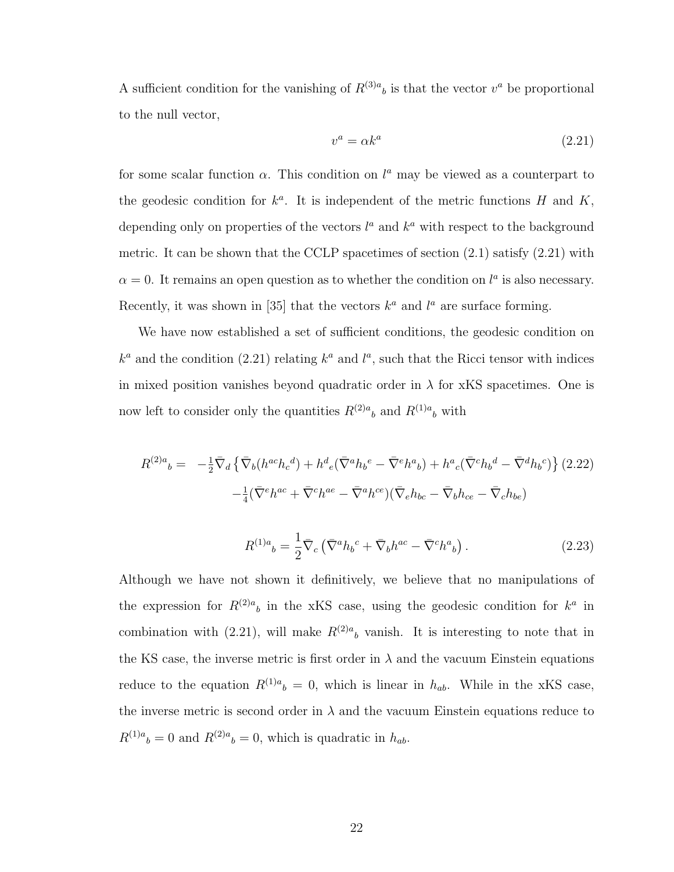A sufficient condition for the vanishing of  $R^{(3)a}{}_{b}$  is that the vector  $v^{a}$  be proportional to the null vector,

$$
v^a = \alpha k^a \tag{2.21}
$$

for some scalar function  $\alpha$ . This condition on  $l^a$  may be viewed as a counterpart to the geodesic condition for  $k^a$ . It is independent of the metric functions H and K, depending only on properties of the vectors  $l^a$  and  $k^a$  with respect to the background metric. It can be shown that the CCLP spacetimes of section  $(2.1)$  satisfy  $(2.21)$  with  $\alpha = 0$ . It remains an open question as to whether the condition on  $l^a$  is also necessary. Recently, it was shown in [35] that the vectors  $k^a$  and  $l^a$  are surface forming.

We have now established a set of sufficient conditions, the geodesic condition on  $k^a$  and the condition (2.21) relating  $k^a$  and  $l^a$ , such that the Ricci tensor with indices in mixed position vanishes beyond quadratic order in  $\lambda$  for xKS spacetimes. One is now left to consider only the quantities  $R^{(2)a}{}_{b}$  and  $R^{(1)a}{}_{b}$  with

$$
R^{(2)a}{}_{b} = -\frac{1}{2}\bar{\nabla}_{d}\left\{\bar{\nabla}_{b}(h^{ac}h_{c}{}^{d}) + h^{d}{}_{e}(\bar{\nabla}^{a}h_{b}{}^{e} - \bar{\nabla}^{e}h^{a}{}_{b}) + h^{a}{}_{c}(\bar{\nabla}^{c}h_{b}{}^{d} - \bar{\nabla}^{d}h_{b}{}^{c})\right\}
$$
(2.22)  

$$
-\frac{1}{4}(\bar{\nabla}^{e}h^{ac} + \bar{\nabla}^{c}h^{ae} - \bar{\nabla}^{a}h^{ce})(\bar{\nabla}_{e}h_{bc} - \bar{\nabla}_{b}h_{ce} - \bar{\nabla}_{c}h_{be})
$$

$$
R^{(1)a}{}_{b} = \frac{1}{2} \bar{\nabla}_{c} \left( \bar{\nabla}^{a} h_{b}{}^{c} + \bar{\nabla}_{b} h^{ac} - \bar{\nabla}^{c} h^{a}{}_{b} \right). \tag{2.23}
$$

Although we have not shown it definitively, we believe that no manipulations of the expression for  $R^{(2)a}$  in the xKS case, using the geodesic condition for  $k^a$  in combination with (2.21), will make  $R^{(2)a}$  vanish. It is interesting to note that in the KS case, the inverse metric is first order in  $\lambda$  and the vacuum Einstein equations reduce to the equation  $R^{(1)a}{}_{b} = 0$ , which is linear in  $h_{ab}$ . While in the xKS case, the inverse metric is second order in  $\lambda$  and the vacuum Einstein equations reduce to  $R^{(1)a}{}_{b} = 0$  and  $R^{(2)a}{}_{b} = 0$ , which is quadratic in  $h_{ab}$ .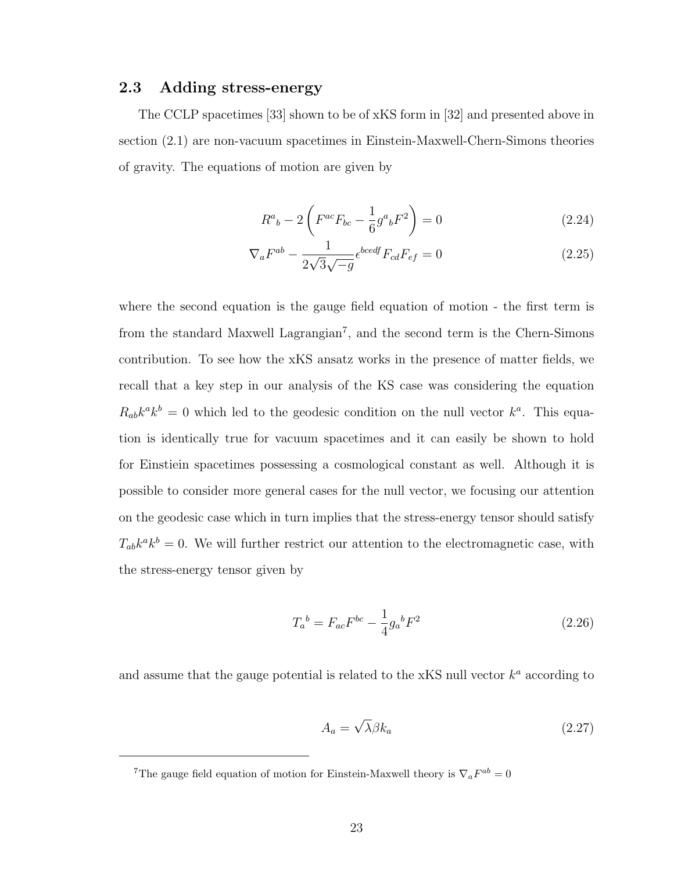#### 2.3 Adding stress-energy

The CCLP spacetimes [33] shown to be of xKS form in [32] and presented above in section (2.1) are non-vacuum spacetimes in Einstein-Maxwell-Chern-Simons theories of gravity. The equations of motion are given by

$$
R^{a}{}_{b} - 2\left(F^{ac}F_{bc} - \frac{1}{6}g^{a}{}_{b}F^{2}\right) = 0
$$
\n(2.24)

$$
\nabla_a F^{ab} - \frac{1}{2\sqrt{3}\sqrt{-g}} \epsilon^{bcedf} F_{cd} F_{ef} = 0 \tag{2.25}
$$

where the second equation is the gauge field equation of motion - the first term is from the standard Maxwell Lagrangian<sup>7</sup>, and the second term is the Chern-Simons contribution. To see how the xKS ansatz works in the presence of matter fields, we recall that a key step in our analysis of the KS case was considering the equation  $R_{ab}k^a k^b = 0$  which led to the geodesic condition on the null vector  $k^a$ . This equation is identically true for vacuum spacetimes and it can easily be shown to hold for Einstiein spacetimes possessing a cosmological constant as well. Although it is possible to consider more general cases for the null vector, we focusing our attention on the geodesic case which in turn implies that the stress-energy tensor should satisfy  $T_{ab}k^a k^b = 0$ . We will further restrict our attention to the electromagnetic case, with the stress-energy tensor given by

$$
T_a{}^b = F_{ac}F^{bc} - \frac{1}{4}g_a{}^b F^2
$$
\n(2.26)

and assume that the gauge potential is related to the xKS null vector  $k^a$  according to

$$
A_a = \sqrt{\lambda} \beta k_a \tag{2.27}
$$

<sup>&</sup>lt;sup>7</sup>The gauge field equation of motion for Einstein-Maxwell theory is  $\nabla_a F^{ab} = 0$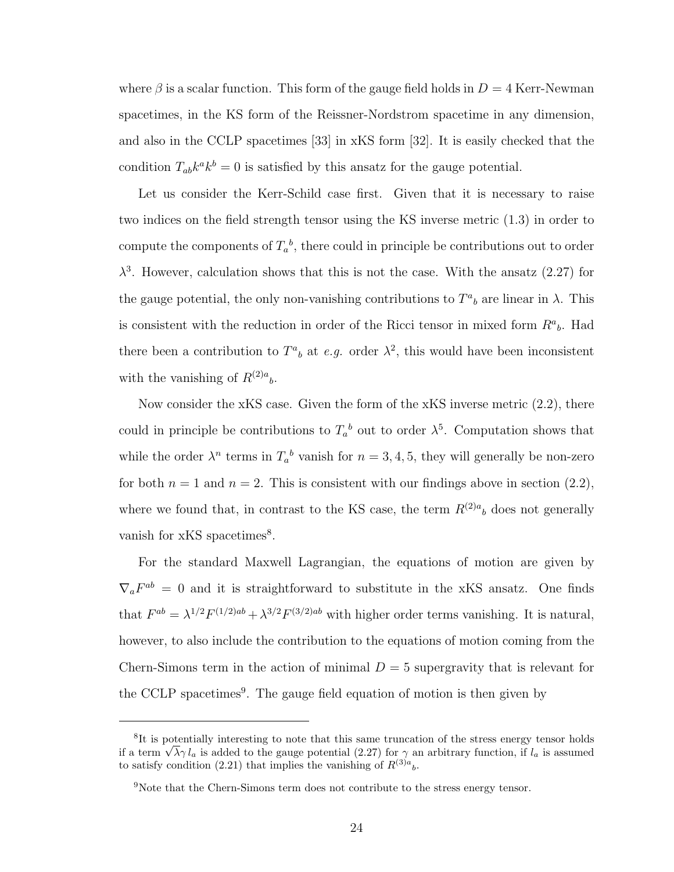where  $\beta$  is a scalar function. This form of the gauge field holds in  $D = 4$  Kerr-Newman spacetimes, in the KS form of the Reissner-Nordstrom spacetime in any dimension, and also in the CCLP spacetimes [33] in xKS form [32]. It is easily checked that the condition  $T_{ab}k^a k^b = 0$  is satisfied by this ansatz for the gauge potential.

Let us consider the Kerr-Schild case first. Given that it is necessary to raise two indices on the field strength tensor using the KS inverse metric (1.3) in order to compute the components of  $T_a^b$ , there could in principle be contributions out to order  $\lambda^3$ . However, calculation shows that this is not the case. With the ansatz (2.27) for the gauge potential, the only non-vanishing contributions to  $T^a{}_b$  are linear in  $\lambda$ . This is consistent with the reduction in order of the Ricci tensor in mixed form  $R^a{}_b$ . Had there been a contribution to  $T^a{}_b$  at e.g. order  $\lambda^2$ , this would have been inconsistent with the vanishing of  $R^{(2)a}$ <sub>b</sub>.

Now consider the xKS case. Given the form of the xKS inverse metric (2.2), there could in principle be contributions to  $T_a^b$  out to order  $\lambda^5$ . Computation shows that while the order  $\lambda^n$  terms in  $T_a^b$  vanish for  $n = 3, 4, 5$ , they will generally be non-zero for both  $n = 1$  and  $n = 2$ . This is consistent with our findings above in section (2.2), where we found that, in contrast to the KS case, the term  $R^{(2)a}$  does not generally vanish for xKS spacetimes<sup>8</sup>.

For the standard Maxwell Lagrangian, the equations of motion are given by  $\nabla_a F^{ab} = 0$  and it is straightforward to substitute in the xKS ansatz. One finds that  $F^{ab} = \lambda^{1/2} F^{(1/2)ab} + \lambda^{3/2} F^{(3/2)ab}$  with higher order terms vanishing. It is natural, however, to also include the contribution to the equations of motion coming from the Chern-Simons term in the action of minimal  $D = 5$  supergravity that is relevant for the CCLP spacetimes<sup>9</sup>. The gauge field equation of motion is then given by

<sup>&</sup>lt;sup>8</sup>It is potentially interesting to note that this same truncation of the stress energy tensor holds It is potentially interesting to note that this same truncation of the stress energy tensor holds<br>if a term  $\sqrt{\lambda} \gamma l_a$  is added to the gauge potential (2.27) for  $\gamma$  an arbitrary function, if  $l_a$  is assumed to satisfy condition (2.21) that implies the vanishing of  $R^{(3)a}{}_{b}$ .

<sup>&</sup>lt;sup>9</sup>Note that the Chern-Simons term does not contribute to the stress energy tensor.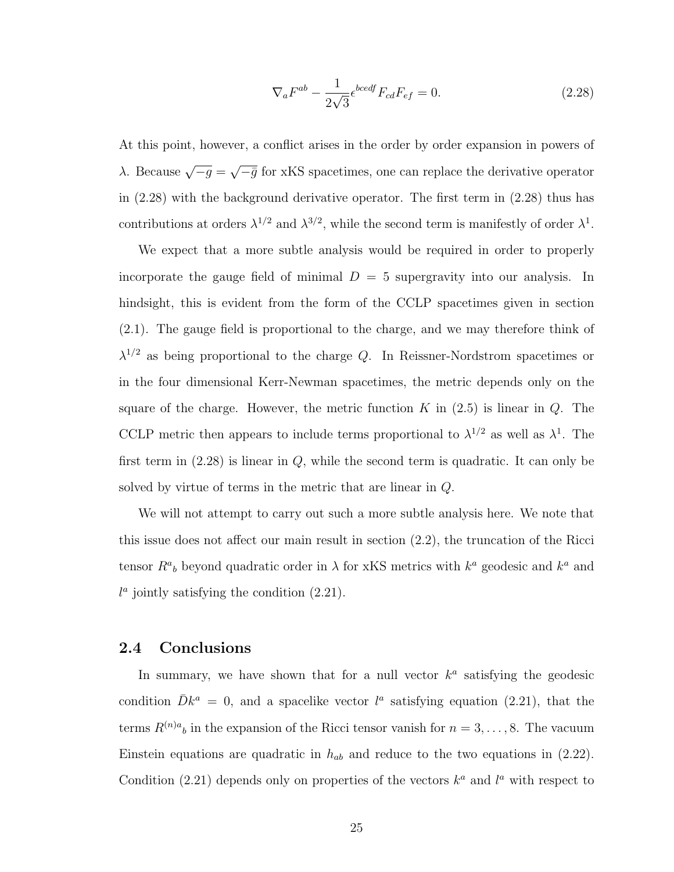$$
\nabla_a F^{ab} - \frac{1}{2\sqrt{3}} \epsilon^{bcedf} F_{cd} F_{ef} = 0.
$$
 (2.28)

At this point, however, a conflict arises in the order by order expansion in powers of λ. Because  $\sqrt{-g}$  = √  $\overline{-\bar{g}}$  for xKS spacetimes, one can replace the derivative operator in (2.28) with the background derivative operator. The first term in (2.28) thus has contributions at orders  $\lambda^{1/2}$  and  $\lambda^{3/2}$ , while the second term is manifestly of order  $\lambda^1$ .

We expect that a more subtle analysis would be required in order to properly incorporate the gauge field of minimal  $D = 5$  supergravity into our analysis. In hindsight, this is evident from the form of the CCLP spacetimes given in section (2.1). The gauge field is proportional to the charge, and we may therefore think of  $\lambda^{1/2}$  as being proportional to the charge Q. In Reissner-Nordstrom spacetimes or in the four dimensional Kerr-Newman spacetimes, the metric depends only on the square of the charge. However, the metric function  $K$  in  $(2.5)$  is linear in  $Q$ . The CCLP metric then appears to include terms proportional to  $\lambda^{1/2}$  as well as  $\lambda^{1}$ . The first term in  $(2.28)$  is linear in  $Q$ , while the second term is quadratic. It can only be solved by virtue of terms in the metric that are linear in Q.

We will not attempt to carry out such a more subtle analysis here. We note that this issue does not affect our main result in section (2.2), the truncation of the Ricci tensor  $R^a{}_b$  beyond quadratic order in  $\lambda$  for xKS metrics with  $k^a$  geodesic and  $k^a$  and  $l^a$  jointly satisfying the condition  $(2.21)$ .

### 2.4 Conclusions

In summary, we have shown that for a null vector  $k^a$  satisfying the geodesic condition  $\bar{D}k^a = 0$ , and a spacelike vector  $l^a$  satisfying equation (2.21), that the terms  $R^{(n)a}$ <sub>b</sub> in the expansion of the Ricci tensor vanish for  $n = 3, \ldots, 8$ . The vacuum Einstein equations are quadratic in  $h_{ab}$  and reduce to the two equations in (2.22). Condition (2.21) depends only on properties of the vectors  $k^a$  and  $l^a$  with respect to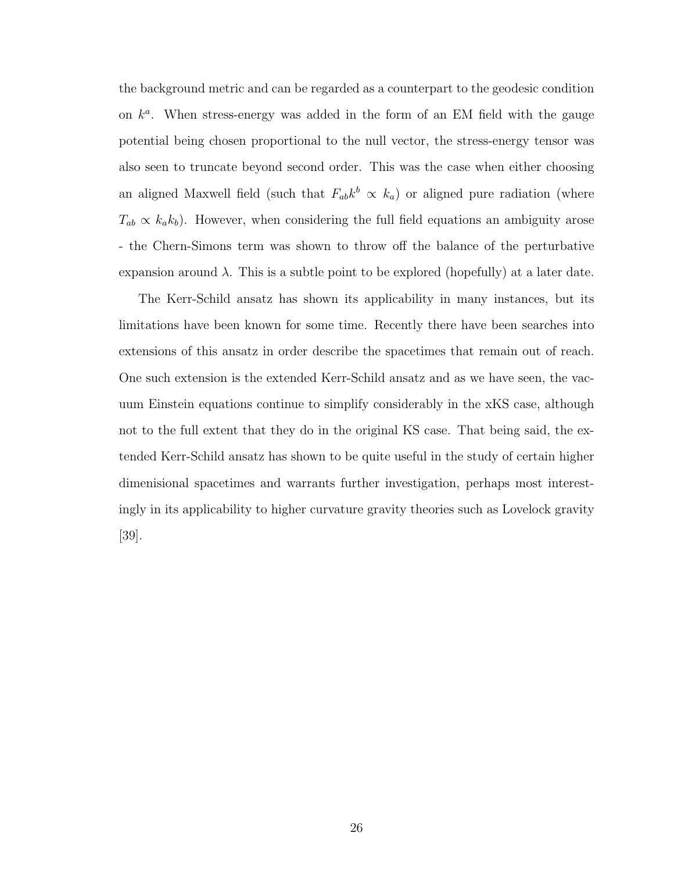the background metric and can be regarded as a counterpart to the geodesic condition on  $k^a$ . When stress-energy was added in the form of an EM field with the gauge potential being chosen proportional to the null vector, the stress-energy tensor was also seen to truncate beyond second order. This was the case when either choosing an aligned Maxwell field (such that  $F_{ab}k^b \propto k_a$ ) or aligned pure radiation (where  $T_{ab} \propto k_a k_b$ ). However, when considering the full field equations an ambiguity arose - the Chern-Simons term was shown to throw off the balance of the perturbative expansion around  $\lambda$ . This is a subtle point to be explored (hopefully) at a later date.

The Kerr-Schild ansatz has shown its applicability in many instances, but its limitations have been known for some time. Recently there have been searches into extensions of this ansatz in order describe the spacetimes that remain out of reach. One such extension is the extended Kerr-Schild ansatz and as we have seen, the vacuum Einstein equations continue to simplify considerably in the xKS case, although not to the full extent that they do in the original KS case. That being said, the extended Kerr-Schild ansatz has shown to be quite useful in the study of certain higher dimenisional spacetimes and warrants further investigation, perhaps most interestingly in its applicability to higher curvature gravity theories such as Lovelock gravity [39].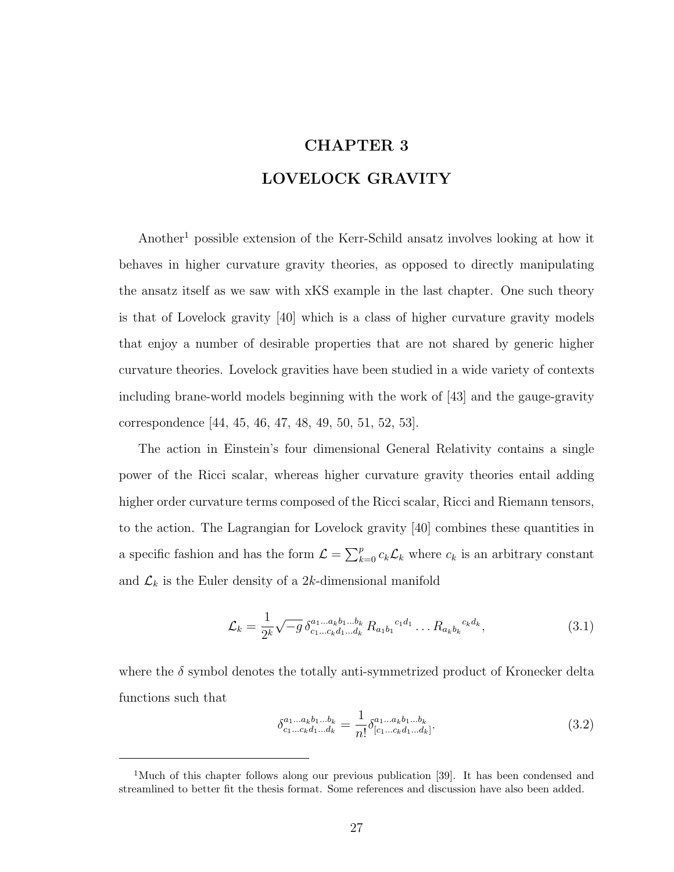# CHAPTER 3 LOVELOCK GRAVITY

Another<sup>1</sup> possible extension of the Kerr-Schild ansatz involves looking at how it behaves in higher curvature gravity theories, as opposed to directly manipulating the ansatz itself as we saw with xKS example in the last chapter. One such theory is that of Lovelock gravity [40] which is a class of higher curvature gravity models that enjoy a number of desirable properties that are not shared by generic higher curvature theories. Lovelock gravities have been studied in a wide variety of contexts including brane-world models beginning with the work of [43] and the gauge-gravity correspondence [44, 45, 46, 47, 48, 49, 50, 51, 52, 53].

The action in Einstein's four dimensional General Relativity contains a single power of the Ricci scalar, whereas higher curvature gravity theories entail adding higher order curvature terms composed of the Ricci scalar, Ricci and Riemann tensors, to the action. The Lagrangian for Lovelock gravity [40] combines these quantities in a specific fashion and has the form  $\mathcal{L} = \sum_{k=0}^{p} c_k \mathcal{L}_k$  where  $c_k$  is an arbitrary constant and  $\mathcal{L}_k$  is the Euler density of a 2k-dimensional manifold

$$
\mathcal{L}_k = \frac{1}{2^k} \sqrt{-g} \, \delta_{c_1...c_k d_1...d_k}^{a_1...a_kb_1...b_k} \, R_{a_1 b_1}^{c_1 d_1} \dots R_{a_k b_k}^{c_k d_k}, \tag{3.1}
$$

where the  $\delta$  symbol denotes the totally anti-symmetrized product of Kronecker delta functions such that

$$
\delta_{c_1...c_k d_1...d_k}^{a_1...a_k b_1...b_k} = \frac{1}{n!} \delta_{[c_1...c_k d_1...d_k]}^{a_1...a_k b_1...b_k}.
$$
\n(3.2)

<sup>&</sup>lt;sup>1</sup>Much of this chapter follows along our previous publication [39]. It has been condensed and streamlined to better fit the thesis format. Some references and discussion have also been added.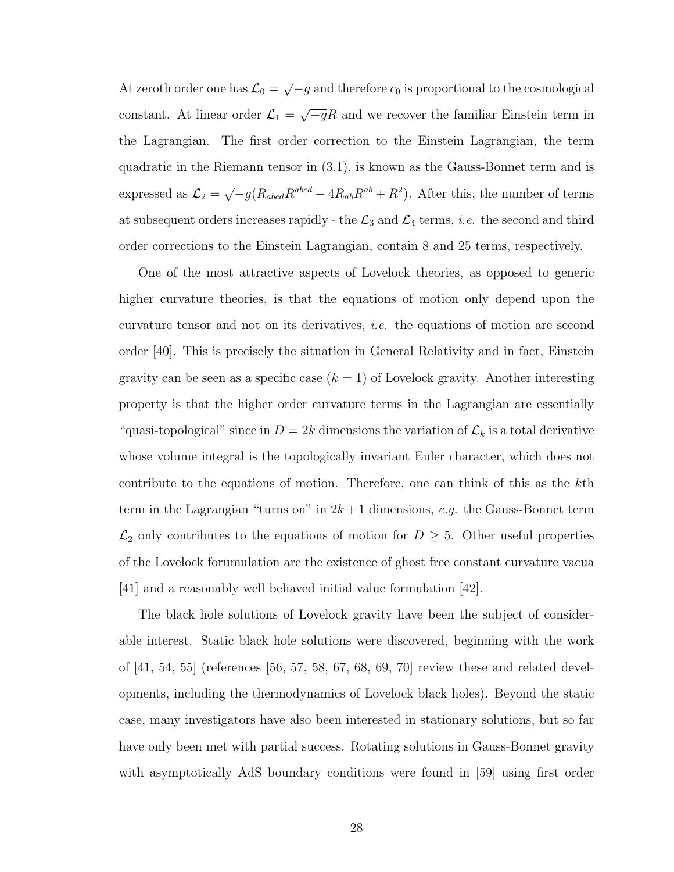At zeroth order one has  $\mathcal{L}_0 =$ √  $\overline{-g}$  and therefore  $c_0$  is proportional to the cosmological constant. At linear order  $\mathcal{L}_1 =$ √  $\overline{-g}R$  and we recover the familiar Einstein term in the Lagrangian. The first order correction to the Einstein Lagrangian, the term quadratic in the Riemann tensor in (3.1), is known as the Gauss-Bonnet term and is expressed as  $\mathcal{L}_2 =$  $\sqrt{-g}(R_{abcd}R^{abcd} - 4R_{ab}R^{ab} + R^2)$ . After this, the number of terms at subsequent orders increases rapidly - the  $\mathcal{L}_3$  and  $\mathcal{L}_4$  terms, *i.e.* the second and third order corrections to the Einstein Lagrangian, contain 8 and 25 terms, respectively.

One of the most attractive aspects of Lovelock theories, as opposed to generic higher curvature theories, is that the equations of motion only depend upon the curvature tensor and not on its derivatives, i.e. the equations of motion are second order [40]. This is precisely the situation in General Relativity and in fact, Einstein gravity can be seen as a specific case  $(k = 1)$  of Lovelock gravity. Another interesting property is that the higher order curvature terms in the Lagrangian are essentially "quasi-topological" since in  $D = 2k$  dimensions the variation of  $\mathcal{L}_k$  is a total derivative whose volume integral is the topologically invariant Euler character, which does not contribute to the equations of motion. Therefore, one can think of this as the kth term in the Lagrangian "turns on" in  $2k+1$  dimensions, e.g. the Gauss-Bonnet term  $\mathcal{L}_2$  only contributes to the equations of motion for  $D \geq 5$ . Other useful properties of the Lovelock forumulation are the existence of ghost free constant curvature vacua [41] and a reasonably well behaved initial value formulation [42].

The black hole solutions of Lovelock gravity have been the subject of considerable interest. Static black hole solutions were discovered, beginning with the work of [41, 54, 55] (references [56, 57, 58, 67, 68, 69, 70] review these and related developments, including the thermodynamics of Lovelock black holes). Beyond the static case, many investigators have also been interested in stationary solutions, but so far have only been met with partial success. Rotating solutions in Gauss-Bonnet gravity with asymptotically AdS boundary conditions were found in [59] using first order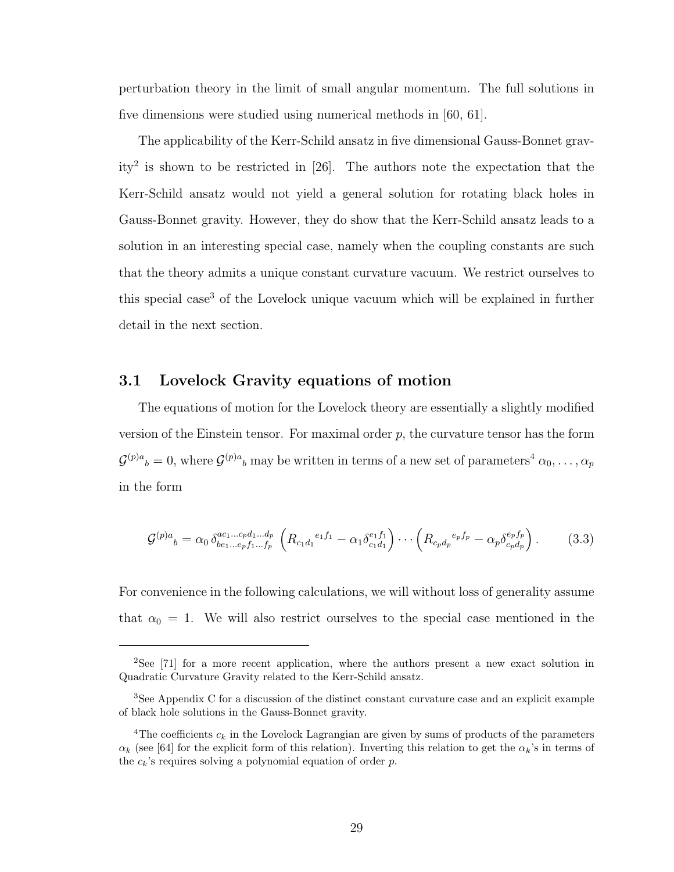perturbation theory in the limit of small angular momentum. The full solutions in five dimensions were studied using numerical methods in [60, 61].

The applicability of the Kerr-Schild ansatz in five dimensional Gauss-Bonnet gravity<sup>2</sup> is shown to be restricted in [26]. The authors note the expectation that the Kerr-Schild ansatz would not yield a general solution for rotating black holes in Gauss-Bonnet gravity. However, they do show that the Kerr-Schild ansatz leads to a solution in an interesting special case, namely when the coupling constants are such that the theory admits a unique constant curvature vacuum. We restrict ourselves to this special case<sup>3</sup> of the Lovelock unique vacuum which will be explained in further detail in the next section.

### 3.1 Lovelock Gravity equations of motion

The equations of motion for the Lovelock theory are essentially a slightly modified version of the Einstein tensor. For maximal order  $p$ , the curvature tensor has the form  ${\cal G}^{(p)a}{}_b=0,$  where  ${\cal G}^{(p)a}{}_b$  may be written in terms of a new set of parameters<sup>4</sup>  $\alpha_0,\ldots,\alpha_p$ in the form

$$
\mathcal{G}^{(p)a}{}_{b} = \alpha_0 \,\delta^{ac_1...c_p d_1...d_p}_{be_1...e_p f_1...f_p} \left( R_{c_1 d_1}{}^{e_1 f_1} - \alpha_1 \delta^{e_1 f_1}_{c_1 d_1} \right) \cdots \left( R_{c_p d_p}{}^{e_p f_p} - \alpha_p \delta^{e_p f_p}_{c_p d_p} \right). \tag{3.3}
$$

For convenience in the following calculations, we will without loss of generality assume that  $\alpha_0 = 1$ . We will also restrict ourselves to the special case mentioned in the

<sup>2</sup>See [71] for a more recent application, where the authors present a new exact solution in Quadratic Curvature Gravity related to the Kerr-Schild ansatz.

<sup>3</sup>See Appendix C for a discussion of the distinct constant curvature case and an explicit example of black hole solutions in the Gauss-Bonnet gravity.

<sup>&</sup>lt;sup>4</sup>The coefficients  $c_k$  in the Lovelock Lagrangian are given by sums of products of the parameters  $\alpha_k$  (see [64] for the explicit form of this relation). Inverting this relation to get the  $\alpha_k$ 's in terms of the  $c_k$ 's requires solving a polynomial equation of order  $p$ .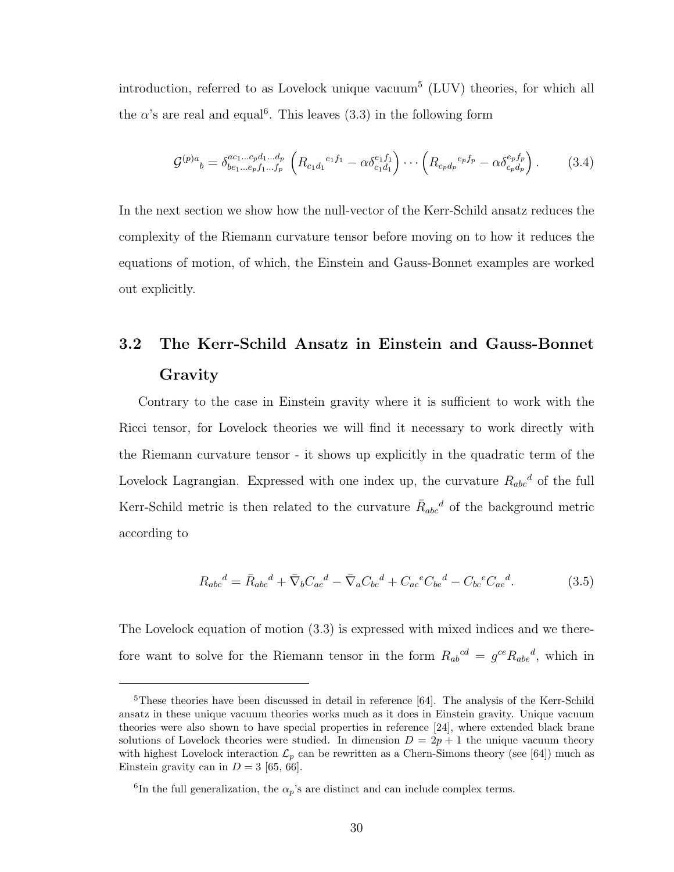introduction, referred to as Lovelock unique vacuum<sup>5</sup> (LUV) theories, for which all the  $\alpha$ 's are real and equal<sup>6</sup>. This leaves (3.3) in the following form

$$
\mathcal{G}^{(p)a}{}_{b} = \delta^{ac_1...c_p d_1...d_p}_{be_1...e_p f_1...f_p} \left( R_{c_1 d_1}{}^{e_1 f_1} - \alpha \delta^{e_1 f_1}_{c_1 d_1} \right) \cdots \left( R_{c_p d_p}{}^{e_p f_p} - \alpha \delta^{e_p f_p}_{c_p d_p} \right). \tag{3.4}
$$

In the next section we show how the null-vector of the Kerr-Schild ansatz reduces the complexity of the Riemann curvature tensor before moving on to how it reduces the equations of motion, of which, the Einstein and Gauss-Bonnet examples are worked out explicitly.

# 3.2 The Kerr-Schild Ansatz in Einstein and Gauss-Bonnet Gravity

Contrary to the case in Einstein gravity where it is sufficient to work with the Ricci tensor, for Lovelock theories we will find it necessary to work directly with the Riemann curvature tensor - it shows up explicitly in the quadratic term of the Lovelock Lagrangian. Expressed with one index up, the curvature  $R_{abc}^d$  of the full Kerr-Schild metric is then related to the curvature  $\bar{R}_{abc}^d$  of the background metric according to

$$
R_{abc}{}^d = \bar{R}_{abc}{}^d + \bar{\nabla}_b C_{ac}{}^d - \bar{\nabla}_a C_{bc}{}^d + C_{ac}{}^e C_{be}{}^d - C_{bc}{}^e C_{ae}{}^d. \tag{3.5}
$$

The Lovelock equation of motion (3.3) is expressed with mixed indices and we therefore want to solve for the Riemann tensor in the form  $R_{ab}{}^{cd} = g^{ce} R_{abe}{}^d$ , which in

<sup>&</sup>lt;sup>5</sup>These theories have been discussed in detail in reference [64]. The analysis of the Kerr-Schild ansatz in these unique vacuum theories works much as it does in Einstein gravity. Unique vacuum theories were also shown to have special properties in reference [24], where extended black brane solutions of Lovelock theories were studied. In dimension  $D = 2p + 1$  the unique vacuum theory with highest Lovelock interaction  $\mathcal{L}_p$  can be rewritten as a Chern-Simons theory (see [64]) much as Einstein gravity can in  $D = 3$  [65, 66].

<sup>&</sup>lt;sup>6</sup>In the full generalization, the  $\alpha_p$ 's are distinct and can include complex terms.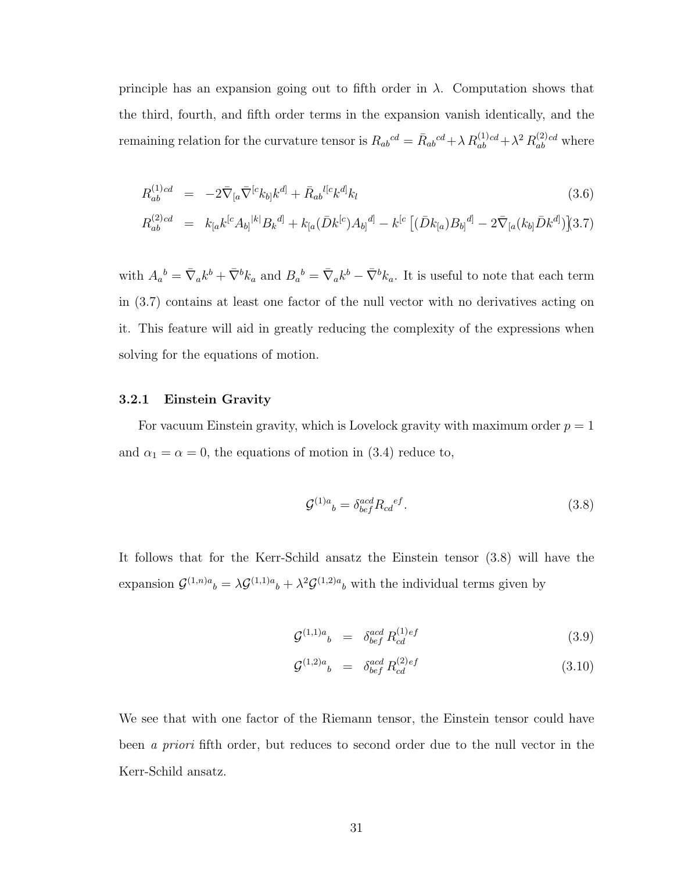principle has an expansion going out to fifth order in  $\lambda$ . Computation shows that the third, fourth, and fifth order terms in the expansion vanish identically, and the remaining relation for the curvature tensor is  $R_{ab}{}^{cd} = \bar{R}_{ab}{}^{cd} + \lambda R_{ab}^{(1)cd} + \lambda^2 R_{ab}^{(2)}$  $a_b^{(2)}$  where

$$
R_{ab}^{(1)cd} = -2\bar{\nabla}_{[a}\bar{\nabla}^{[c}k_{b]}k^{d]} + \bar{R}_{ab}^{l[c}k^{d]}k_{l}
$$
\n(3.6)

$$
R_{ab}^{(2)cd} = k_{[a}k^{[c}A_{b]}^{k|b}B_{k}^{d]} + k_{[a}(\bar{D}k^{[c})A_{b]}^{d]} - k^{[c}[(\bar{D}k_{[a})B_{b]}^{d]} - 2\bar{\nabla}_{[a}(k_{b]}\bar{D}k^{d]})(3.7)
$$

with  $A_a{}^b = \bar{\nabla}_a k^b + \bar{\nabla}^b k_a$  and  $B_a{}^b = \bar{\nabla}_a k^b - \bar{\nabla}^b k_a$ . It is useful to note that each term in (3.7) contains at least one factor of the null vector with no derivatives acting on it. This feature will aid in greatly reducing the complexity of the expressions when solving for the equations of motion.

#### 3.2.1 Einstein Gravity

For vacuum Einstein gravity, which is Lovelock gravity with maximum order  $p = 1$ and  $\alpha_1 = \alpha = 0$ , the equations of motion in (3.4) reduce to,

$$
\mathcal{G}^{(1)a}{}_{b} = \delta^{acd}_{bef} R_{cd}{}^{ef}.\tag{3.8}
$$

It follows that for the Kerr-Schild ansatz the Einstein tensor (3.8) will have the expansion  $\mathcal{G}^{(1,n)a}{}_{b} = \lambda \mathcal{G}^{(1,1)a}{}_{b} + \lambda^2 \mathcal{G}^{(1,2)a}{}_{b}$  with the individual terms given by

$$
\mathcal{G}^{(1,1)a}{}_{b} = \delta^{acd}_{bef} R^{(1)ef}_{cd} \tag{3.9}
$$

$$
\mathcal{G}^{(1,2)a}{}_{b} = \delta^{acd}_{bef} R^{(2)ef}_{cd} \tag{3.10}
$$

We see that with one factor of the Riemann tensor, the Einstein tensor could have been a priori fifth order, but reduces to second order due to the null vector in the Kerr-Schild ansatz.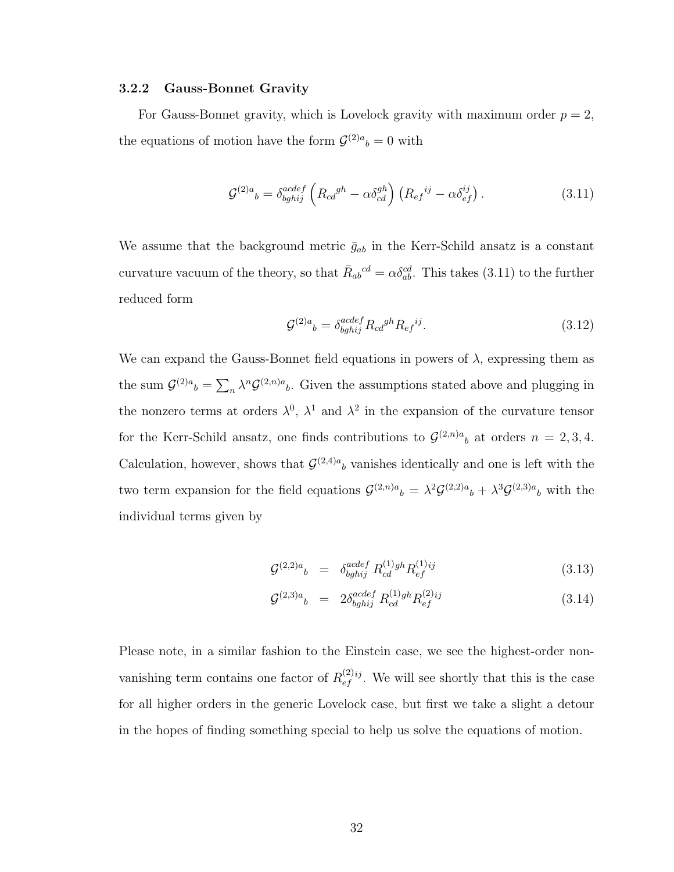#### 3.2.2 Gauss-Bonnet Gravity

For Gauss-Bonnet gravity, which is Lovelock gravity with maximum order  $p = 2$ , the equations of motion have the form  $\mathcal{G}^{(2)a}{}_{b} = 0$  with

$$
\mathcal{G}^{(2)a}{}_{b} = \delta^{acdef}_{bghij} \left( R_{cd}{}^{gh} - \alpha \delta^{gh}_{cd} \right) \left( R_{ef}{}^{ij} - \alpha \delta^{ij}_{ef} \right). \tag{3.11}
$$

We assume that the background metric  $\bar{g}_{ab}$  in the Kerr-Schild ansatz is a constant curvature vacuum of the theory, so that  $\bar{R}_{ab}^{cd} = \alpha \delta^{cd}_{ab}$ . This takes (3.11) to the further reduced form

$$
\mathcal{G}^{(2)a}{}_{b} = \delta^{acdef}_{bghij} R_{cd}{}^{gh} R_{ef}{}^{ij}.
$$
\n
$$
(3.12)
$$

We can expand the Gauss-Bonnet field equations in powers of  $\lambda$ , expressing them as the sum  $\mathcal{G}^{(2)a}{}_{b} = \sum_{n} \lambda^{n} \mathcal{G}^{(2,n)a}{}_{b}$ . Given the assumptions stated above and plugging in the nonzero terms at orders  $\lambda^0$ ,  $\lambda^1$  and  $\lambda^2$  in the expansion of the curvature tensor for the Kerr-Schild ansatz, one finds contributions to  $\mathcal{G}^{(2,n)a}{}_{b}$  at orders  $n = 2,3,4$ . Calculation, however, shows that  $\mathcal{G}^{(2,4)a}$  vanishes identically and one is left with the two term expansion for the field equations  $\mathcal{G}^{(2,n)a}{}_{b} = \lambda^{2} \mathcal{G}^{(2,2)a}{}_{b} + \lambda^{3} \mathcal{G}^{(2,3)a}{}_{b}$  with the individual terms given by

$$
\mathcal{G}^{(2,2)a}{}_{b} = \delta^{acdef}_{bghij} R^{(1)gh}_{cd} R^{(1)ij}_{ef} \tag{3.13}
$$

$$
\mathcal{G}^{(2,3)a}{}_{b} = 2\delta^{acdef}_{bghij} R^{(1)gh}_{cd} R^{(2)ij}_{ef} \tag{3.14}
$$

Please note, in a similar fashion to the Einstein case, we see the highest-order nonvanishing term contains one factor of  $R_{\epsilon f}^{(2)}$  $\sum_{ef}^{(2)ij}$ . We will see shortly that this is the case for all higher orders in the generic Lovelock case, but first we take a slight a detour in the hopes of finding something special to help us solve the equations of motion.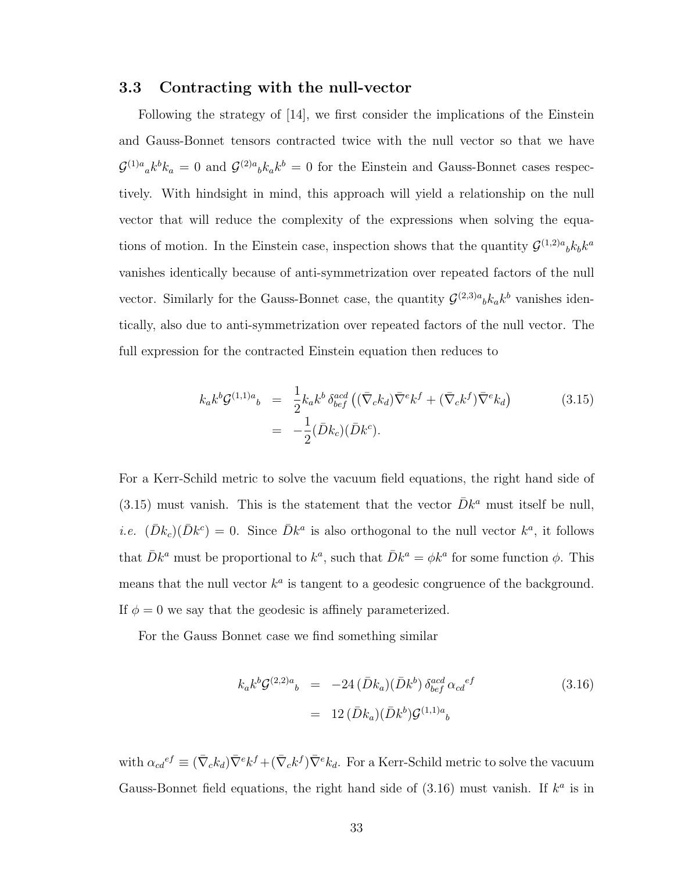#### 3.3 Contracting with the null-vector

Following the strategy of [14], we first consider the implications of the Einstein and Gauss-Bonnet tensors contracted twice with the null vector so that we have  $\mathcal{G}^{(1)a}{}_a k^b k_a = 0$  and  $\mathcal{G}^{(2)a}{}_b k_a k^b = 0$  for the Einstein and Gauss-Bonnet cases respectively. With hindsight in mind, this approach will yield a relationship on the null vector that will reduce the complexity of the expressions when solving the equations of motion. In the Einstein case, inspection shows that the quantity  $\mathcal{G}^{(1,2)a}{}_{b}k_{b}k^{a}$ vanishes identically because of anti-symmetrization over repeated factors of the null vector. Similarly for the Gauss-Bonnet case, the quantity  $\mathcal{G}^{(2,3)a}{}_{b}k_{a}k^{b}$  vanishes identically, also due to anti-symmetrization over repeated factors of the null vector. The full expression for the contracted Einstein equation then reduces to

$$
k_a k^b \mathcal{G}^{(1,1)a}{}_b = \frac{1}{2} k_a k^b \delta^{acd}_{bef} \left( (\bar{\nabla}_c k_d) \bar{\nabla}^e k^f + (\bar{\nabla}_c k^f) \bar{\nabla}^e k_d \right)
$$
\n
$$
= -\frac{1}{2} (\bar{D}k_c)(\bar{D}k^c).
$$
\n(3.15)

For a Kerr-Schild metric to solve the vacuum field equations, the right hand side of (3.15) must vanish. This is the statement that the vector  $\bar{D}k^a$  must itself be null, *i.e.*  $(\bar{D}k_c)(\bar{D}k^c) = 0$ . Since  $\bar{D}k^a$  is also orthogonal to the null vector  $k^a$ , it follows that  $\bar{D}k^a$  must be proportional to  $k^a$ , such that  $\bar{D}k^a = \phi k^a$  for some function  $\phi$ . This means that the null vector  $k^a$  is tangent to a geodesic congruence of the background. If  $\phi = 0$  we say that the geodesic is affinely parameterized.

For the Gauss Bonnet case we find something similar

$$
k_{a}k^{b}\mathcal{G}^{(2,2)a}{}_{b} = -24 \left( \bar{D}k_{a} \right) \left( \bar{D}k^{b} \right) \delta^{acd}_{bef} \alpha_{cd}{}^{ef}
$$
\n
$$
= 12 \left( \bar{D}k_{a} \right) \left( \bar{D}k^{b} \right) \mathcal{G}^{(1,1)a}{}_{b}
$$
\n(3.16)

with  $\alpha_{cd}^{ef} \equiv (\bar{\nabla}_c k_d) \bar{\nabla}^e k^f + (\bar{\nabla}_c k^f) \bar{\nabla}^e k_d$ . For a Kerr-Schild metric to solve the vacuum Gauss-Bonnet field equations, the right hand side of  $(3.16)$  must vanish. If  $k^a$  is in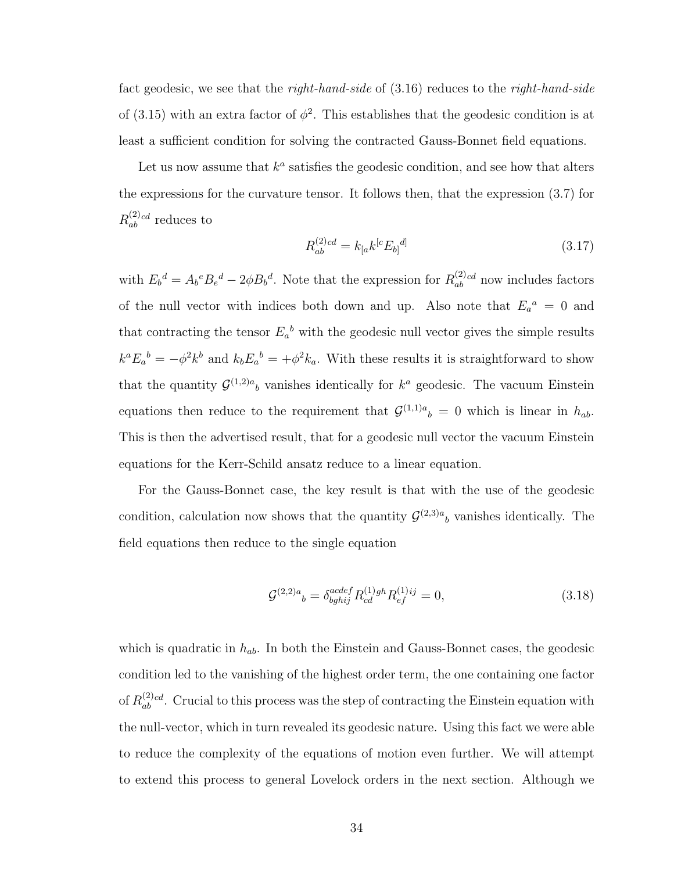fact geodesic, we see that the *right-hand-side* of  $(3.16)$  reduces to the *right-hand-side* of (3.15) with an extra factor of  $\phi^2$ . This establishes that the geodesic condition is at least a sufficient condition for solving the contracted Gauss-Bonnet field equations.

Let us now assume that  $k^a$  satisfies the geodesic condition, and see how that alters the expressions for the curvature tensor. It follows then, that the expression (3.7) for  $R^{(2)}_{ab}$  $a_b^{(2)}$  reduces to

$$
R_{ab}^{(2)cd} = k_{[a}k^{[c}E_{b]}^{d]}
$$
\n(3.17)

with  $E_b{}^d = A_b{}^e B_e{}^d - 2\phi B_b{}^d$ . Note that the expression for  $R_{ab}^{(2)}$  $a_b^{(2)}$  now includes factors of the null vector with indices both down and up. Also note that  $E_a{}^a = 0$  and that contracting the tensor  $E_a{}^b$  with the geodesic null vector gives the simple results  $k^a E_a^b = -\phi^2 k^b$  and  $k_b E_a^b = +\phi^2 k_a$ . With these results it is straightforward to show that the quantity  $\mathcal{G}^{(1,2)a}$  vanishes identically for  $k^a$  geodesic. The vacuum Einstein equations then reduce to the requirement that  $\mathcal{G}^{(1,1)a}{}_{b} = 0$  which is linear in  $h_{ab}$ . This is then the advertised result, that for a geodesic null vector the vacuum Einstein equations for the Kerr-Schild ansatz reduce to a linear equation.

For the Gauss-Bonnet case, the key result is that with the use of the geodesic condition, calculation now shows that the quantity  $\mathcal{G}^{(2,3)a}{}_{b}$  vanishes identically. The field equations then reduce to the single equation

$$
\mathcal{G}^{(2,2)a}{}_{b} = \delta_{bghij}^{acdef} R_{cd}^{(1)gh} R_{ef}^{(1)ij} = 0,
$$
\n(3.18)

which is quadratic in  $h_{ab}$ . In both the Einstein and Gauss-Bonnet cases, the geodesic condition led to the vanishing of the highest order term, the one containing one factor of  $R_{ab}^{(2)}$  $a_{ab}^{(2)cd}$ . Crucial to this process was the step of contracting the Einstein equation with the null-vector, which in turn revealed its geodesic nature. Using this fact we were able to reduce the complexity of the equations of motion even further. We will attempt to extend this process to general Lovelock orders in the next section. Although we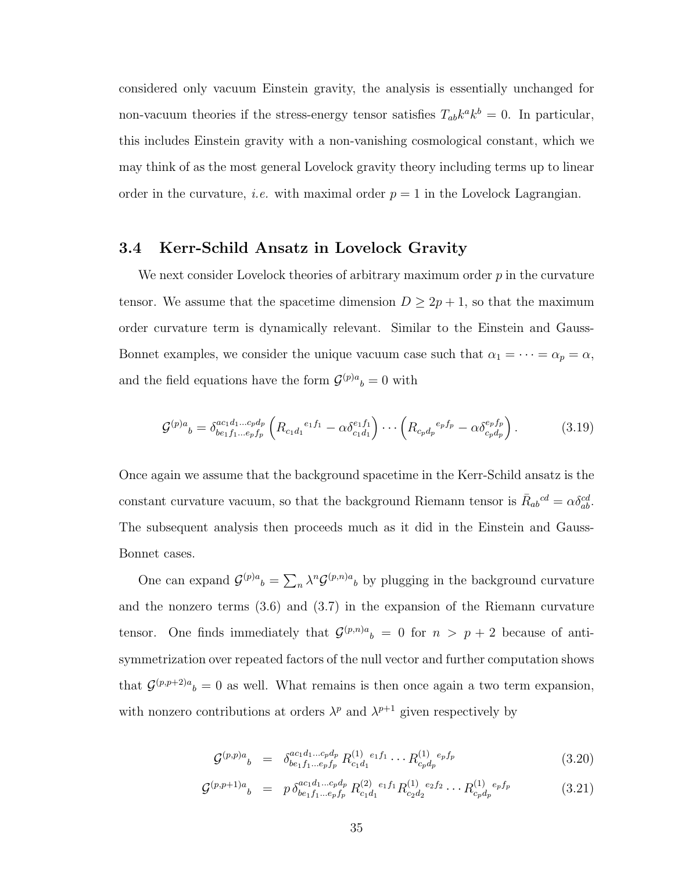considered only vacuum Einstein gravity, the analysis is essentially unchanged for non-vacuum theories if the stress-energy tensor satisfies  $T_{ab}k^a k^b = 0$ . In particular, this includes Einstein gravity with a non-vanishing cosmological constant, which we may think of as the most general Lovelock gravity theory including terms up to linear order in the curvature, *i.e.* with maximal order  $p = 1$  in the Lovelock Lagrangian.

### 3.4 Kerr-Schild Ansatz in Lovelock Gravity

We next consider Lovelock theories of arbitrary maximum order  $p$  in the curvature tensor. We assume that the spacetime dimension  $D \geq 2p + 1$ , so that the maximum order curvature term is dynamically relevant. Similar to the Einstein and Gauss-Bonnet examples, we consider the unique vacuum case such that  $\alpha_1 = \cdots = \alpha_p = \alpha$ , and the field equations have the form  $\mathcal{G}^{(p)a}{}_{b} = 0$  with

$$
\mathcal{G}^{(p)a}{}_{b} = \delta^{ac_1d_1...c_pd_p}_{be_1f_1...e_pf_p} \left( R_{c_1d_1}{}^{e_1f_1} - \alpha \delta^{e_1f_1}_{c_1d_1} \right) \cdots \left( R_{c_pd_p}{}^{e_pf_p} - \alpha \delta^{e_pf_p}_{c_pd_p} \right). \tag{3.19}
$$

Once again we assume that the background spacetime in the Kerr-Schild ansatz is the constant curvature vacuum, so that the background Riemann tensor is  $\bar{R}_{ab}{}^{cd} = \alpha \delta_{ab}^{cd}$ . The subsequent analysis then proceeds much as it did in the Einstein and Gauss-Bonnet cases.

One can expand  $\mathcal{G}^{(p)a}{}_{b} = \sum_{n} \lambda^{n} \mathcal{G}^{(p,n)a}{}_{b}$  by plugging in the background curvature and the nonzero terms (3.6) and (3.7) in the expansion of the Riemann curvature tensor. One finds immediately that  $\mathcal{G}^{(p,n)a}{}_{b} = 0$  for  $n > p+2$  because of antisymmetrization over repeated factors of the null vector and further computation shows that  $\mathcal{G}^{(p,p+2)a}{}_{b} = 0$  as well. What remains is then once again a two term expansion, with nonzero contributions at orders  $\lambda^p$  and  $\lambda^{p+1}$  given respectively by

$$
\mathcal{G}^{(p,p)a}{}_{b} = \delta^{ac_1d_1...c_pd_p}_{be_1f_1...e_pf_p} R^{(1)}_{c_1d_1} \cdots R^{(1)}_{c_pd_p} e_p f_p \qquad (3.20)
$$

$$
\mathcal{G}^{(p,p+1)a}{}_{b} = p \, \delta^{ac_1d_1...c_pd_p}_{be_1f_1...e_pf_p} R^{(2)}_{c_1d_1} R^{(1)}_{c_2d_2} \cdots R^{(1)}_{c_pd_p} \tag{3.21}
$$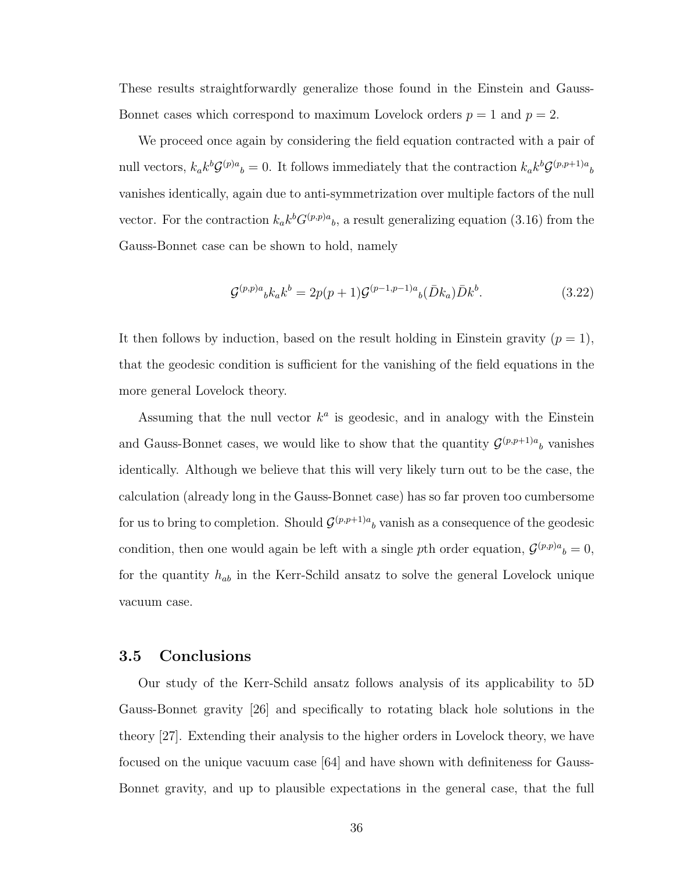These results straightforwardly generalize those found in the Einstein and Gauss-Bonnet cases which correspond to maximum Lovelock orders  $p = 1$  and  $p = 2$ .

We proceed once again by considering the field equation contracted with a pair of null vectors,  $k_a k^b \mathcal{G}^{(p)a}{}_{b} = 0$ . It follows immediately that the contraction  $k_a k^b \mathcal{G}^{(p,p+1)a}{}_{b}$ vanishes identically, again due to anti-symmetrization over multiple factors of the null vector. For the contraction  $k_a k^b G^{(p,p)a}{}_{b}$ , a result generalizing equation (3.16) from the Gauss-Bonnet case can be shown to hold, namely

$$
\mathcal{G}^{(p,p)a}{}_{b}k_{a}k^{b} = 2p(p+1)\mathcal{G}^{(p-1,p-1)a}{}_{b}(\bar{D}k_{a})\bar{D}k^{b}.
$$
\n(3.22)

It then follows by induction, based on the result holding in Einstein gravity  $(p = 1)$ , that the geodesic condition is sufficient for the vanishing of the field equations in the more general Lovelock theory.

Assuming that the null vector  $k^a$  is geodesic, and in analogy with the Einstein and Gauss-Bonnet cases, we would like to show that the quantity  $\mathcal{G}^{(p,p+1)a}$  vanishes identically. Although we believe that this will very likely turn out to be the case, the calculation (already long in the Gauss-Bonnet case) has so far proven too cumbersome for us to bring to completion. Should  $\mathcal{G}^{(p,p+1)a}$  vanish as a consequence of the geodesic condition, then one would again be left with a single pth order equation,  $\mathcal{G}^{(p,p)a}{}_{b} = 0$ , for the quantity  $h_{ab}$  in the Kerr-Schild ansatz to solve the general Lovelock unique vacuum case.

#### 3.5 Conclusions

Our study of the Kerr-Schild ansatz follows analysis of its applicability to 5D Gauss-Bonnet gravity [26] and specifically to rotating black hole solutions in the theory [27]. Extending their analysis to the higher orders in Lovelock theory, we have focused on the unique vacuum case [64] and have shown with definiteness for Gauss-Bonnet gravity, and up to plausible expectations in the general case, that the full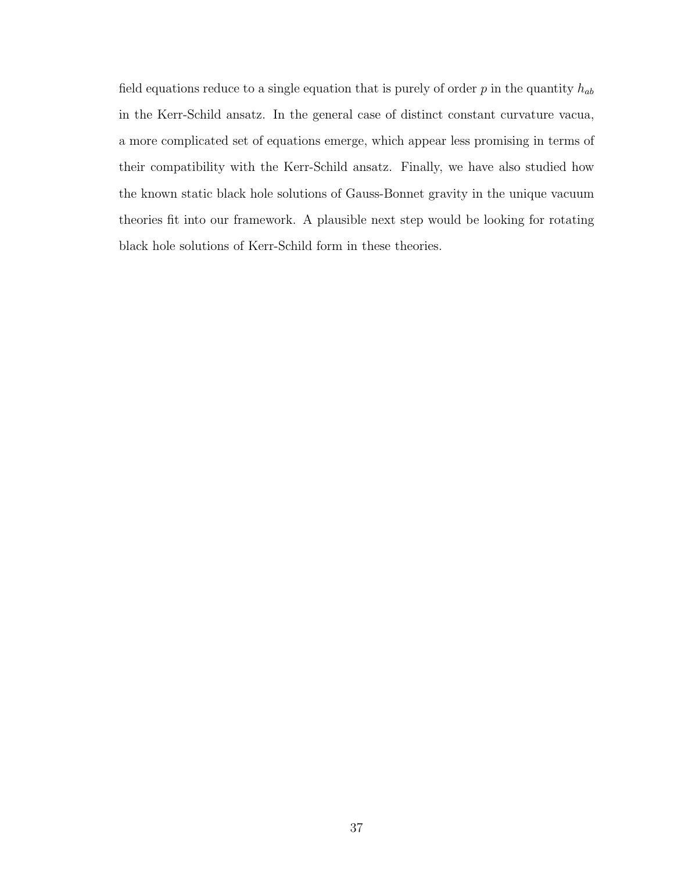field equations reduce to a single equation that is purely of order  $p$  in the quantity  $h_{ab}$ in the Kerr-Schild ansatz. In the general case of distinct constant curvature vacua, a more complicated set of equations emerge, which appear less promising in terms of their compatibility with the Kerr-Schild ansatz. Finally, we have also studied how the known static black hole solutions of Gauss-Bonnet gravity in the unique vacuum theories fit into our framework. A plausible next step would be looking for rotating black hole solutions of Kerr-Schild form in these theories.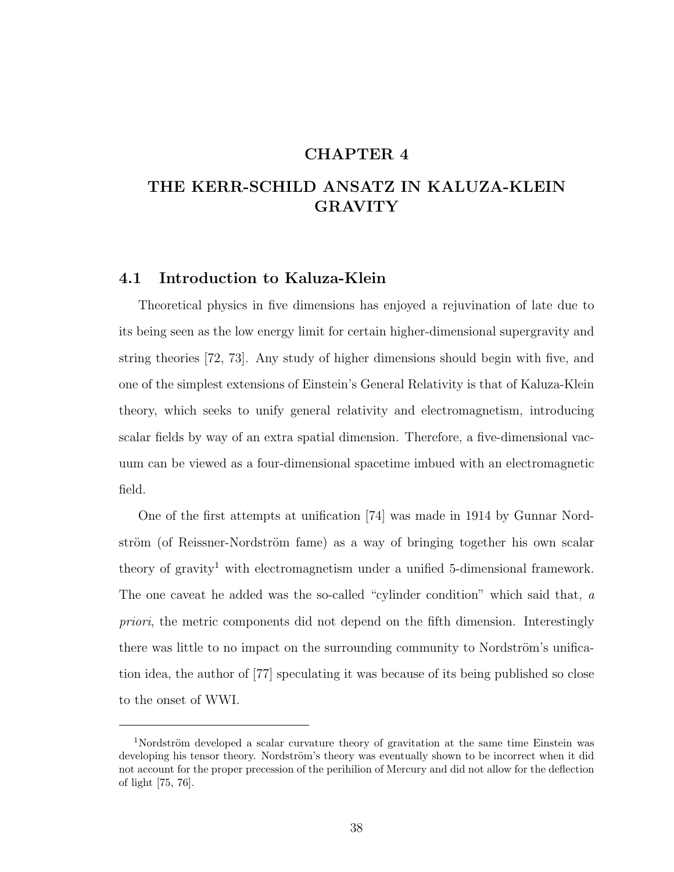### CHAPTER 4

## THE KERR-SCHILD ANSATZ IN KALUZA-KLEIN GRAVITY

### 4.1 Introduction to Kaluza-Klein

Theoretical physics in five dimensions has enjoyed a rejuvination of late due to its being seen as the low energy limit for certain higher-dimensional supergravity and string theories [72, 73]. Any study of higher dimensions should begin with five, and one of the simplest extensions of Einstein's General Relativity is that of Kaluza-Klein theory, which seeks to unify general relativity and electromagnetism, introducing scalar fields by way of an extra spatial dimension. Therefore, a five-dimensional vacuum can be viewed as a four-dimensional spacetime imbued with an electromagnetic field.

One of the first attempts at unification [74] was made in 1914 by Gunnar Nordström (of Reissner-Nordström fame) as a way of bringing together his own scalar theory of gravity<sup>1</sup> with electromagnetism under a unified 5-dimensional framework. The one caveat he added was the so-called "cylinder condition" which said that, a priori, the metric components did not depend on the fifth dimension. Interestingly there was little to no impact on the surrounding community to Nordström's unification idea, the author of [77] speculating it was because of its being published so close to the onset of WWI.

 $1$ Nordström developed a scalar curvature theory of gravitation at the same time Einstein was developing his tensor theory. Nordström's theory was eventually shown to be incorrect when it did not account for the proper precession of the perihilion of Mercury and did not allow for the deflection of light [75, 76].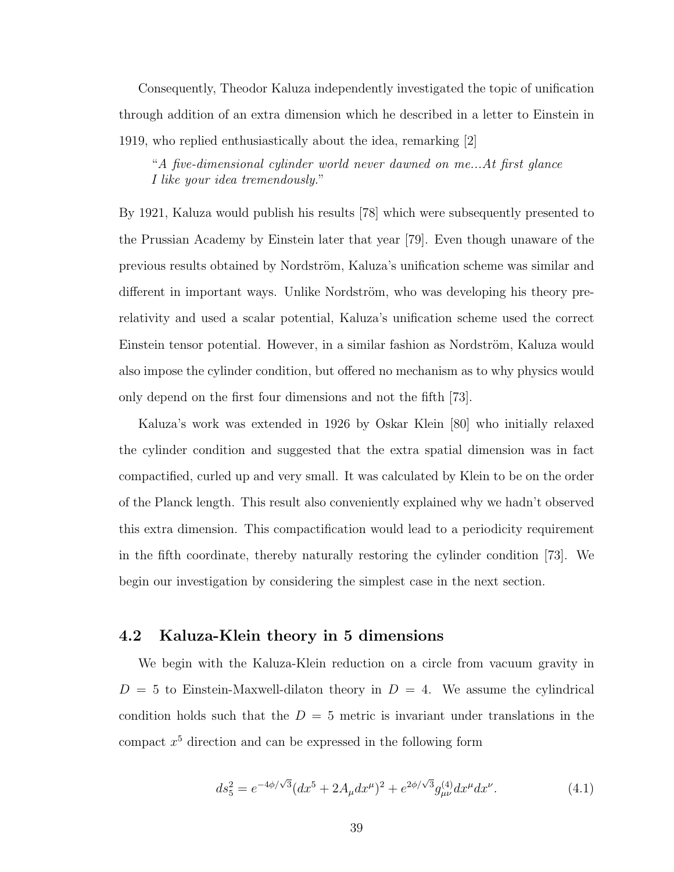Consequently, Theodor Kaluza independently investigated the topic of unification through addition of an extra dimension which he described in a letter to Einstein in 1919, who replied enthusiastically about the idea, remarking [2]

"A five-dimensional cylinder world never dawned on me...At first glance I like your idea tremendously."

By 1921, Kaluza would publish his results [78] which were subsequently presented to the Prussian Academy by Einstein later that year [79]. Even though unaware of the previous results obtained by Nordström, Kaluza's unification scheme was similar and different in important ways. Unlike Nordström, who was developing his theory prerelativity and used a scalar potential, Kaluza's unification scheme used the correct Einstein tensor potential. However, in a similar fashion as Nordström, Kaluza would also impose the cylinder condition, but offered no mechanism as to why physics would only depend on the first four dimensions and not the fifth [73].

Kaluza's work was extended in 1926 by Oskar Klein [80] who initially relaxed the cylinder condition and suggested that the extra spatial dimension was in fact compactified, curled up and very small. It was calculated by Klein to be on the order of the Planck length. This result also conveniently explained why we hadn't observed this extra dimension. This compactification would lead to a periodicity requirement in the fifth coordinate, thereby naturally restoring the cylinder condition [73]. We begin our investigation by considering the simplest case in the next section.

### 4.2 Kaluza-Klein theory in 5 dimensions

We begin with the Kaluza-Klein reduction on a circle from vacuum gravity in  $D = 5$  to Einstein-Maxwell-dilaton theory in  $D = 4$ . We assume the cylindrical condition holds such that the  $D = 5$  metric is invariant under translations in the compact  $x^5$  direction and can be expressed in the following form

$$
ds_5^2 = e^{-4\phi/\sqrt{3}}(dx^5 + 2A_\mu dx^\mu)^2 + e^{2\phi/\sqrt{3}}g_{\mu\nu}^{(4)}dx^\mu dx^\nu.
$$
 (4.1)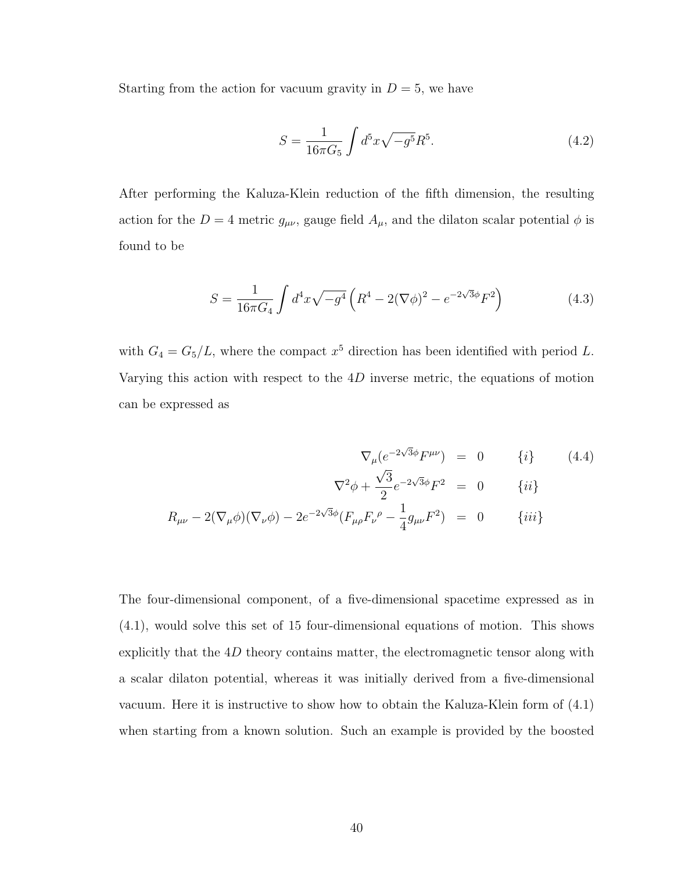Starting from the action for vacuum gravity in  $D = 5$ , we have

$$
S = \frac{1}{16\pi G_5} \int d^5 x \sqrt{-g^5} R^5.
$$
 (4.2)

After performing the Kaluza-Klein reduction of the fifth dimension, the resulting action for the  $D = 4$  metric  $g_{\mu\nu}$ , gauge field  $A_{\mu}$ , and the dilaton scalar potential  $\phi$  is found to be

$$
S = \frac{1}{16\pi G_4} \int d^4x \sqrt{-g^4} \left( R^4 - 2(\nabla \phi)^2 - e^{-2\sqrt{3}\phi} F^2 \right) \tag{4.3}
$$

with  $G_4 = G_5/L$ , where the compact  $x^5$  direction has been identified with period L. Varying this action with respect to the 4D inverse metric, the equations of motion can be expressed as

$$
\nabla_{\mu} (e^{-2\sqrt{3}\phi} F^{\mu\nu}) = 0 \qquad \{i\} \qquad (4.4)
$$

$$
\nabla^2 \phi + \frac{\sqrt{3}}{2} e^{-2\sqrt{3}\phi} F^2 = 0 \qquad \{ii\}
$$

$$
R_{\mu\nu} - 2(\nabla_{\mu}\phi)(\nabla_{\nu}\phi) - 2e^{-2\sqrt{3}\phi} (F_{\mu\rho} F_{\nu}{}^{\rho} - \frac{1}{4} g_{\mu\nu} F^2) = 0 \qquad \{iii\}
$$

The four-dimensional component, of a five-dimensional spacetime expressed as in (4.1), would solve this set of 15 four-dimensional equations of motion. This shows explicitly that the  $4D$  theory contains matter, the electromagnetic tensor along with a scalar dilaton potential, whereas it was initially derived from a five-dimensional vacuum. Here it is instructive to show how to obtain the Kaluza-Klein form of (4.1) when starting from a known solution. Such an example is provided by the boosted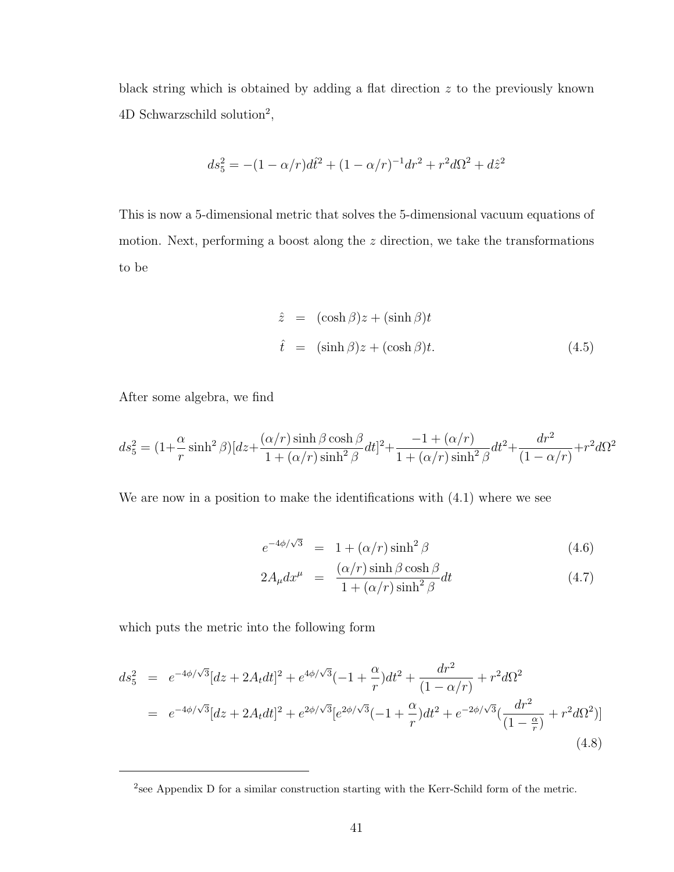black string which is obtained by adding a flat direction  $z$  to the previously known 4D Schwarzschild solution<sup>2</sup>,

$$
ds_5^2 = -(1 - \alpha/r)d\hat{t}^2 + (1 - \alpha/r)^{-1}dr^2 + r^2d\Omega^2 + d\hat{z}^2
$$

This is now a 5-dimensional metric that solves the 5-dimensional vacuum equations of motion. Next, performing a boost along the z direction, we take the transformations to be

$$
\hat{z} = (\cosh \beta)z + (\sinh \beta)t
$$
  

$$
\hat{t} = (\sinh \beta)z + (\cosh \beta)t.
$$
 (4.5)

After some algebra, we find

$$
ds_5^2 = (1 + \frac{\alpha}{r}\sinh^2\beta)[dz + \frac{(\alpha/r)\sinh\beta\cosh\beta}{1 + (\alpha/r)\sinh^2\beta}dt]^2 + \frac{-1 + (\alpha/r)}{1 + (\alpha/r)\sinh^2\beta}dt^2 + \frac{dr^2}{(1 - \alpha/r)} + r^2d\Omega^2
$$

We are now in a position to make the identifications with  $(4.1)$  where we see

$$
e^{-4\phi/\sqrt{3}} = 1 + (\alpha/r)\sinh^2\beta \tag{4.6}
$$

$$
2A_{\mu}dx^{\mu} = \frac{(\alpha/r)\sinh\beta\cosh\beta}{1+(\alpha/r)\sinh^{2}\beta}dt
$$
 (4.7)

which puts the metric into the following form

$$
ds_5^2 = e^{-4\phi/\sqrt{3}}[dz + 2A_t dt]^2 + e^{4\phi/\sqrt{3}}(-1 + \frac{\alpha}{r})dt^2 + \frac{dr^2}{(1 - \alpha/r)} + r^2 d\Omega^2
$$
  
= 
$$
e^{-4\phi/\sqrt{3}}[dz + 2A_t dt]^2 + e^{2\phi/\sqrt{3}}[e^{2\phi/\sqrt{3}}(-1 + \frac{\alpha}{r})dt^2 + e^{-2\phi/\sqrt{3}}(\frac{dr^2}{(1 - \frac{\alpha}{r})} + r^2 d\Omega^2)]
$$
(4.8)

<sup>&</sup>lt;sup>2</sup> see Appendix D for a similar construction starting with the Kerr-Schild form of the metric.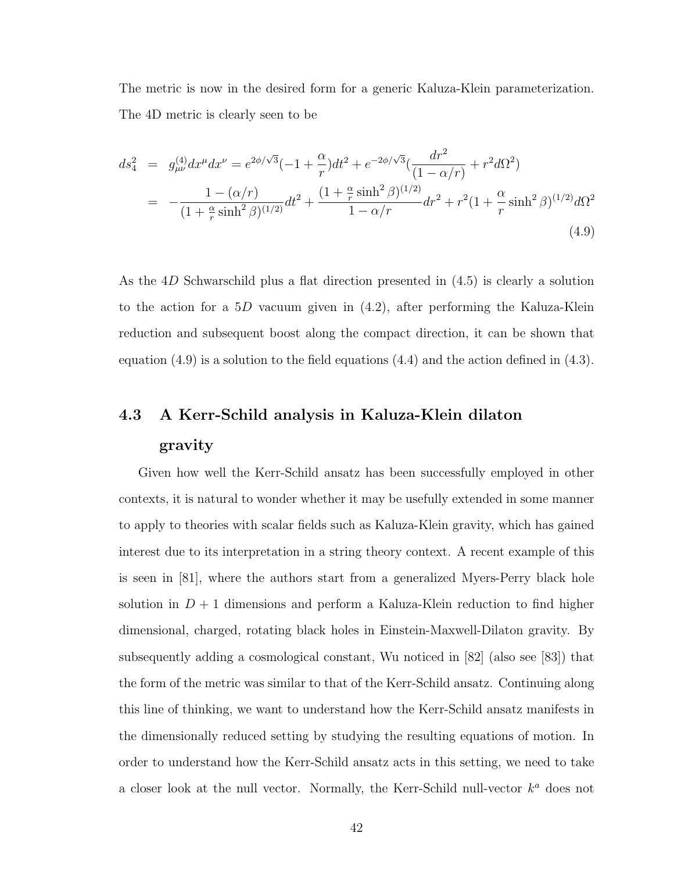The metric is now in the desired form for a generic Kaluza-Klein parameterization. The 4D metric is clearly seen to be

$$
ds_4^2 = g_{\mu\nu}^{(4)} dx^{\mu} dx^{\nu} = e^{2\phi/\sqrt{3}} (-1 + \frac{\alpha}{r}) dt^2 + e^{-2\phi/\sqrt{3}} \left( \frac{dr^2}{(1 - \alpha/r)} + r^2 d\Omega^2 \right)
$$
  
= 
$$
-\frac{1 - (\alpha/r)}{(1 + \frac{\alpha}{r} \sinh^2 \beta)^{(1/2)}} dt^2 + \frac{(1 + \frac{\alpha}{r} \sinh^2 \beta)^{(1/2)}}{1 - \alpha/r} dr^2 + r^2 (1 + \frac{\alpha}{r} \sinh^2 \beta)^{(1/2)} d\Omega^2
$$
(4.9)

As the 4D Schwarschild plus a flat direction presented in (4.5) is clearly a solution to the action for a 5D vacuum given in  $(4.2)$ , after performing the Kaluza-Klein reduction and subsequent boost along the compact direction, it can be shown that equation (4.9) is a solution to the field equations (4.4) and the action defined in (4.3).

## 4.3 A Kerr-Schild analysis in Kaluza-Klein dilaton

#### gravity

Given how well the Kerr-Schild ansatz has been successfully employed in other contexts, it is natural to wonder whether it may be usefully extended in some manner to apply to theories with scalar fields such as Kaluza-Klein gravity, which has gained interest due to its interpretation in a string theory context. A recent example of this is seen in [81], where the authors start from a generalized Myers-Perry black hole solution in  $D+1$  dimensions and perform a Kaluza-Klein reduction to find higher dimensional, charged, rotating black holes in Einstein-Maxwell-Dilaton gravity. By subsequently adding a cosmological constant, Wu noticed in [82] (also see [83]) that the form of the metric was similar to that of the Kerr-Schild ansatz. Continuing along this line of thinking, we want to understand how the Kerr-Schild ansatz manifests in the dimensionally reduced setting by studying the resulting equations of motion. In order to understand how the Kerr-Schild ansatz acts in this setting, we need to take a closer look at the null vector. Normally, the Kerr-Schild null-vector  $k^a$  does not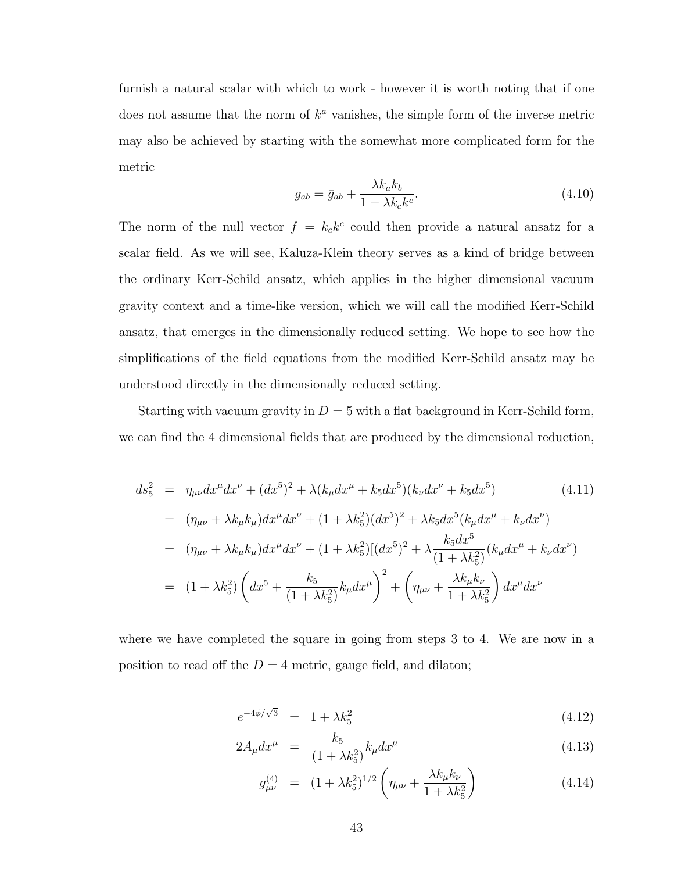furnish a natural scalar with which to work - however it is worth noting that if one does not assume that the norm of  $k^a$  vanishes, the simple form of the inverse metric may also be achieved by starting with the somewhat more complicated form for the metric

$$
g_{ab} = \bar{g}_{ab} + \frac{\lambda k_a k_b}{1 - \lambda k_c k^c}.
$$
\n(4.10)

The norm of the null vector  $f = k_c k^c$  could then provide a natural ansatz for a scalar field. As we will see, Kaluza-Klein theory serves as a kind of bridge between the ordinary Kerr-Schild ansatz, which applies in the higher dimensional vacuum gravity context and a time-like version, which we will call the modified Kerr-Schild ansatz, that emerges in the dimensionally reduced setting. We hope to see how the simplifications of the field equations from the modified Kerr-Schild ansatz may be understood directly in the dimensionally reduced setting.

Starting with vacuum gravity in  $D = 5$  with a flat background in Kerr-Schild form, we can find the 4 dimensional fields that are produced by the dimensional reduction,

$$
ds_5^2 = \eta_{\mu\nu} dx^{\mu} dx^{\nu} + (dx^5)^2 + \lambda (k_{\mu} dx^{\mu} + k_5 dx^5)(k_{\nu} dx^{\nu} + k_5 dx^5)
$$
(4.11)  
\n
$$
= (\eta_{\mu\nu} + \lambda k_{\mu} k_{\mu}) dx^{\mu} dx^{\nu} + (1 + \lambda k_5^2) (dx^5)^2 + \lambda k_5 dx^5 (k_{\mu} dx^{\mu} + k_{\nu} dx^{\nu})
$$
  
\n
$$
= (\eta_{\mu\nu} + \lambda k_{\mu} k_{\mu}) dx^{\mu} dx^{\nu} + (1 + \lambda k_5^2) [(dx^5)^2 + \lambda \frac{k_5 dx^5}{(1 + \lambda k_5^2)} (k_{\mu} dx^{\mu} + k_{\nu} dx^{\nu})
$$
  
\n
$$
= (1 + \lambda k_5^2) \left( dx^5 + \frac{k_5}{(1 + \lambda k_5^2)} k_{\mu} dx^{\mu} \right)^2 + \left( \eta_{\mu\nu} + \frac{\lambda k_{\mu} k_{\nu}}{1 + \lambda k_5^2} \right) dx^{\mu} dx^{\nu}
$$

where we have completed the square in going from steps 3 to 4. We are now in a position to read off the  $D = 4$  metric, gauge field, and dilaton;

$$
e^{-4\phi/\sqrt{3}} = 1 + \lambda k_5^2 \tag{4.12}
$$

$$
2A_{\mu}dx^{\mu} = \frac{k_5}{(1+\lambda k_5^2)}k_{\mu}dx^{\mu}
$$
\n(4.13)

$$
g_{\mu\nu}^{(4)} = (1 + \lambda k_5^2)^{1/2} \left( \eta_{\mu\nu} + \frac{\lambda k_\mu k_\nu}{1 + \lambda k_5^2} \right) \tag{4.14}
$$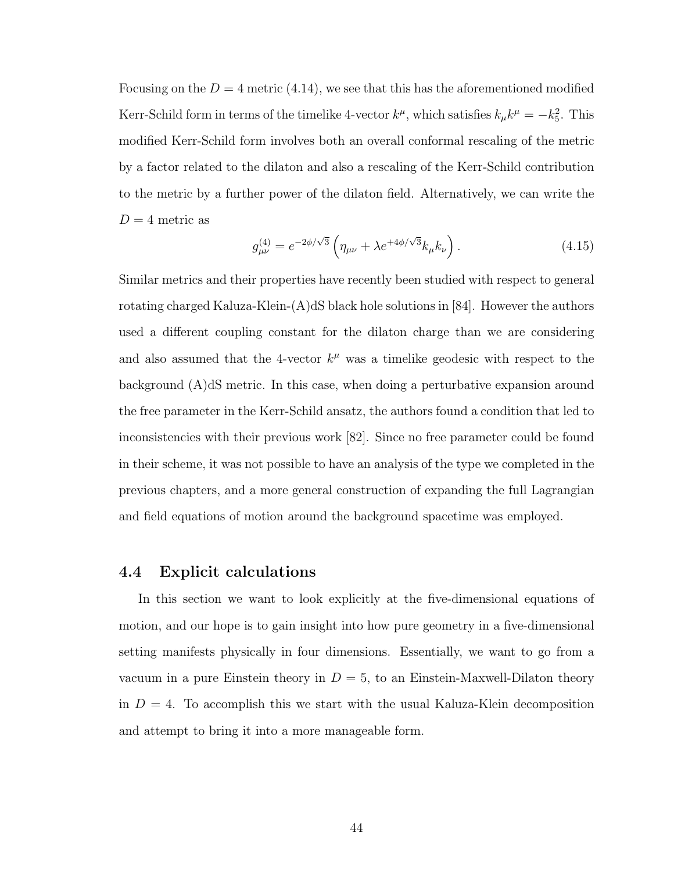Focusing on the  $D = 4$  metric (4.14), we see that this has the aforementioned modified Kerr-Schild form in terms of the timelike 4-vector  $k^{\mu}$ , which satisfies  $k_{\mu}k^{\mu} = -k_5^2$ . This modified Kerr-Schild form involves both an overall conformal rescaling of the metric by a factor related to the dilaton and also a rescaling of the Kerr-Schild contribution to the metric by a further power of the dilaton field. Alternatively, we can write the  $D = 4$  metric as

$$
g_{\mu\nu}^{(4)} = e^{-2\phi/\sqrt{3}} \left( \eta_{\mu\nu} + \lambda e^{+4\phi/\sqrt{3}} k_{\mu} k_{\nu} \right). \tag{4.15}
$$

Similar metrics and their properties have recently been studied with respect to general rotating charged Kaluza-Klein- $(A)dS$  black hole solutions in [84]. However the authors used a different coupling constant for the dilaton charge than we are considering and also assumed that the 4-vector  $k^{\mu}$  was a timelike geodesic with respect to the background (A)dS metric. In this case, when doing a perturbative expansion around the free parameter in the Kerr-Schild ansatz, the authors found a condition that led to inconsistencies with their previous work [82]. Since no free parameter could be found in their scheme, it was not possible to have an analysis of the type we completed in the previous chapters, and a more general construction of expanding the full Lagrangian and field equations of motion around the background spacetime was employed.

#### 4.4 Explicit calculations

In this section we want to look explicitly at the five-dimensional equations of motion, and our hope is to gain insight into how pure geometry in a five-dimensional setting manifests physically in four dimensions. Essentially, we want to go from a vacuum in a pure Einstein theory in  $D = 5$ , to an Einstein-Maxwell-Dilaton theory in  $D = 4$ . To accomplish this we start with the usual Kaluza-Klein decomposition and attempt to bring it into a more manageable form.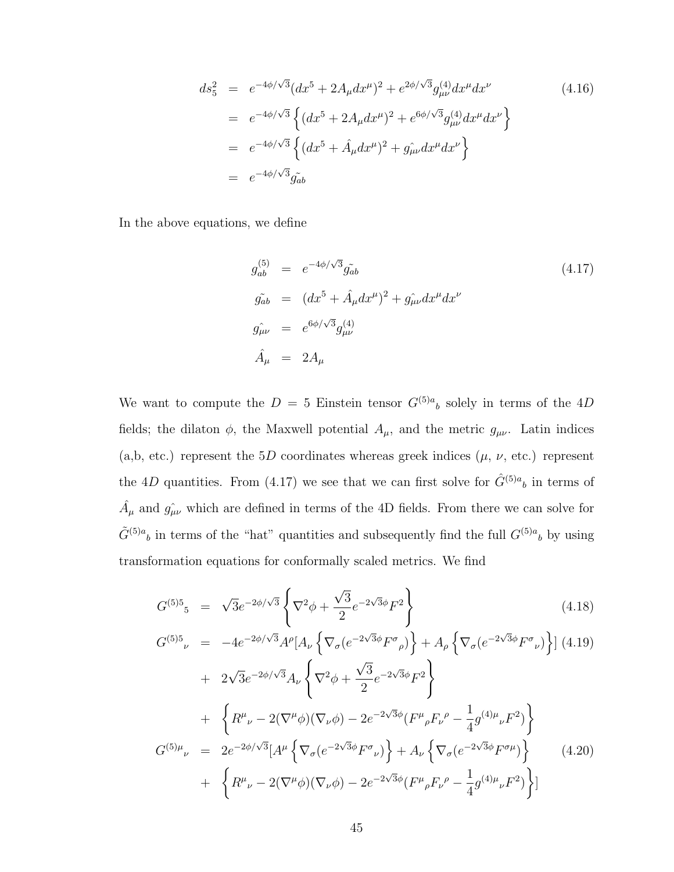$$
ds_5^2 = e^{-4\phi/\sqrt{3}}(dx^5 + 2A_\mu dx^\mu)^2 + e^{2\phi/\sqrt{3}}g_{\mu\nu}^{(4)}dx^\mu dx^\nu
$$
\n
$$
= e^{-4\phi/\sqrt{3}}\left\{(dx^5 + 2A_\mu dx^\mu)^2 + e^{6\phi/\sqrt{3}}g_{\mu\nu}^{(4)}dx^\mu dx^\nu\right\}
$$
\n
$$
= e^{-4\phi/\sqrt{3}}\left\{(dx^5 + \hat{A}_\mu dx^\mu)^2 + g_{\mu\nu}^{(4)}dx^\mu dx^\nu\right\}
$$
\n
$$
= e^{-4\phi/\sqrt{3}}g_{\mu\nu}^{(4)}dx^\mu dx^\nu
$$
\n
$$
= e^{-4\phi/\sqrt{3}}g_{\mu\nu}^{(4)}dx^\mu dx^\nu
$$
\n(4.16)

In the above equations, we define

$$
g_{ab}^{(5)} = e^{-4\phi/\sqrt{3}} \tilde{g}_{ab}
$$
\n
$$
g_{ab}^{(5)} = (dx^5 + \hat{A}_{\mu} dx^{\mu})^2 + \hat{g_{\mu\nu}} dx^{\mu} dx^{\nu}
$$
\n
$$
g_{\mu\nu}^{(5)} = e^{6\phi/\sqrt{3}} g_{\mu\nu}^{(4)}
$$
\n
$$
\hat{A}_{\mu} = 2A_{\mu}
$$
\n(4.17)

We want to compute the  $D = 5$  Einstein tensor  $G^{(5)a}{}_{b}$  solely in terms of the 4D fields; the dilaton  $\phi$ , the Maxwell potential  $A_{\mu}$ , and the metric  $g_{\mu\nu}$ . Latin indices (a,b, etc.) represent the  $5D$  coordinates whereas greek indices  $(\mu, \nu, \text{etc.})$  represent the 4D quantities. From (4.17) we see that we can first solve for  $\hat{G}^{(5)a}{}_{b}$  in terms of  $\hat{A}_{\mu}$  and  $\hat{g}_{\mu\nu}$  which are defined in terms of the 4D fields. From there we can solve for  $\tilde{G}^{(5)a}{}_b$  in terms of the "hat" quantities and subsequently find the full  $G^{(5)a}{}_b$  by using transformation equations for conformally scaled metrics. We find

$$
G^{(5)5}{}_{5} = \sqrt{3}e^{-2\phi/\sqrt{3}} \left\{ \nabla^2 \phi + \frac{\sqrt{3}}{2} e^{-2\sqrt{3}\phi} F^2 \right\} \tag{4.18}
$$

$$
G^{(5)5}{}_{\nu} = -4e^{-2\phi/\sqrt{3}}A^{\rho}[A_{\nu}\left\{\nabla_{\sigma}(e^{-2\sqrt{3}\phi}F^{\sigma}{}_{\rho})\right\} + A_{\rho}\left\{\nabla_{\sigma}(e^{-2\sqrt{3}\phi}F^{\sigma}{}_{\nu})\right\}](4.19)
$$
  
+  $2\sqrt{3}e^{-2\phi/\sqrt{3}}A_{\nu}\left\{\nabla^{2}\phi + \frac{\sqrt{3}}{2}e^{-2\sqrt{3}\phi}F^{2}\right\}$   
+  $\left\{R^{\mu}{}_{\nu} - 2(\nabla^{\mu}\phi)(\nabla_{\nu}\phi) - 2e^{-2\sqrt{3}\phi}(F^{\mu}{}_{\rho}F_{\nu}{}^{\rho} - \frac{1}{4}g^{(4)\mu}{}_{\nu}F^{2})\right\}$   

$$
G^{(5)\mu}{}_{\nu} = 2e^{-2\phi/\sqrt{3}}[A^{\mu}\left\{\nabla_{\sigma}(e^{-2\sqrt{3}\phi}F^{\sigma}{}_{\nu})\right\} + A_{\nu}\left\{\nabla_{\sigma}(e^{-2\sqrt{3}\phi}F^{\sigma}{}_{\mu})\right\} \qquad (4.20)
$$
  
+  $\left\{R^{\mu}{}_{\nu} - 2(\nabla^{\mu}\phi)(\nabla_{\nu}\phi) - 2e^{-2\sqrt{3}\phi}(F^{\mu}{}_{\rho}F_{\nu}{}^{\rho} - \frac{1}{4}g^{(4)\mu}{}_{\nu}F^{2})\right\}]$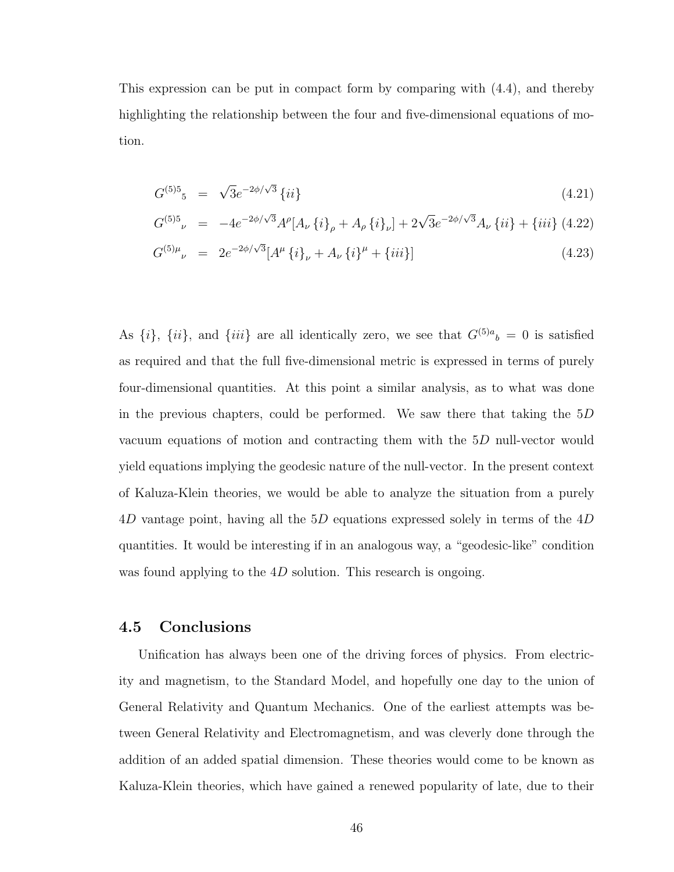This expression can be put in compact form by comparing with (4.4), and thereby highlighting the relationship between the four and five-dimensional equations of motion.

$$
G^{(5)5}{}_{5} = \sqrt{3}e^{-2\phi/\sqrt{3}}\left\{ii\right\} \tag{4.21}
$$

$$
G^{(5)5}{}_{\nu} = -4e^{-2\phi/\sqrt{3}}A^{\rho}[A_{\nu} \{i\}_{\rho} + A_{\rho} \{i\}_{\nu}] + 2\sqrt{3}e^{-2\phi/\sqrt{3}}A_{\nu} \{ii\} + \{iii\} (4.22)
$$

$$
G^{(5)\mu}{}_{\nu} = 2e^{-2\phi/\sqrt{3}}[A^{\mu}\left\{i\right\}_{\nu} + A_{\nu}\left\{i\right\}^{\mu} + \{iii\}] \tag{4.23}
$$

As  $\{i\}$ ,  $\{ii\}$ , and  $\{iii\}$  are all identically zero, we see that  $G^{(5)a}{}_{b} = 0$  is satisfied as required and that the full five-dimensional metric is expressed in terms of purely four-dimensional quantities. At this point a similar analysis, as to what was done in the previous chapters, could be performed. We saw there that taking the 5D vacuum equations of motion and contracting them with the 5D null-vector would yield equations implying the geodesic nature of the null-vector. In the present context of Kaluza-Klein theories, we would be able to analyze the situation from a purely 4D vantage point, having all the 5D equations expressed solely in terms of the 4D quantities. It would be interesting if in an analogous way, a "geodesic-like" condition was found applying to the  $4D$  solution. This research is ongoing.

#### 4.5 Conclusions

Unification has always been one of the driving forces of physics. From electricity and magnetism, to the Standard Model, and hopefully one day to the union of General Relativity and Quantum Mechanics. One of the earliest attempts was between General Relativity and Electromagnetism, and was cleverly done through the addition of an added spatial dimension. These theories would come to be known as Kaluza-Klein theories, which have gained a renewed popularity of late, due to their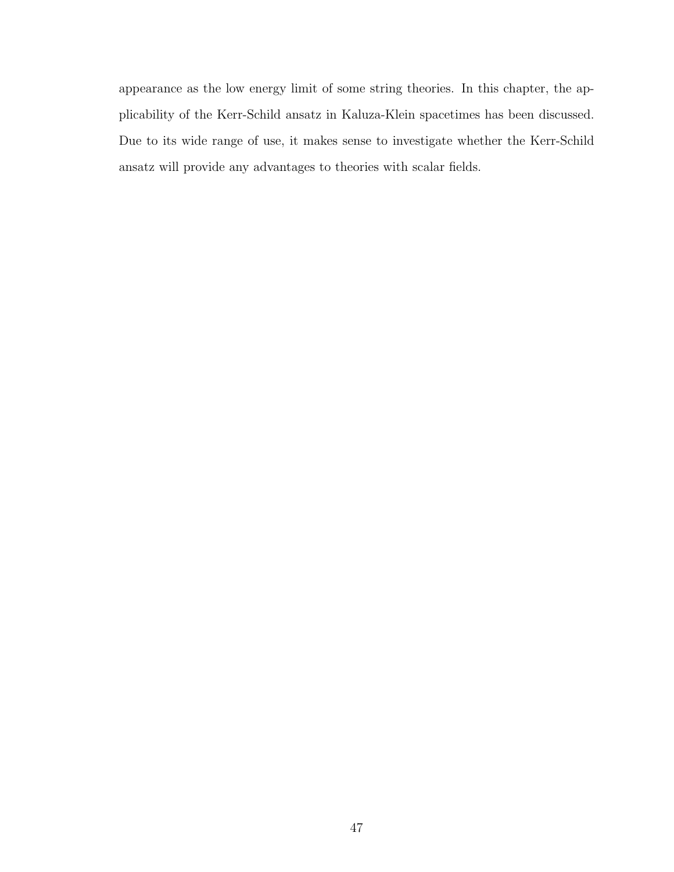appearance as the low energy limit of some string theories. In this chapter, the applicability of the Kerr-Schild ansatz in Kaluza-Klein spacetimes has been discussed. Due to its wide range of use, it makes sense to investigate whether the Kerr-Schild ansatz will provide any advantages to theories with scalar fields.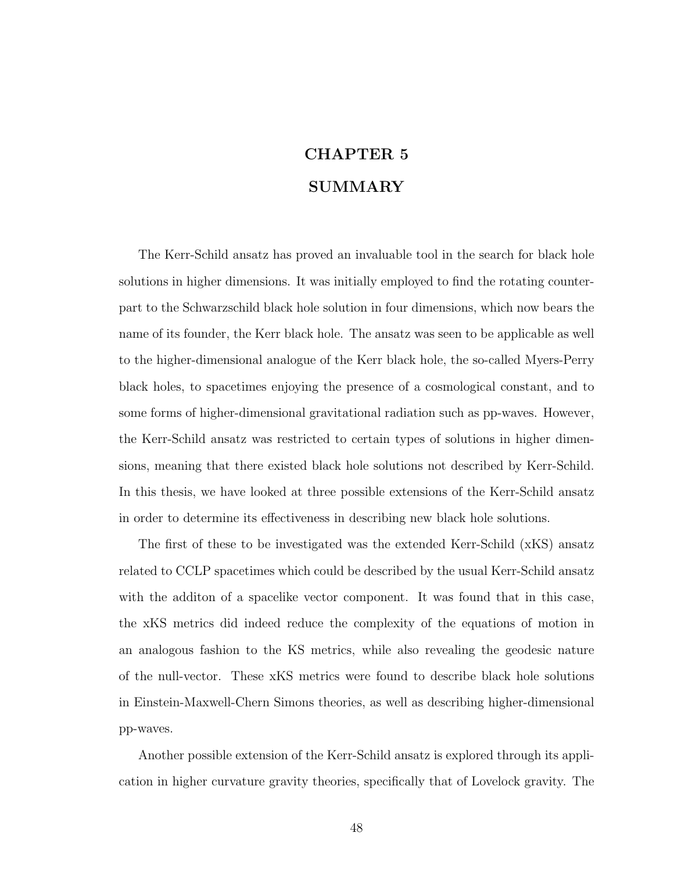# CHAPTER 5 SUMMARY

The Kerr-Schild ansatz has proved an invaluable tool in the search for black hole solutions in higher dimensions. It was initially employed to find the rotating counterpart to the Schwarzschild black hole solution in four dimensions, which now bears the name of its founder, the Kerr black hole. The ansatz was seen to be applicable as well to the higher-dimensional analogue of the Kerr black hole, the so-called Myers-Perry black holes, to spacetimes enjoying the presence of a cosmological constant, and to some forms of higher-dimensional gravitational radiation such as pp-waves. However, the Kerr-Schild ansatz was restricted to certain types of solutions in higher dimensions, meaning that there existed black hole solutions not described by Kerr-Schild. In this thesis, we have looked at three possible extensions of the Kerr-Schild ansatz in order to determine its effectiveness in describing new black hole solutions.

The first of these to be investigated was the extended Kerr-Schild (xKS) ansatz related to CCLP spacetimes which could be described by the usual Kerr-Schild ansatz with the addition of a spacelike vector component. It was found that in this case, the xKS metrics did indeed reduce the complexity of the equations of motion in an analogous fashion to the KS metrics, while also revealing the geodesic nature of the null-vector. These xKS metrics were found to describe black hole solutions in Einstein-Maxwell-Chern Simons theories, as well as describing higher-dimensional pp-waves.

Another possible extension of the Kerr-Schild ansatz is explored through its application in higher curvature gravity theories, specifically that of Lovelock gravity. The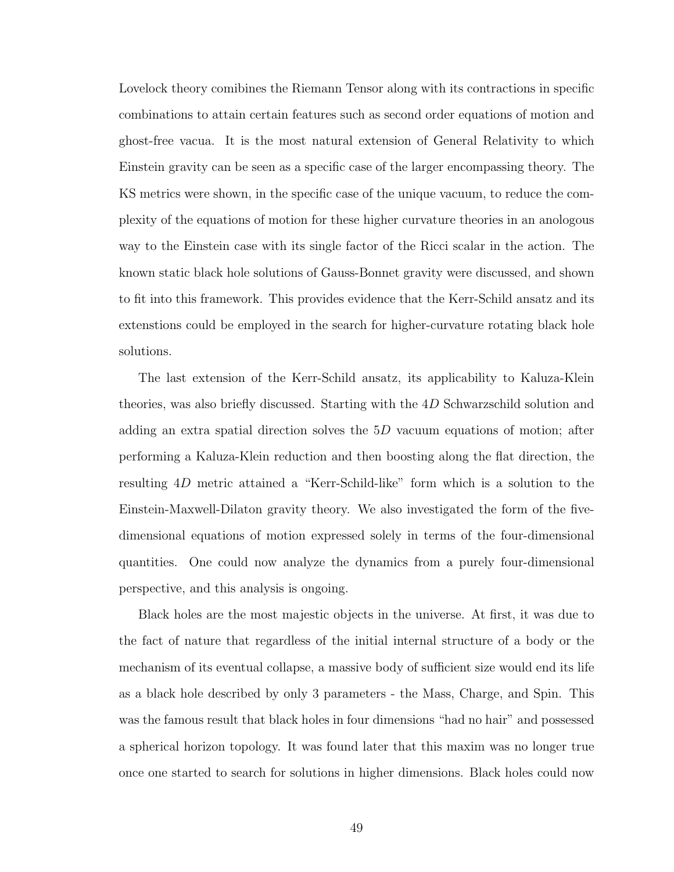Lovelock theory comibines the Riemann Tensor along with its contractions in specific combinations to attain certain features such as second order equations of motion and ghost-free vacua. It is the most natural extension of General Relativity to which Einstein gravity can be seen as a specific case of the larger encompassing theory. The KS metrics were shown, in the specific case of the unique vacuum, to reduce the complexity of the equations of motion for these higher curvature theories in an anologous way to the Einstein case with its single factor of the Ricci scalar in the action. The known static black hole solutions of Gauss-Bonnet gravity were discussed, and shown to fit into this framework. This provides evidence that the Kerr-Schild ansatz and its extenstions could be employed in the search for higher-curvature rotating black hole solutions.

The last extension of the Kerr-Schild ansatz, its applicability to Kaluza-Klein theories, was also briefly discussed. Starting with the 4D Schwarzschild solution and adding an extra spatial direction solves the  $5D$  vacuum equations of motion; after performing a Kaluza-Klein reduction and then boosting along the flat direction, the resulting 4D metric attained a "Kerr-Schild-like" form which is a solution to the Einstein-Maxwell-Dilaton gravity theory. We also investigated the form of the fivedimensional equations of motion expressed solely in terms of the four-dimensional quantities. One could now analyze the dynamics from a purely four-dimensional perspective, and this analysis is ongoing.

Black holes are the most majestic objects in the universe. At first, it was due to the fact of nature that regardless of the initial internal structure of a body or the mechanism of its eventual collapse, a massive body of sufficient size would end its life as a black hole described by only 3 parameters - the Mass, Charge, and Spin. This was the famous result that black holes in four dimensions "had no hair" and possessed a spherical horizon topology. It was found later that this maxim was no longer true once one started to search for solutions in higher dimensions. Black holes could now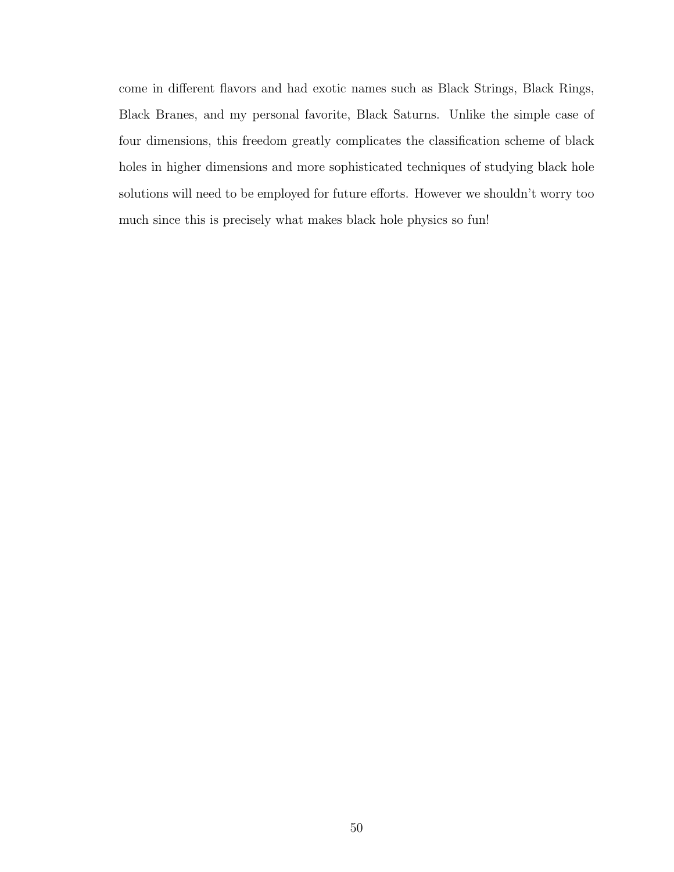come in different flavors and had exotic names such as Black Strings, Black Rings, Black Branes, and my personal favorite, Black Saturns. Unlike the simple case of four dimensions, this freedom greatly complicates the classification scheme of black holes in higher dimensions and more sophisticated techniques of studying black hole solutions will need to be employed for future efforts. However we shouldn't worry too much since this is precisely what makes black hole physics so fun!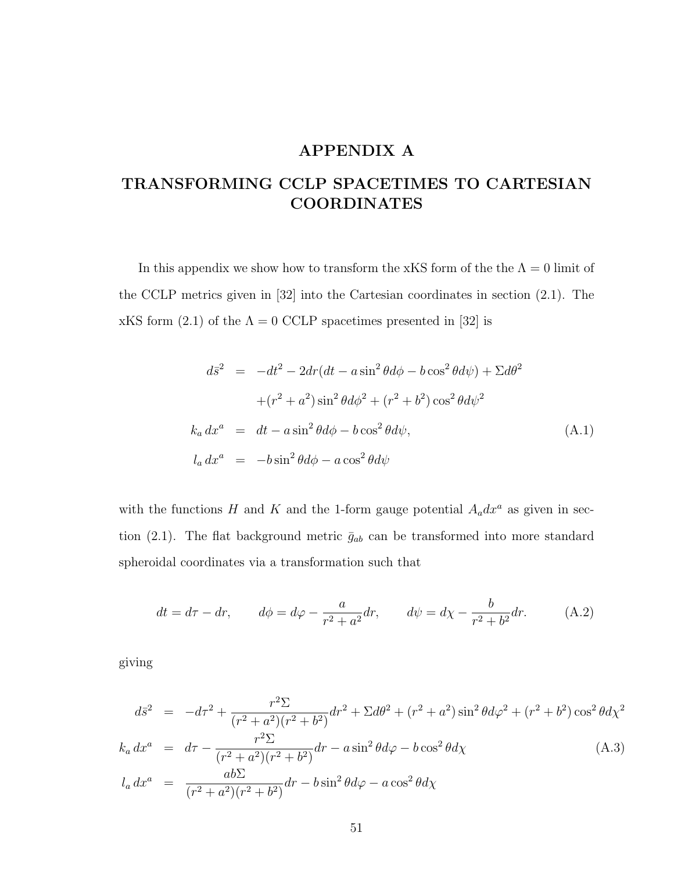## APPENDIX A

## TRANSFORMING CCLP SPACETIMES TO CARTESIAN COORDINATES

In this appendix we show how to transform the xKS form of the the  $\Lambda = 0$  limit of the CCLP metrics given in [32] into the Cartesian coordinates in section (2.1). The xKS form (2.1) of the  $\Lambda = 0$  CCLP spacetimes presented in [32] is

$$
d\bar{s}^2 = -dt^2 - 2dr(dt - a\sin^2\theta d\phi - b\cos^2\theta d\psi) + \Sigma d\theta^2
$$
  
+
$$
(r^2 + a^2)\sin^2\theta d\phi^2 + (r^2 + b^2)\cos^2\theta d\psi^2
$$
  

$$
k_a dx^a = dt - a\sin^2\theta d\phi - b\cos^2\theta d\psi,
$$
  

$$
l_a dx^a = -b\sin^2\theta d\phi - a\cos^2\theta d\psi
$$
 (A.1)

with the functions H and K and the 1-form gauge potential  $A_a dx^a$  as given in section (2.1). The flat background metric  $\bar{g}_{ab}$  can be transformed into more standard spheroidal coordinates via a transformation such that

$$
dt = d\tau - dr, \qquad d\phi = d\varphi - \frac{a}{r^2 + a^2}dr, \qquad d\psi = d\chi - \frac{b}{r^2 + b^2}dr. \tag{A.2}
$$

giving

$$
d\bar{s}^{2} = -d\tau^{2} + \frac{r^{2} \Sigma}{(r^{2} + a^{2})(r^{2} + b^{2})} dr^{2} + \Sigma d\theta^{2} + (r^{2} + a^{2}) \sin^{2} \theta d\varphi^{2} + (r^{2} + b^{2}) \cos^{2} \theta d\chi^{2}
$$
  
\n
$$
k_{a} dx^{a} = d\tau - \frac{r^{2} \Sigma}{(r^{2} + a^{2})(r^{2} + b^{2})} dr - a \sin^{2} \theta d\varphi - b \cos^{2} \theta d\chi
$$
  
\n
$$
l_{a} dx^{a} = \frac{ab \Sigma}{(r^{2} + a^{2})(r^{2} + b^{2})} dr - b \sin^{2} \theta d\varphi - a \cos^{2} \theta d\chi
$$
  
\n(A.3)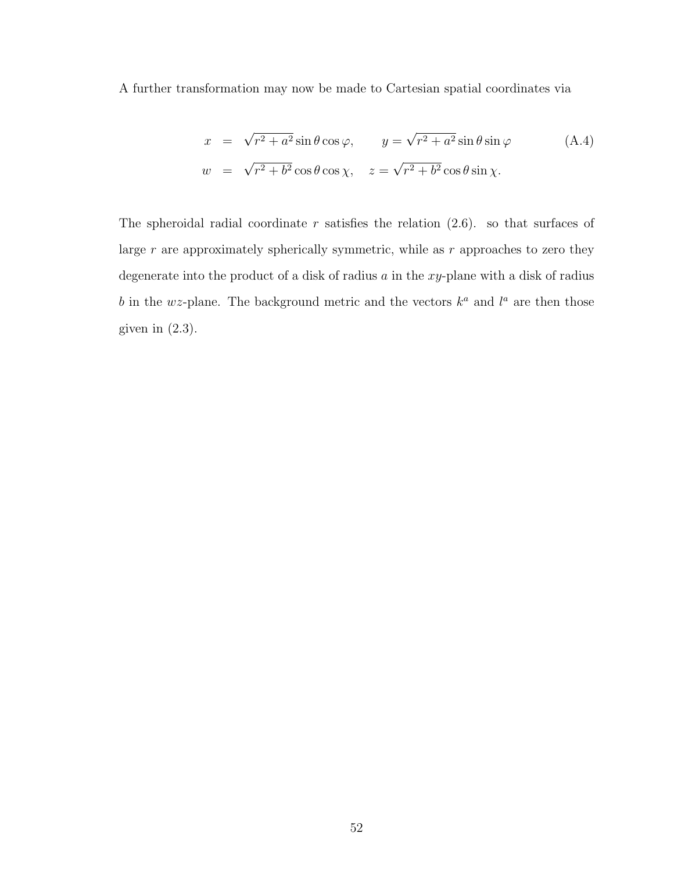A further transformation may now be made to Cartesian spatial coordinates via

$$
x = \sqrt{r^2 + a^2} \sin \theta \cos \varphi, \qquad y = \sqrt{r^2 + a^2} \sin \theta \sin \varphi \qquad (A.4)
$$
  

$$
w = \sqrt{r^2 + b^2} \cos \theta \cos \chi, \quad z = \sqrt{r^2 + b^2} \cos \theta \sin \chi.
$$

The spheroidal radial coordinate  $r$  satisfies the relation  $(2.6)$ . so that surfaces of large  $r$  are approximately spherically symmetric, while as  $r$  approaches to zero they degenerate into the product of a disk of radius  $a$  in the xy-plane with a disk of radius b in the wz-plane. The background metric and the vectors  $k^a$  and  $l^a$  are then those given in  $(2.3)$ .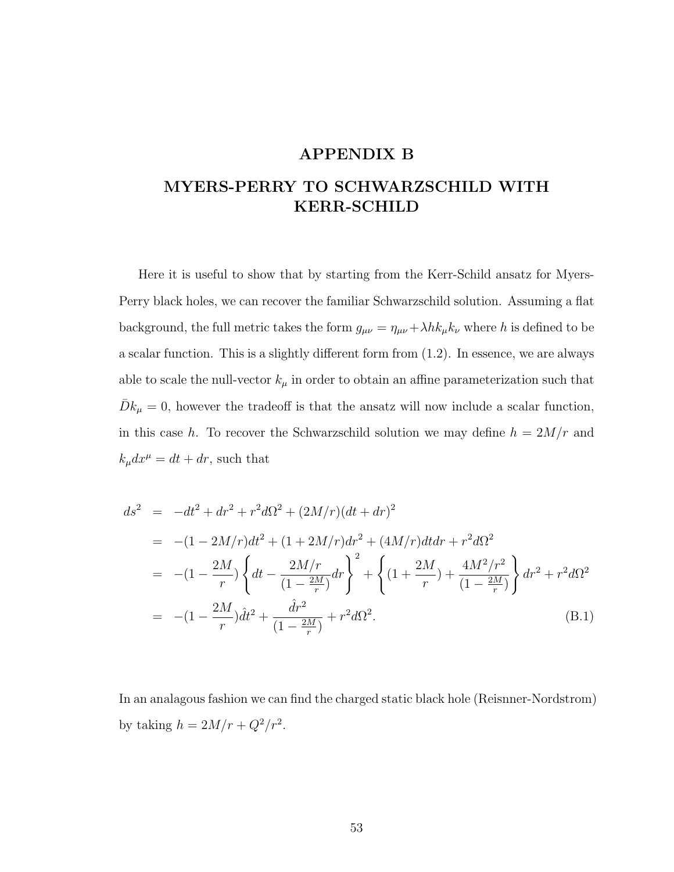## APPENDIX B

## MYERS-PERRY TO SCHWARZSCHILD WITH KERR-SCHILD

Here it is useful to show that by starting from the Kerr-Schild ansatz for Myers-Perry black holes, we can recover the familiar Schwarzschild solution. Assuming a flat background, the full metric takes the form  $g_{\mu\nu} = \eta_{\mu\nu} + \lambda h k_{\mu} k_{\nu}$  where h is defined to be a scalar function. This is a slightly different form from (1.2). In essence, we are always able to scale the null-vector  $k_{\mu}$  in order to obtain an affine parameterization such that  $\bar{D}k_{\mu}=0$ , however the tradeoff is that the ansatz will now include a scalar function, in this case h. To recover the Schwarzschild solution we may define  $h = 2M/r$  and  $k_{\mu}dx^{\mu}=dt+dr$ , such that

$$
ds^{2} = -dt^{2} + dr^{2} + r^{2}d\Omega^{2} + (2M/r)(dt + dr)^{2}
$$
  
= -(1 - 2M/r)dt<sup>2</sup> + (1 + 2M/r)dr<sup>2</sup> + (4M/r)dtdr + r^{2}d\Omega^{2}  
= -(1 - \frac{2M}{r}) \left\{ dt - \frac{2M/r}{(1 - \frac{2M}{r})}dr \right\}^{2} + \left\{ (1 + \frac{2M}{r}) + \frac{4M^{2}/r^{2}}{(1 - \frac{2M}{r})} \right\} dr^{2} + r^{2}d\Omega^{2}  
= -(1 - \frac{2M}{r})\hat{d}t^{2} + \frac{\hat{d}r^{2}}{(1 - \frac{2M}{r})} + r^{2}d\Omega^{2}. \tag{B.1}

In an analagous fashion we can find the charged static black hole (Reisnner-Nordstrom) by taking  $h = 2M/r + Q^2/r^2$ .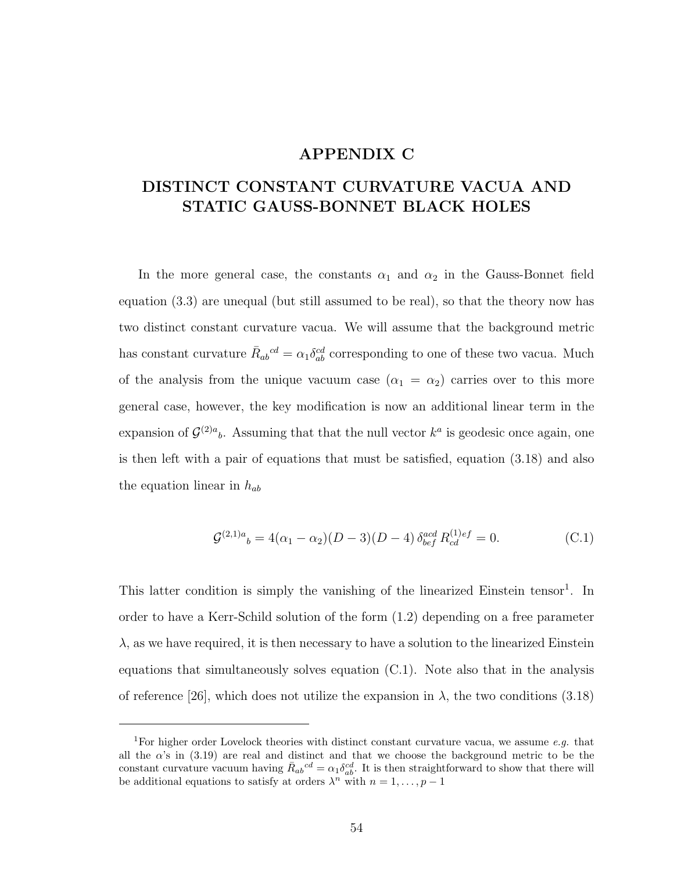### APPENDIX C

## DISTINCT CONSTANT CURVATURE VACUA AND STATIC GAUSS-BONNET BLACK HOLES

In the more general case, the constants  $\alpha_1$  and  $\alpha_2$  in the Gauss-Bonnet field equation (3.3) are unequal (but still assumed to be real), so that the theory now has two distinct constant curvature vacua. We will assume that the background metric has constant curvature  $\bar{R}_{ab}{}^{cd} = \alpha_1 \delta^{cd}_{ab}$  corresponding to one of these two vacua. Much of the analysis from the unique vacuum case  $(\alpha_1 = \alpha_2)$  carries over to this more general case, however, the key modification is now an additional linear term in the expansion of  $\mathcal{G}^{(2)a}$ . Assuming that that the null vector  $k^a$  is geodesic once again, one is then left with a pair of equations that must be satisfied, equation (3.18) and also the equation linear in  $h_{ab}$ 

$$
\mathcal{G}^{(2,1)a}{}_{b} = 4(\alpha_1 - \alpha_2)(D - 3)(D - 4)\,\delta^{acd}_{bef}R^{(1)ef}_{cd} = 0.
$$
\n(C.1)

This latter condition is simply the vanishing of the linearized Einstein tensor<sup>1</sup>. In order to have a Kerr-Schild solution of the form (1.2) depending on a free parameter  $\lambda$ , as we have required, it is then necessary to have a solution to the linearized Einstein equations that simultaneously solves equation (C.1). Note also that in the analysis of reference [26], which does not utilize the expansion in  $\lambda$ , the two conditions (3.18)

<sup>&</sup>lt;sup>1</sup>For higher order Lovelock theories with distinct constant curvature vacua, we assume  $e.g.$  that all the  $\alpha$ 's in (3.19) are real and distinct and that we choose the background metric to be the constant curvature vacuum having  $\bar{R}_{ab}{}^{cd} = \alpha_1 \delta_{ab}^{cd}$ . It is then straightforward to show that there will be additional equations to satisfy at orders  $\lambda^n$  with  $n = 1, \ldots, p - 1$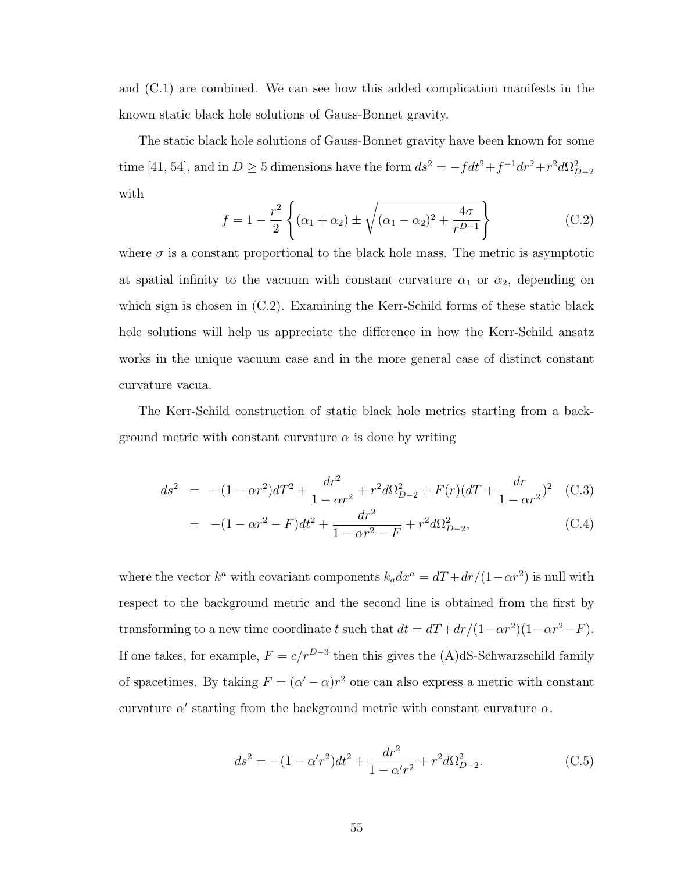and (C.1) are combined. We can see how this added complication manifests in the known static black hole solutions of Gauss-Bonnet gravity.

The static black hole solutions of Gauss-Bonnet gravity have been known for some time [41, 54], and in  $D \ge 5$  dimensions have the form  $ds^2 = -fdt^2 + f^{-1}dr^2 + r^2d\Omega_{D-2}^2$ with

$$
f = 1 - \frac{r^2}{2} \left\{ (\alpha_1 + \alpha_2) \pm \sqrt{(\alpha_1 - \alpha_2)^2 + \frac{4\sigma}{r^{D-1}}} \right\}
$$
 (C.2)

where  $\sigma$  is a constant proportional to the black hole mass. The metric is asymptotic at spatial infinity to the vacuum with constant curvature  $\alpha_1$  or  $\alpha_2$ , depending on which sign is chosen in (C.2). Examining the Kerr-Schild forms of these static black hole solutions will help us appreciate the difference in how the Kerr-Schild ansatz works in the unique vacuum case and in the more general case of distinct constant curvature vacua.

The Kerr-Schild construction of static black hole metrics starting from a background metric with constant curvature  $\alpha$  is done by writing

$$
ds^{2} = -(1 - \alpha r^{2})dT^{2} + \frac{dr^{2}}{1 - \alpha r^{2}} + r^{2} d\Omega_{D-2}^{2} + F(r)(dT + \frac{dr}{1 - \alpha r^{2}})^{2} \quad \text{(C.3)}
$$

$$
= -(1 - \alpha r^2 - F)dt^2 + \frac{dr^2}{1 - \alpha r^2 - F} + r^2 d\Omega_{D-2}^2,
$$
\n(C.4)

where the vector  $k^a$  with covariant components  $k_a dx^a = dT + dr/(1 - \alpha r^2)$  is null with respect to the background metric and the second line is obtained from the first by transforming to a new time coordinate t such that  $dt = dT + dr/(1 - \alpha r^2)(1 - \alpha r^2 - F)$ . If one takes, for example,  $F = c/r^{D-3}$  then this gives the (A)dS-Schwarzschild family of spacetimes. By taking  $F = (\alpha' - \alpha)r^2$  one can also express a metric with constant curvature  $\alpha'$  starting from the background metric with constant curvature  $\alpha$ .

$$
ds^{2} = -(1 - \alpha' r^{2})dt^{2} + \frac{dr^{2}}{1 - \alpha' r^{2}} + r^{2} d\Omega_{D-2}^{2}.
$$
 (C.5)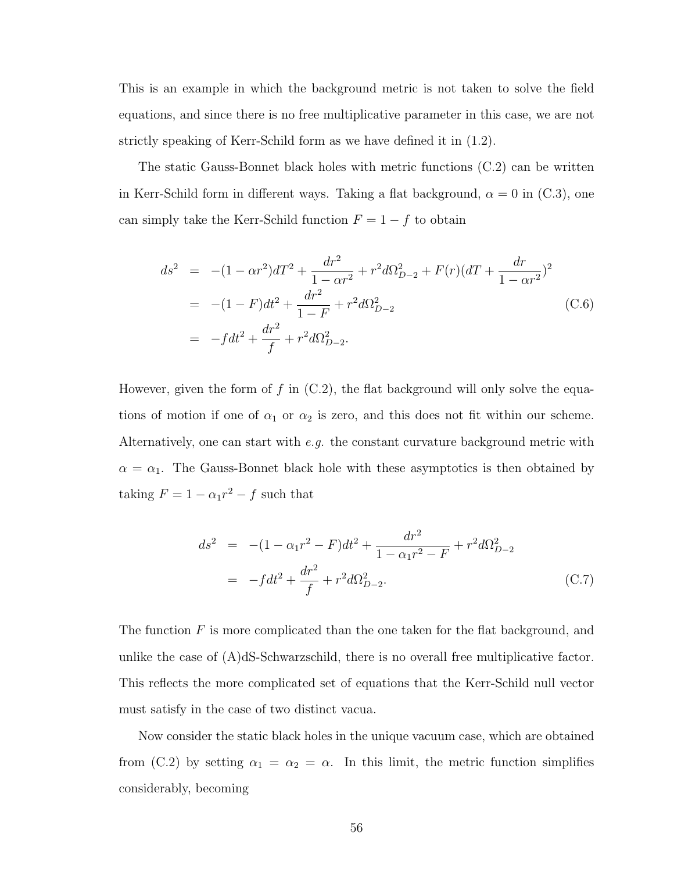This is an example in which the background metric is not taken to solve the field equations, and since there is no free multiplicative parameter in this case, we are not strictly speaking of Kerr-Schild form as we have defined it in (1.2).

The static Gauss-Bonnet black holes with metric functions (C.2) can be written in Kerr-Schild form in different ways. Taking a flat background,  $\alpha = 0$  in (C.3), one can simply take the Kerr-Schild function  $F = 1 - f$  to obtain

$$
ds^{2} = -(1 - \alpha r^{2})dT^{2} + \frac{dr^{2}}{1 - \alpha r^{2}} + r^{2} d\Omega_{D-2}^{2} + F(r)(dT + \frac{dr}{1 - \alpha r^{2}})^{2}
$$
  
= -(1 - F)dt^{2} + \frac{dr^{2}}{1 - F} + r^{2} d\Omega\_{D-2}^{2}  
= -fdt^{2} + \frac{dr^{2}}{f} + r^{2} d\Omega\_{D-2}^{2}. (C.6)

However, given the form of f in  $(C.2)$ , the flat background will only solve the equations of motion if one of  $\alpha_1$  or  $\alpha_2$  is zero, and this does not fit within our scheme. Alternatively, one can start with  $e.g.$  the constant curvature background metric with  $\alpha = \alpha_1$ . The Gauss-Bonnet black hole with these asymptotics is then obtained by taking  $F = 1 - \alpha_1 r^2 - f$  such that

$$
ds^{2} = -(1 - \alpha_{1}r^{2} - F)dt^{2} + \frac{dr^{2}}{1 - \alpha_{1}r^{2} - F} + r^{2}d\Omega_{D-2}^{2}
$$

$$
= -fdt^{2} + \frac{dr^{2}}{f} + r^{2}d\Omega_{D-2}^{2}.
$$
(C.7)

The function  $F$  is more complicated than the one taken for the flat background, and unlike the case of  $(A)dS-Schwarzschild$ , there is no overall free multiplicative factor. This reflects the more complicated set of equations that the Kerr-Schild null vector must satisfy in the case of two distinct vacua.

Now consider the static black holes in the unique vacuum case, which are obtained from (C.2) by setting  $\alpha_1 = \alpha_2 = \alpha$ . In this limit, the metric function simplifies considerably, becoming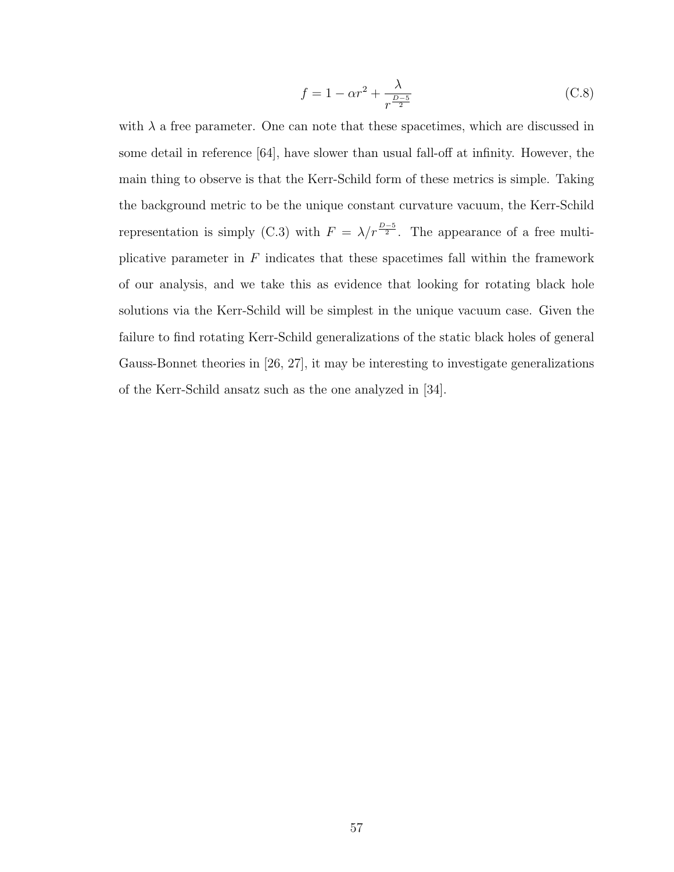$$
f = 1 - \alpha r^2 + \frac{\lambda}{r^{\frac{D-5}{2}}} \tag{C.8}
$$

with  $\lambda$  a free parameter. One can note that these spacetimes, which are discussed in some detail in reference [64], have slower than usual fall-off at infinity. However, the main thing to observe is that the Kerr-Schild form of these metrics is simple. Taking the background metric to be the unique constant curvature vacuum, the Kerr-Schild representation is simply (C.3) with  $F = \lambda/r^{\frac{D-5}{2}}$ . The appearance of a free multiplicative parameter in  $F$  indicates that these spacetimes fall within the framework of our analysis, and we take this as evidence that looking for rotating black hole solutions via the Kerr-Schild will be simplest in the unique vacuum case. Given the failure to find rotating Kerr-Schild generalizations of the static black holes of general Gauss-Bonnet theories in [26, 27], it may be interesting to investigate generalizations of the Kerr-Schild ansatz such as the one analyzed in [34].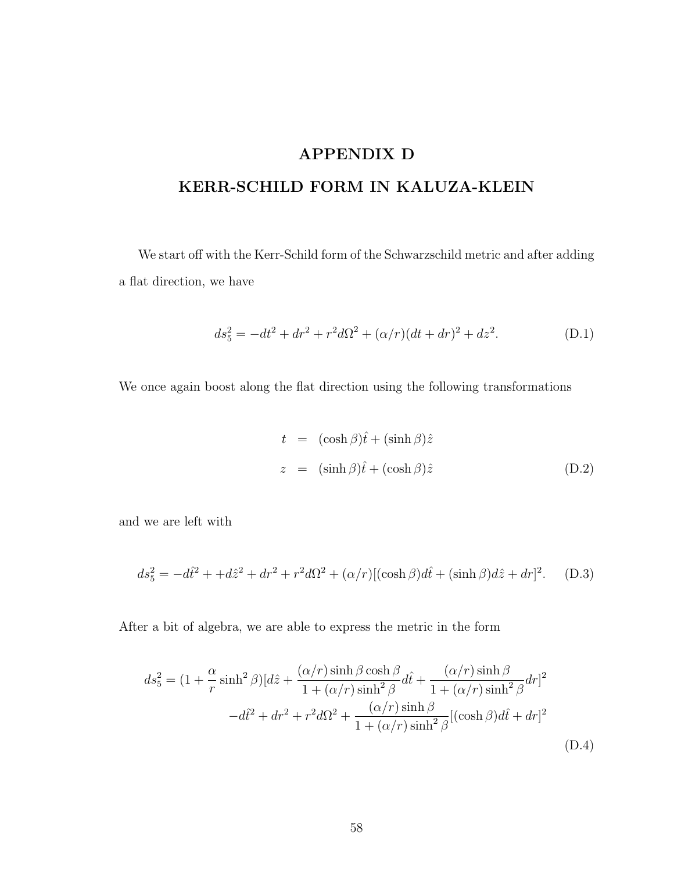## APPENDIX D

## KERR-SCHILD FORM IN KALUZA-KLEIN

We start off with the Kerr-Schild form of the Schwarzschild metric and after adding a flat direction, we have

$$
ds_5^2 = -dt^2 + dr^2 + r^2d\Omega^2 + (\alpha/r)(dt + dr)^2 + dz^2.
$$
 (D.1)

We once again boost along the flat direction using the following transformations

$$
t = (\cosh \beta)\hat{t} + (\sinh \beta)\hat{z}
$$
  

$$
z = (\sinh \beta)\hat{t} + (\cosh \beta)\hat{z}
$$
 (D.2)

and we are left with

$$
ds_5^2 = -d\hat{t}^2 + d\hat{z}^2 + dr^2 + r^2d\Omega^2 + (\alpha/r)[(\cosh\beta)d\hat{t} + (\sinh\beta)d\hat{z} + dr]^2.
$$
 (D.3)

After a bit of algebra, we are able to express the metric in the form

$$
ds_5^2 = (1 + \frac{\alpha}{r} \sinh^2 \beta)[d\hat{z} + \frac{(\alpha/r)\sinh\beta\cosh\beta}{1 + (\alpha/r)\sinh^2 \beta} d\hat{t} + \frac{(\alpha/r)\sinh\beta}{1 + (\alpha/r)\sinh^2 \beta} dr]^2
$$

$$
-d\hat{t}^2 + dr^2 + r^2 d\Omega^2 + \frac{(\alpha/r)\sinh\beta}{1 + (\alpha/r)\sinh^2 \beta} [(\cosh\beta)d\hat{t} + dr]^2
$$
(D.4)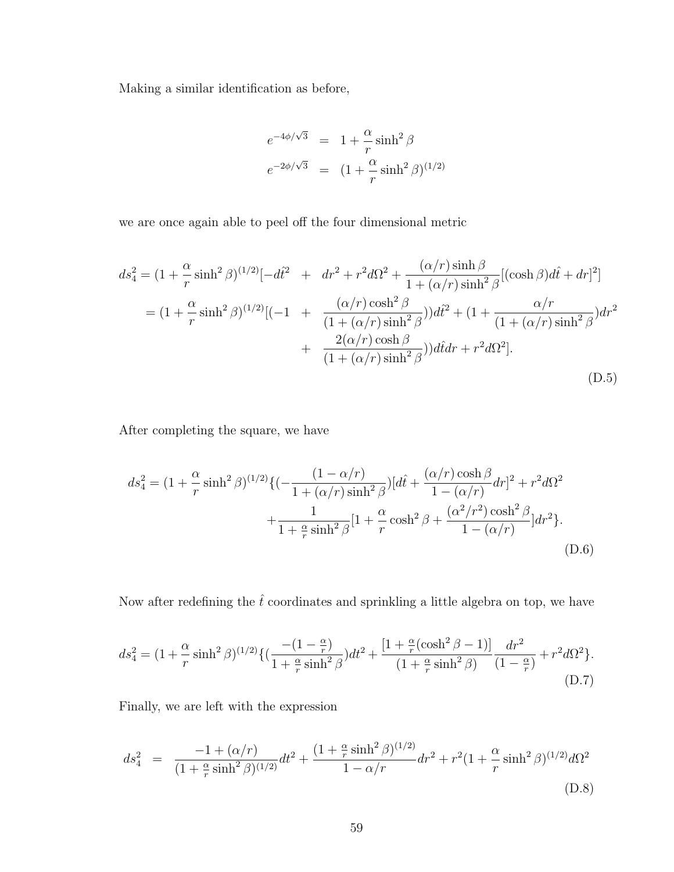Making a similar identification as before,

$$
e^{-4\phi/\sqrt{3}} = 1 + \frac{\alpha}{r} \sinh^2 \beta
$$
  

$$
e^{-2\phi/\sqrt{3}} = (1 + \frac{\alpha}{r} \sinh^2 \beta)^{(1/2)}
$$

we are once again able to peel off the four dimensional metric

$$
ds_4^2 = (1 + \frac{\alpha}{r} \sinh^2 \beta)^{(1/2)} [-d\hat{t}^2 + dr^2 + r^2 d\Omega^2 + \frac{(\alpha/r) \sinh \beta}{1 + (\alpha/r) \sinh^2 \beta} [(\cosh \beta) d\hat{t} + dr]^2]
$$
  
=  $(1 + \frac{\alpha}{r} \sinh^2 \beta)^{(1/2)} [(-1 + \frac{(\alpha/r) \cosh^2 \beta}{(1 + (\alpha/r) \sinh^2 \beta)}) d\hat{t}^2 + (1 + \frac{\alpha/r}{(1 + (\alpha/r) \sinh^2 \beta)}) dr^2$   
+  $\frac{2(\alpha/r) \cosh \beta}{(1 + (\alpha/r) \sinh^2 \beta)}) d\hat{t} dr + r^2 d\Omega^2].$  (D.5)

After completing the square, we have

$$
ds_4^2 = (1 + \frac{\alpha}{r} \sinh^2 \beta)^{(1/2)} \{ (-\frac{(1 - \alpha/r)}{1 + (\alpha/r) \sinh^2 \beta}) [d\hat{t} + \frac{(\alpha/r) \cosh \beta}{1 - (\alpha/r)} dr]^2 + r^2 d\Omega^2 + \frac{1}{1 + \frac{\alpha}{r} \sinh^2 \beta} [1 + \frac{\alpha}{r} \cosh^2 \beta + \frac{(\alpha^2/r^2) \cosh^2 \beta}{1 - (\alpha/r)}] dr^2 \}.
$$
\n(D.6)

Now after redefining the  $\hat{t}$  coordinates and sprinkling a little algebra on top, we have

$$
ds_4^2 = (1 + \frac{\alpha}{r} \sinh^2 \beta)^{(1/2)} \{ \left( \frac{-(1 - \frac{\alpha}{r})}{1 + \frac{\alpha}{r} \sinh^2 \beta} \right) dt^2 + \frac{[1 + \frac{\alpha}{r} (\cosh^2 \beta - 1)]}{(1 + \frac{\alpha}{r} \sinh^2 \beta)} \frac{dr^2}{(1 - \frac{\alpha}{r})} + r^2 d\Omega^2 \}.
$$
\n(D.7)

Finally, we are left with the expression

$$
ds_4^2 = \frac{-1 + (\alpha/r)}{(1 + \frac{\alpha}{r}\sinh^2\beta)^{(1/2)}}dt^2 + \frac{(1 + \frac{\alpha}{r}\sinh^2\beta)^{(1/2)}}{1 - \alpha/r}dr^2 + r^2(1 + \frac{\alpha}{r}\sinh^2\beta)^{(1/2)}d\Omega^2
$$
(D.8)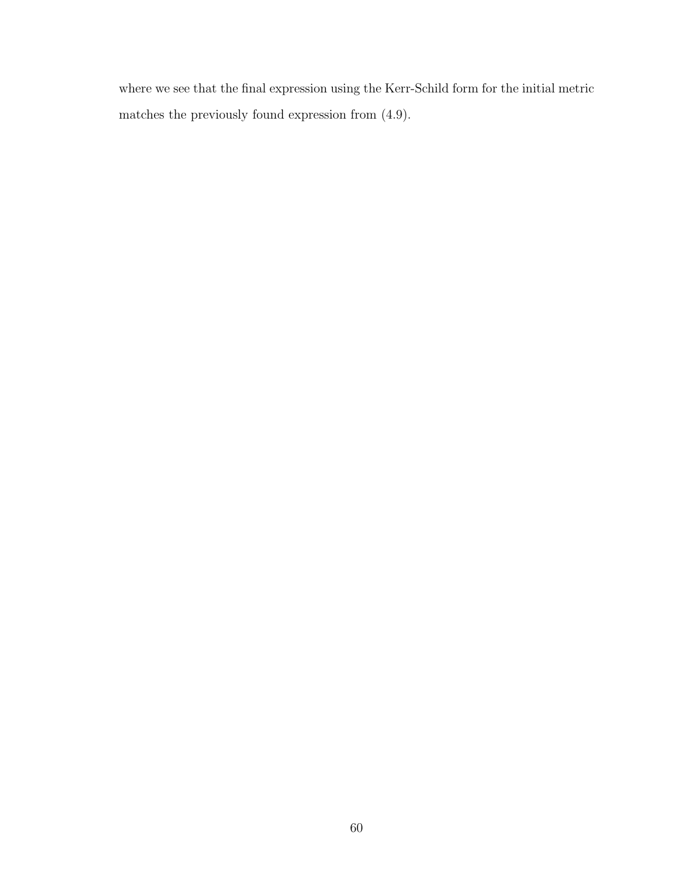where we see that the final expression using the Kerr-Schild form for the initial metric matches the previously found expression from (4.9).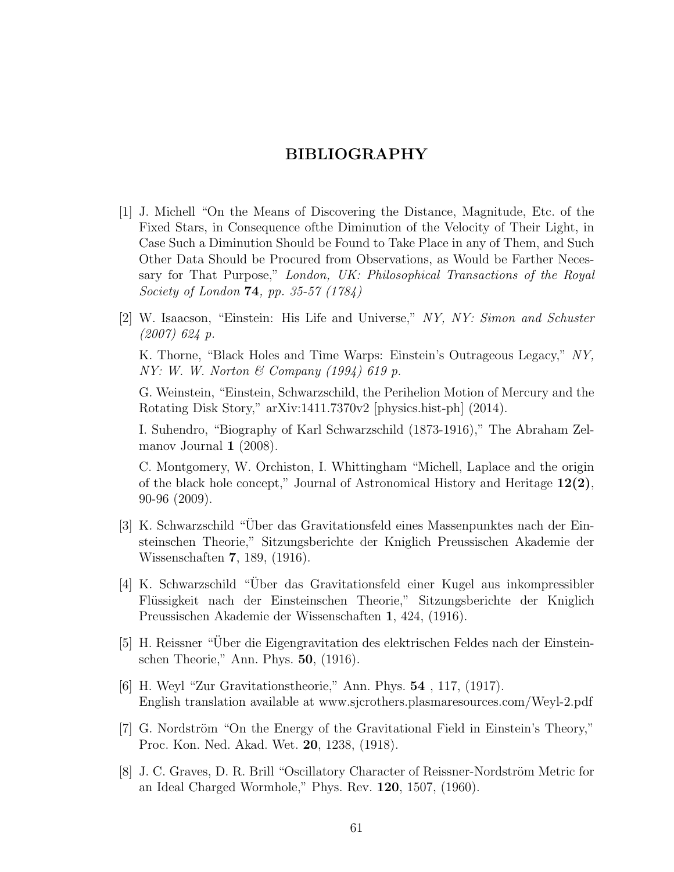### BIBLIOGRAPHY

- [1] J. Michell "On the Means of Discovering the Distance, Magnitude, Etc. of the Fixed Stars, in Consequence ofthe Diminution of the Velocity of Their Light, in Case Such a Diminution Should be Found to Take Place in any of Them, and Such Other Data Should be Procured from Observations, as Would be Farther Necessary for That Purpose," London, UK: Philosophical Transactions of the Royal Society of London 74, pp. 35-57 (1784)
- [2] W. Isaacson, "Einstein: His Life and Universe," NY, NY: Simon and Schuster (2007) 624 p.

K. Thorne, "Black Holes and Time Warps: Einstein's Outrageous Legacy," NY, NY: W. W. Norton  $\mathcal C$  Company (1994) 619 p.

G. Weinstein, "Einstein, Schwarzschild, the Perihelion Motion of Mercury and the Rotating Disk Story," arXiv:1411.7370v2 [physics.hist-ph] (2014).

I. Suhendro, "Biography of Karl Schwarzschild (1873-1916)," The Abraham Zelmanov Journal 1 (2008).

C. Montgomery, W. Orchiston, I. Whittingham "Michell, Laplace and the origin of the black hole concept," Journal of Astronomical History and Heritage 12(2), 90-96 (2009).

- [3] K. Schwarzschild "Über das Gravitationsfeld eines Massenpunktes nach der Einsteinschen Theorie," Sitzungsberichte der Kniglich Preussischen Akademie der Wissenschaften 7, 189, (1916).
- [4] K. Schwarzschild "Über das Gravitationsfeld einer Kugel aus inkompressibler Flüssigkeit nach der Einsteinschen Theorie," Sitzungsberichte der Kniglich Preussischen Akademie der Wissenschaften 1, 424, (1916).
- [5] H. Reissner "Uber die Eigengravitation des elektrischen Feldes nach der Einstein- ¨ schen Theorie," Ann. Phys. 50, (1916).
- [6] H. Weyl "Zur Gravitationstheorie," Ann. Phys. 54 , 117, (1917). English translation available at www.sjcrothers.plasmaresources.com/Weyl-2.pdf
- [7] G. Nordström "On the Energy of the Gravitational Field in Einstein's Theory," Proc. Kon. Ned. Akad. Wet. 20, 1238, (1918).
- [8] J. C. Graves, D. R. Brill "Oscillatory Character of Reissner-Nordström Metric for an Ideal Charged Wormhole," Phys. Rev. 120, 1507, (1960).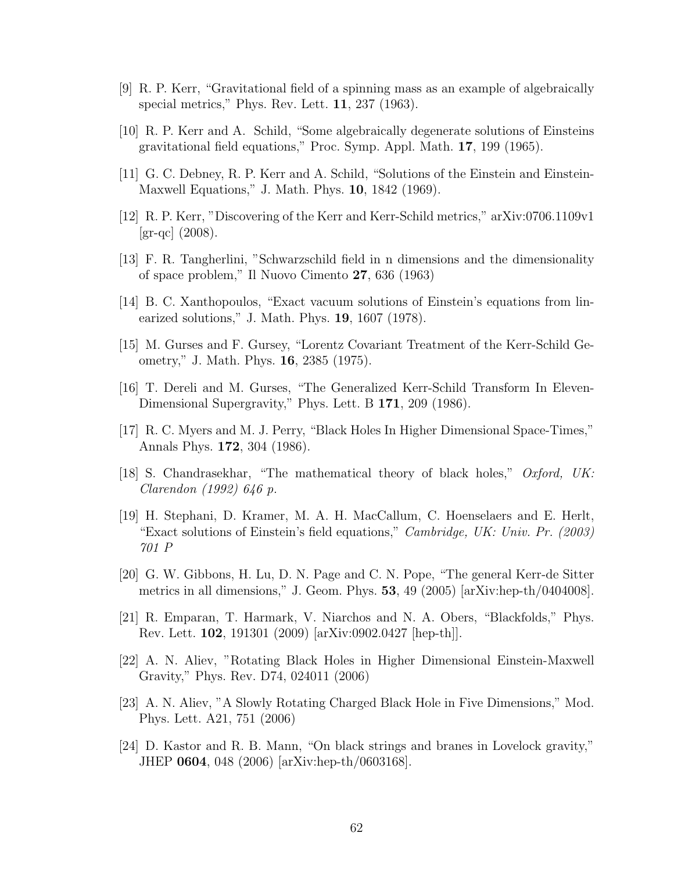- [9] R. P. Kerr, "Gravitational field of a spinning mass as an example of algebraically special metrics," Phys. Rev. Lett. 11, 237 (1963).
- [10] R. P. Kerr and A. Schild, "Some algebraically degenerate solutions of Einsteins gravitational field equations," Proc. Symp. Appl. Math. 17, 199 (1965).
- [11] G. C. Debney, R. P. Kerr and A. Schild, "Solutions of the Einstein and Einstein-Maxwell Equations," J. Math. Phys. 10, 1842 (1969).
- [12] R. P. Kerr, "Discovering of the Kerr and Kerr-Schild metrics," arXiv:0706.1109v1  $\rm{[gr\text{-}qc]}$  (2008).
- [13] F. R. Tangherlini, "Schwarzschild field in n dimensions and the dimensionality of space problem," Il Nuovo Cimento 27, 636 (1963)
- [14] B. C. Xanthopoulos, "Exact vacuum solutions of Einstein's equations from linearized solutions," J. Math. Phys. 19, 1607 (1978).
- [15] M. Gurses and F. Gursey, "Lorentz Covariant Treatment of the Kerr-Schild Geometry," J. Math. Phys. 16, 2385 (1975).
- [16] T. Dereli and M. Gurses, "The Generalized Kerr-Schild Transform In Eleven-Dimensional Supergravity," Phys. Lett. B 171, 209 (1986).
- [17] R. C. Myers and M. J. Perry, "Black Holes In Higher Dimensional Space-Times," Annals Phys. 172, 304 (1986).
- [18] S. Chandrasekhar, "The mathematical theory of black holes," Oxford, UK: Clarendon (1992) 646 p.
- [19] H. Stephani, D. Kramer, M. A. H. MacCallum, C. Hoenselaers and E. Herlt, "Exact solutions of Einstein's field equations," Cambridge, UK: Univ. Pr. (2003) 701 P
- [20] G. W. Gibbons, H. Lu, D. N. Page and C. N. Pope, "The general Kerr-de Sitter metrics in all dimensions," J. Geom. Phys. 53, 49 (2005) [arXiv:hep-th/0404008].
- [21] R. Emparan, T. Harmark, V. Niarchos and N. A. Obers, "Blackfolds," Phys. Rev. Lett. 102, 191301 (2009) [arXiv:0902.0427 [hep-th]].
- [22] A. N. Aliev, "Rotating Black Holes in Higher Dimensional Einstein-Maxwell Gravity," Phys. Rev. D74, 024011 (2006)
- [23] A. N. Aliev, "A Slowly Rotating Charged Black Hole in Five Dimensions," Mod. Phys. Lett. A21, 751 (2006)
- [24] D. Kastor and R. B. Mann, "On black strings and branes in Lovelock gravity," JHEP 0604, 048 (2006) [arXiv:hep-th/0603168].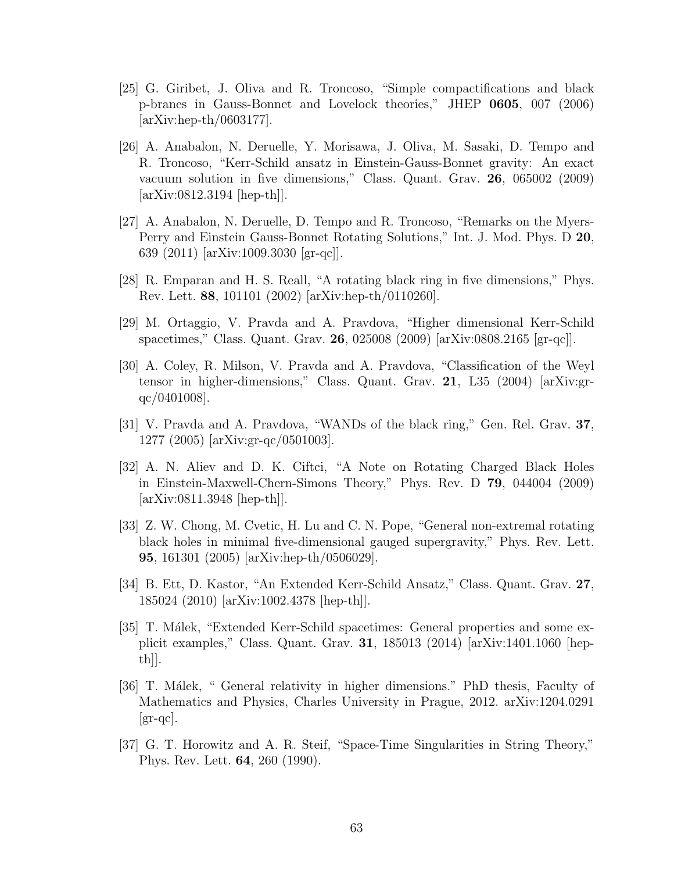- [25] G. Giribet, J. Oliva and R. Troncoso, "Simple compactifications and black p-branes in Gauss-Bonnet and Lovelock theories," JHEP 0605, 007 (2006) [arXiv:hep-th/0603177].
- [26] A. Anabalon, N. Deruelle, Y. Morisawa, J. Oliva, M. Sasaki, D. Tempo and R. Troncoso, "Kerr-Schild ansatz in Einstein-Gauss-Bonnet gravity: An exact vacuum solution in five dimensions," Class. Quant. Grav. 26, 065002 (2009) [arXiv:0812.3194 [hep-th]].
- [27] A. Anabalon, N. Deruelle, D. Tempo and R. Troncoso, "Remarks on the Myers-Perry and Einstein Gauss-Bonnet Rotating Solutions," Int. J. Mod. Phys. D 20, 639 (2011) [arXiv:1009.3030 [gr-qc]].
- [28] R. Emparan and H. S. Reall, "A rotating black ring in five dimensions," Phys. Rev. Lett. 88, 101101 (2002) [arXiv:hep-th/0110260].
- [29] M. Ortaggio, V. Pravda and A. Pravdova, "Higher dimensional Kerr-Schild spacetimes," Class. Quant. Grav. 26, 025008 (2009) [arXiv:0808.2165 [gr-qc]].
- [30] A. Coley, R. Milson, V. Pravda and A. Pravdova, "Classification of the Weyl tensor in higher-dimensions," Class. Quant. Grav. 21, L35 (2004) [arXiv:grqc/0401008].
- [31] V. Pravda and A. Pravdova, "WANDs of the black ring," Gen. Rel. Grav. 37, 1277 (2005) [arXiv:gr-qc/0501003].
- [32] A. N. Aliev and D. K. Ciftci, "A Note on Rotating Charged Black Holes in Einstein-Maxwell-Chern-Simons Theory," Phys. Rev. D 79, 044004 (2009) [arXiv:0811.3948 [hep-th]].
- [33] Z. W. Chong, M. Cvetic, H. Lu and C. N. Pope, "General non-extremal rotating black holes in minimal five-dimensional gauged supergravity," Phys. Rev. Lett. 95, 161301 (2005) [arXiv:hep-th/0506029].
- [34] B. Ett, D. Kastor, "An Extended Kerr-Schild Ansatz," Class. Quant. Grav. 27, 185024 (2010) [arXiv:1002.4378 [hep-th]].
- [35] T. Málek, "Extended Kerr-Schild spacetimes: General properties and some explicit examples," Class. Quant. Grav. 31, 185013 (2014) [arXiv:1401.1060 [hepth]].
- [36] T. Málek, " General relativity in higher dimensions." PhD thesis, Faculty of Mathematics and Physics, Charles University in Prague, 2012. arXiv:1204.0291  $\left[\text{gr-qc}\right]$ .
- [37] G. T. Horowitz and A. R. Steif, "Space-Time Singularities in String Theory," Phys. Rev. Lett. 64, 260 (1990).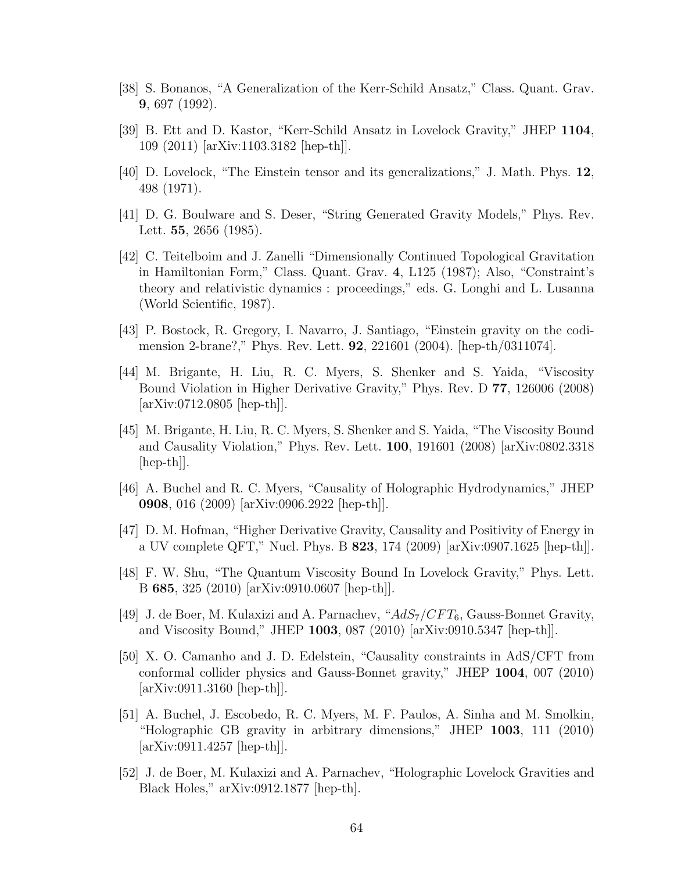- [38] S. Bonanos, "A Generalization of the Kerr-Schild Ansatz," Class. Quant. Grav. 9, 697 (1992).
- [39] B. Ett and D. Kastor, "Kerr-Schild Ansatz in Lovelock Gravity," JHEP 1104, 109 (2011) [arXiv:1103.3182 [hep-th]].
- [40] D. Lovelock, "The Einstein tensor and its generalizations," J. Math. Phys. 12, 498 (1971).
- [41] D. G. Boulware and S. Deser, "String Generated Gravity Models," Phys. Rev. Lett. 55, 2656 (1985).
- [42] C. Teitelboim and J. Zanelli "Dimensionally Continued Topological Gravitation in Hamiltonian Form," Class. Quant. Grav. 4, L125 (1987); Also, "Constraint's theory and relativistic dynamics : proceedings," eds. G. Longhi and L. Lusanna (World Scientific, 1987).
- [43] P. Bostock, R. Gregory, I. Navarro, J. Santiago, "Einstein gravity on the codimension 2-brane?," Phys. Rev. Lett. 92, 221601 (2004). [hep-th/0311074].
- [44] M. Brigante, H. Liu, R. C. Myers, S. Shenker and S. Yaida, "Viscosity Bound Violation in Higher Derivative Gravity," Phys. Rev. D 77, 126006 (2008) [arXiv:0712.0805 [hep-th]].
- [45] M. Brigante, H. Liu, R. C. Myers, S. Shenker and S. Yaida, "The Viscosity Bound and Causality Violation," Phys. Rev. Lett. 100, 191601 (2008) [arXiv:0802.3318  $\vert \text{hep-th} \vert$ .
- [46] A. Buchel and R. C. Myers, "Causality of Holographic Hydrodynamics," JHEP 0908, 016 (2009) [arXiv:0906.2922 [hep-th]].
- [47] D. M. Hofman, "Higher Derivative Gravity, Causality and Positivity of Energy in a UV complete QFT," Nucl. Phys. B  $823$ , 174 (2009) [arXiv:0907.1625 [hep-th]].
- [48] F. W. Shu, "The Quantum Viscosity Bound In Lovelock Gravity," Phys. Lett. B 685, 325 (2010) [arXiv:0910.0607 [hep-th]].
- [49] J. de Boer, M. Kulaxizi and A. Parnachev, " $AdS_7/CFT_6$ , Gauss-Bonnet Gravity, and Viscosity Bound," JHEP 1003, 087 (2010) [arXiv:0910.5347 [hep-th]].
- [50] X. O. Camanho and J. D. Edelstein, "Causality constraints in AdS/CFT from conformal collider physics and Gauss-Bonnet gravity," JHEP 1004, 007 (2010) [arXiv:0911.3160 [hep-th]].
- [51] A. Buchel, J. Escobedo, R. C. Myers, M. F. Paulos, A. Sinha and M. Smolkin, "Holographic GB gravity in arbitrary dimensions," JHEP 1003, 111 (2010) [arXiv:0911.4257 [hep-th]].
- [52] J. de Boer, M. Kulaxizi and A. Parnachev, "Holographic Lovelock Gravities and Black Holes," arXiv:0912.1877 [hep-th].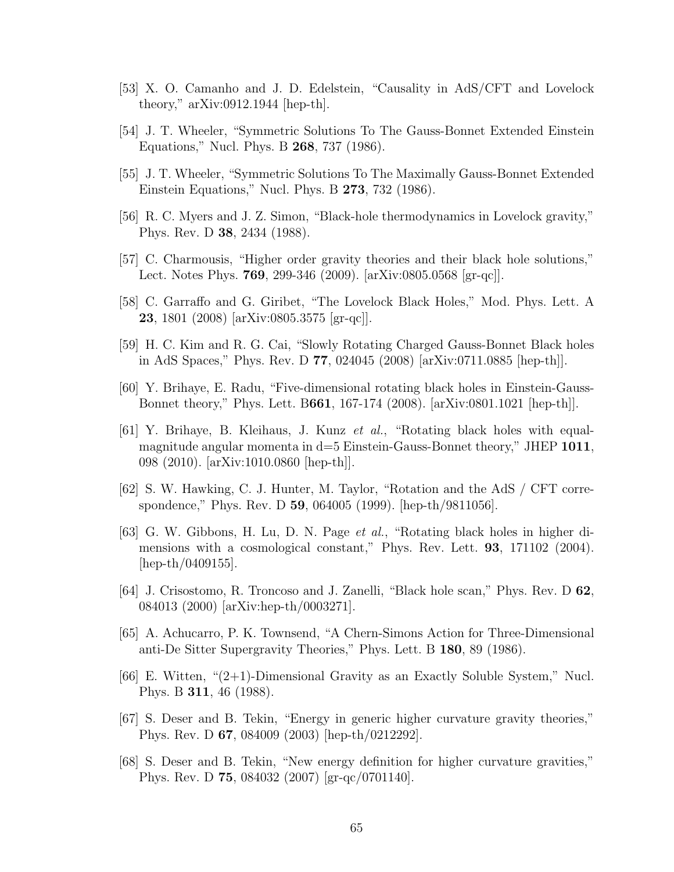- [53] X. O. Camanho and J. D. Edelstein, "Causality in AdS/CFT and Lovelock theory," arXiv:0912.1944 [hep-th].
- [54] J. T. Wheeler, "Symmetric Solutions To The Gauss-Bonnet Extended Einstein Equations," Nucl. Phys. B 268, 737 (1986).
- [55] J. T. Wheeler, "Symmetric Solutions To The Maximally Gauss-Bonnet Extended Einstein Equations," Nucl. Phys. B 273, 732 (1986).
- [56] R. C. Myers and J. Z. Simon, "Black-hole thermodynamics in Lovelock gravity," Phys. Rev. D 38, 2434 (1988).
- [57] C. Charmousis, "Higher order gravity theories and their black hole solutions," Lect. Notes Phys. 769, 299-346 (2009). [arXiv:0805.0568 [gr-qc]].
- [58] C. Garraffo and G. Giribet, "The Lovelock Black Holes," Mod. Phys. Lett. A 23, 1801 (2008) [arXiv:0805.3575 [gr-qc]].
- [59] H. C. Kim and R. G. Cai, "Slowly Rotating Charged Gauss-Bonnet Black holes in AdS Spaces," Phys. Rev. D 77, 024045 (2008) [arXiv:0711.0885 [hep-th]].
- [60] Y. Brihaye, E. Radu, "Five-dimensional rotating black holes in Einstein-Gauss-Bonnet theory," Phys. Lett. B661, 167-174 (2008). [arXiv:0801.1021 [hep-th]].
- [61] Y. Brihaye, B. Kleihaus, J. Kunz et al., "Rotating black holes with equalmagnitude angular momenta in  $d=5$  Einstein-Gauss-Bonnet theory," JHEP 1011, 098 (2010). [arXiv:1010.0860 [hep-th]].
- [62] S. W. Hawking, C. J. Hunter, M. Taylor, "Rotation and the AdS / CFT correspondence," Phys. Rev. D 59, 064005 (1999). [hep-th/9811056].
- [63] G. W. Gibbons, H. Lu, D. N. Page et al., "Rotating black holes in higher dimensions with a cosmological constant," Phys. Rev. Lett. 93, 171102 (2004). [hep-th/0409155].
- [64] J. Crisostomo, R. Troncoso and J. Zanelli, "Black hole scan," Phys. Rev. D 62, 084013 (2000) [arXiv:hep-th/0003271].
- [65] A. Achucarro, P. K. Townsend, "A Chern-Simons Action for Three-Dimensional anti-De Sitter Supergravity Theories," Phys. Lett. B 180, 89 (1986).
- [66] E. Witten, "(2+1)-Dimensional Gravity as an Exactly Soluble System," Nucl. Phys. B 311, 46 (1988).
- [67] S. Deser and B. Tekin, "Energy in generic higher curvature gravity theories," Phys. Rev. D 67, 084009 (2003) [hep-th/0212292].
- [68] S. Deser and B. Tekin, "New energy definition for higher curvature gravities," Phys. Rev. D 75, 084032 (2007) [gr-qc/0701140].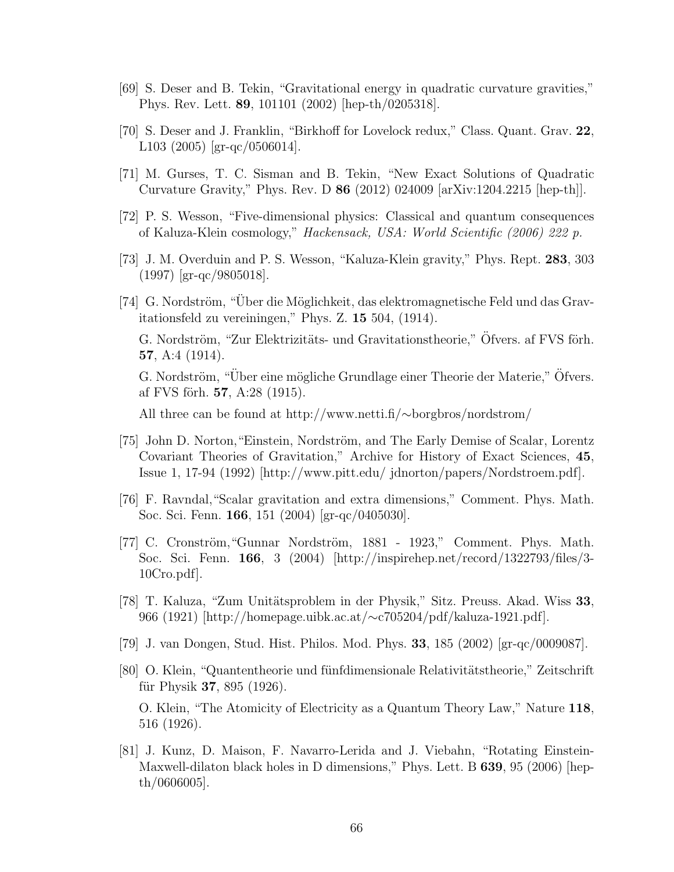- [69] S. Deser and B. Tekin, "Gravitational energy in quadratic curvature gravities," Phys. Rev. Lett. 89, 101101 (2002) [hep-th/0205318].
- [70] S. Deser and J. Franklin, "Birkhoff for Lovelock redux," Class. Quant. Grav. 22, L103 (2005) [gr-qc/0506014].
- [71] M. Gurses, T. C. Sisman and B. Tekin, "New Exact Solutions of Quadratic Curvature Gravity," Phys. Rev. D 86 (2012) 024009 [arXiv:1204.2215 [hep-th]].
- [72] P. S. Wesson, "Five-dimensional physics: Classical and quantum consequences of Kaluza-Klein cosmology," Hackensack, USA: World Scientific (2006) 222 p.
- [73] J. M. Overduin and P. S. Wesson, "Kaluza-Klein gravity," Phys. Rept. 283, 303 (1997) [gr-qc/9805018].
- [74] G. Nordström, "Über die Möglichkeit, das elektromagnetische Feld und das Gravitationsfeld zu vereiningen," Phys. Z. 15 504, (1914). G. Nordström, "Zur Elektrizitäts- und Gravitationstheorie," Öfvers. af FVS förh. 57, A:4 (1914). G. Nordström, "Über eine mögliche Grundlage einer Theorie der Materie," Öfvers. af FVS förh.  $57, A:28$  (1915).

All three can be found at http://www.netti.fi/∼borgbros/nordstrom/

- [75] John D. Norton, "Einstein, Nordström, and The Early Demise of Scalar, Lorentz Covariant Theories of Gravitation," Archive for History of Exact Sciences, 45, Issue 1, 17-94 (1992) [http://www.pitt.edu/ jdnorton/papers/Nordstroem.pdf].
- [76] F. Ravndal,"Scalar gravitation and extra dimensions," Comment. Phys. Math. Soc. Sci. Fenn. 166, 151 (2004) [gr-qc/0405030].
- [77] C. Cronström, "Gunnar Nordström, 1881 1923," Comment. Phys. Math. Soc. Sci. Fenn. 166, 3 (2004) [http://inspirehep.net/record/1322793/files/3- 10Cro.pdf].
- [78] T. Kaluza, "Zum Unitätsproblem in der Physik," Sitz. Preuss. Akad. Wiss 33, 966 (1921) [http://homepage.uibk.ac.at/∼c705204/pdf/kaluza-1921.pdf].
- [79] J. van Dongen, Stud. Hist. Philos. Mod. Phys. 33, 185 (2002) [gr-qc/0009087].
- [80] O. Klein, "Quantentheorie und fünfdimensionale Relativitätstheorie," Zeitschrift für Physik 37, 895  $(1926)$ . O. Klein, "The Atomicity of Electricity as a Quantum Theory Law," Nature 118, 516 (1926).
- [81] J. Kunz, D. Maison, F. Navarro-Lerida and J. Viebahn, "Rotating Einstein-Maxwell-dilaton black holes in D dimensions," Phys. Lett. B 639, 95 (2006) [hepth/0606005].